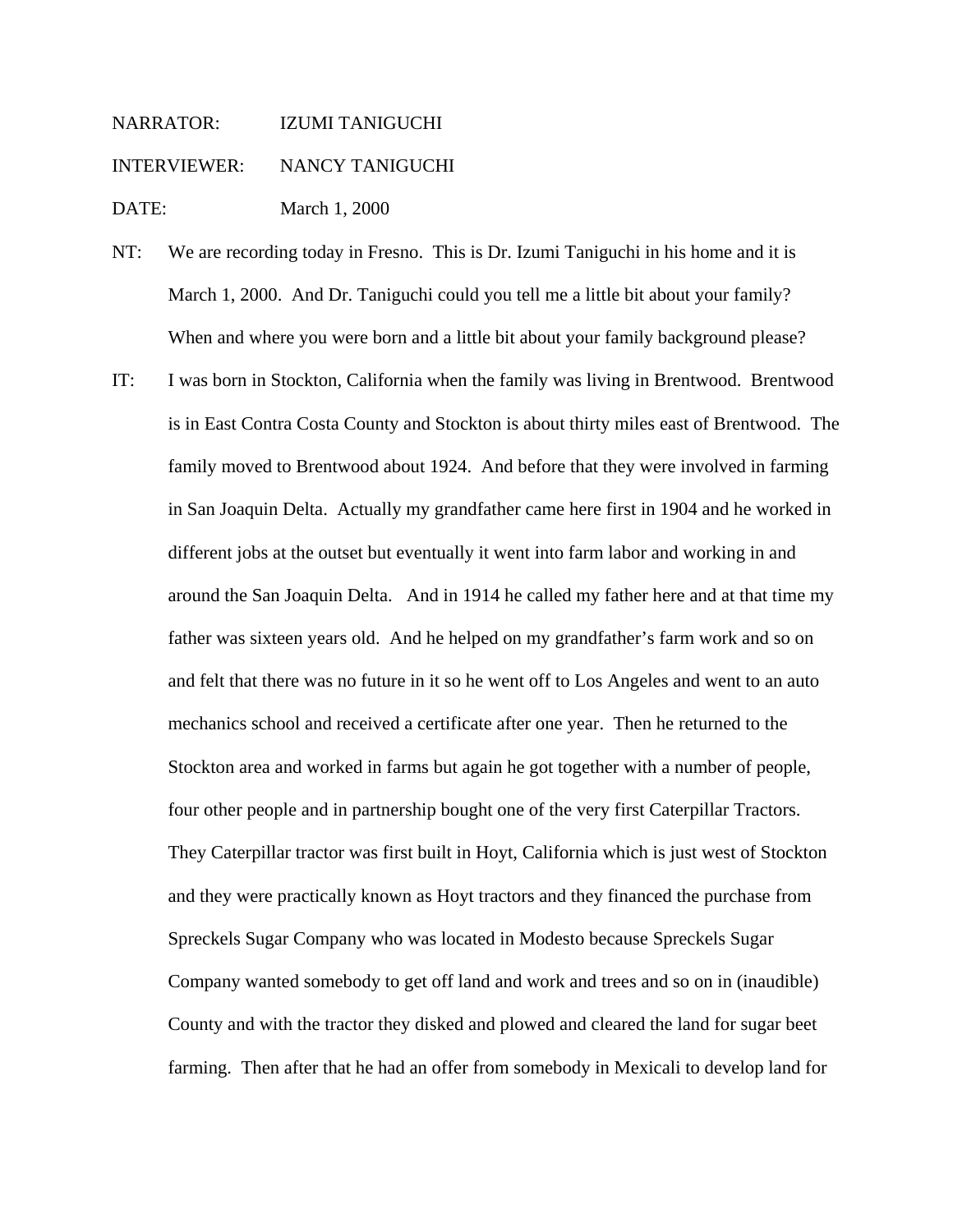NARRATOR: IZUMI TANIGUCHI INTERVIEWER: NANCY TANIGUCHI DATE: March 1, 2000

- NT: We are recording today in Fresno. This is Dr. Izumi Taniguchi in his home and it is March 1, 2000. And Dr. Taniguchi could you tell me a little bit about your family? When and where you were born and a little bit about your family background please?
- IT: I was born in Stockton, California when the family was living in Brentwood. Brentwood is in East Contra Costa County and Stockton is about thirty miles east of Brentwood. The family moved to Brentwood about 1924. And before that they were involved in farming in San Joaquin Delta. Actually my grandfather came here first in 1904 and he worked in different jobs at the outset but eventually it went into farm labor and working in and around the San Joaquin Delta. And in 1914 he called my father here and at that time my father was sixteen years old. And he helped on my grandfather's farm work and so on and felt that there was no future in it so he went off to Los Angeles and went to an auto mechanics school and received a certificate after one year. Then he returned to the Stockton area and worked in farms but again he got together with a number of people, four other people and in partnership bought one of the very first Caterpillar Tractors. They Caterpillar tractor was first built in Hoyt, California which is just west of Stockton and they were practically known as Hoyt tractors and they financed the purchase from Spreckels Sugar Company who was located in Modesto because Spreckels Sugar Company wanted somebody to get off land and work and trees and so on in (inaudible) County and with the tractor they disked and plowed and cleared the land for sugar beet farming. Then after that he had an offer from somebody in Mexicali to develop land for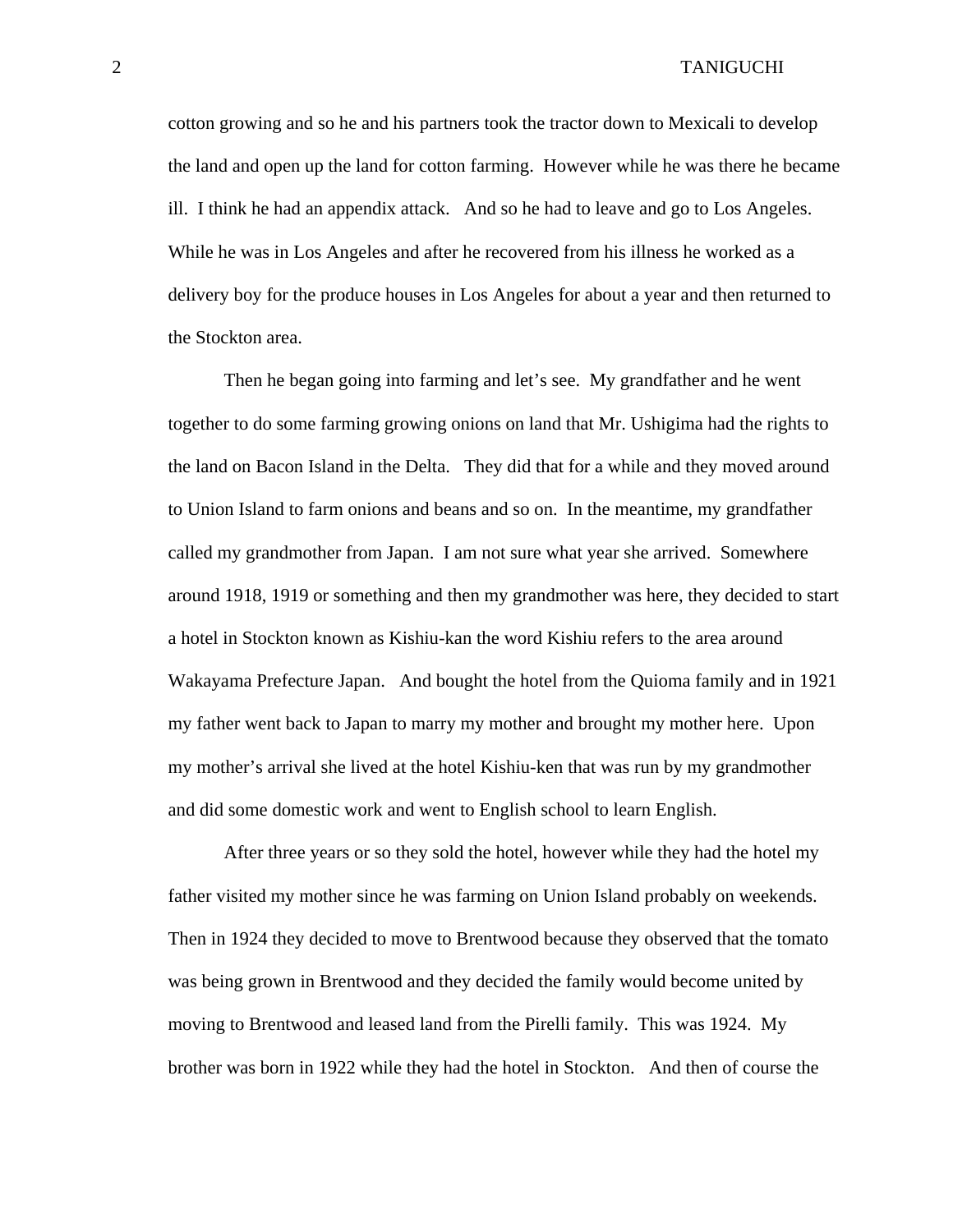cotton growing and so he and his partners took the tractor down to Mexicali to develop the land and open up the land for cotton farming. However while he was there he became ill. I think he had an appendix attack. And so he had to leave and go to Los Angeles. While he was in Los Angeles and after he recovered from his illness he worked as a delivery boy for the produce houses in Los Angeles for about a year and then returned to the Stockton area.

 Then he began going into farming and let's see. My grandfather and he went together to do some farming growing onions on land that Mr. Ushigima had the rights to the land on Bacon Island in the Delta. They did that for a while and they moved around to Union Island to farm onions and beans and so on. In the meantime, my grandfather called my grandmother from Japan. I am not sure what year she arrived. Somewhere around 1918, 1919 or something and then my grandmother was here, they decided to start a hotel in Stockton known as Kishiu-kan the word Kishiu refers to the area around Wakayama Prefecture Japan. And bought the hotel from the Quioma family and in 1921 my father went back to Japan to marry my mother and brought my mother here. Upon my mother's arrival she lived at the hotel Kishiu-ken that was run by my grandmother and did some domestic work and went to English school to learn English.

 After three years or so they sold the hotel, however while they had the hotel my father visited my mother since he was farming on Union Island probably on weekends. Then in 1924 they decided to move to Brentwood because they observed that the tomato was being grown in Brentwood and they decided the family would become united by moving to Brentwood and leased land from the Pirelli family. This was 1924. My brother was born in 1922 while they had the hotel in Stockton. And then of course the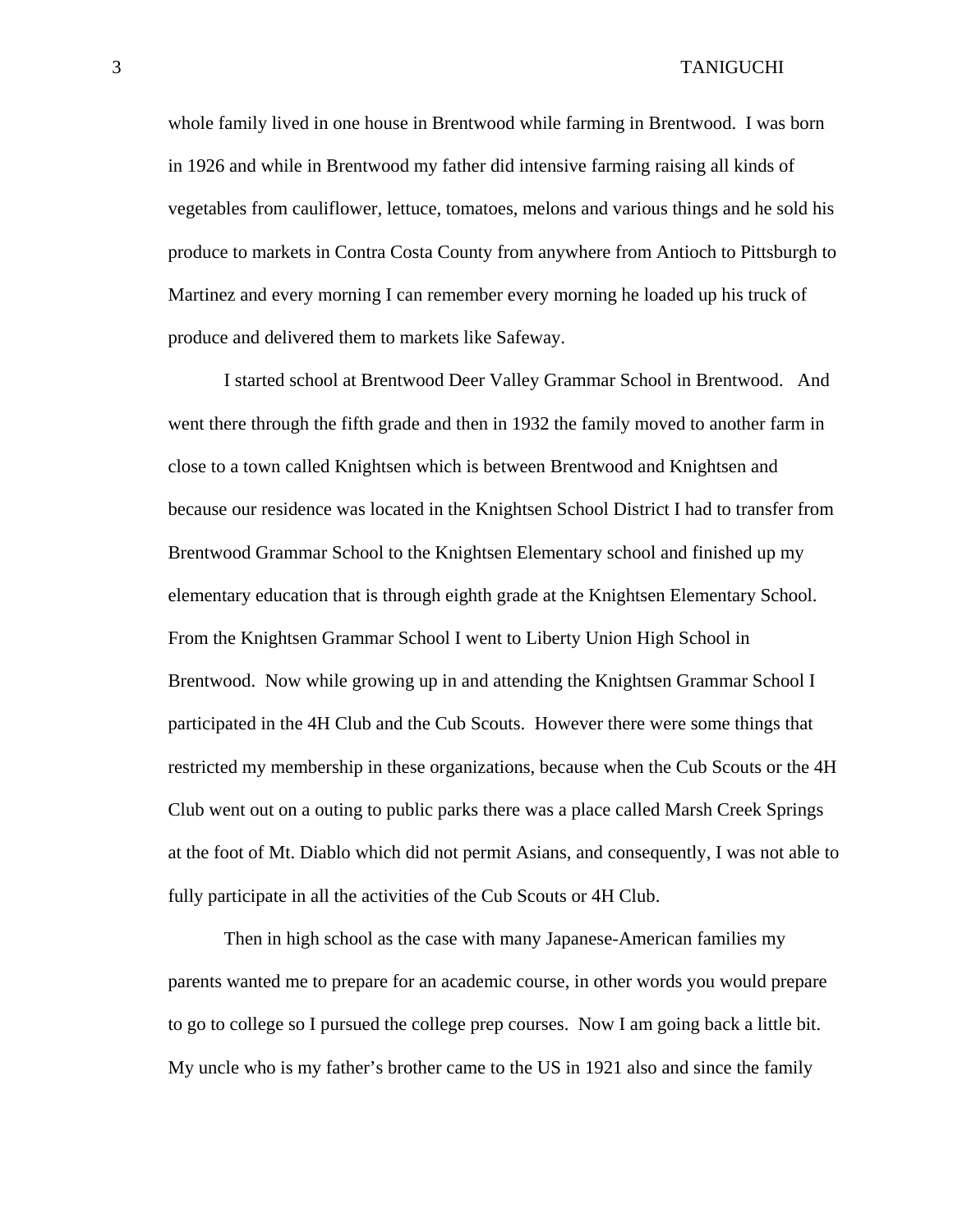whole family lived in one house in Brentwood while farming in Brentwood. I was born in 1926 and while in Brentwood my father did intensive farming raising all kinds of vegetables from cauliflower, lettuce, tomatoes, melons and various things and he sold his produce to markets in Contra Costa County from anywhere from Antioch to Pittsburgh to Martinez and every morning I can remember every morning he loaded up his truck of produce and delivered them to markets like Safeway.

 I started school at Brentwood Deer Valley Grammar School in Brentwood. And went there through the fifth grade and then in 1932 the family moved to another farm in close to a town called Knightsen which is between Brentwood and Knightsen and because our residence was located in the Knightsen School District I had to transfer from Brentwood Grammar School to the Knightsen Elementary school and finished up my elementary education that is through eighth grade at the Knightsen Elementary School. From the Knightsen Grammar School I went to Liberty Union High School in Brentwood. Now while growing up in and attending the Knightsen Grammar School I participated in the 4H Club and the Cub Scouts. However there were some things that restricted my membership in these organizations, because when the Cub Scouts or the 4H Club went out on a outing to public parks there was a place called Marsh Creek Springs at the foot of Mt. Diablo which did not permit Asians, and consequently, I was not able to fully participate in all the activities of the Cub Scouts or 4H Club.

 Then in high school as the case with many Japanese-American families my parents wanted me to prepare for an academic course, in other words you would prepare to go to college so I pursued the college prep courses. Now I am going back a little bit. My uncle who is my father's brother came to the US in 1921 also and since the family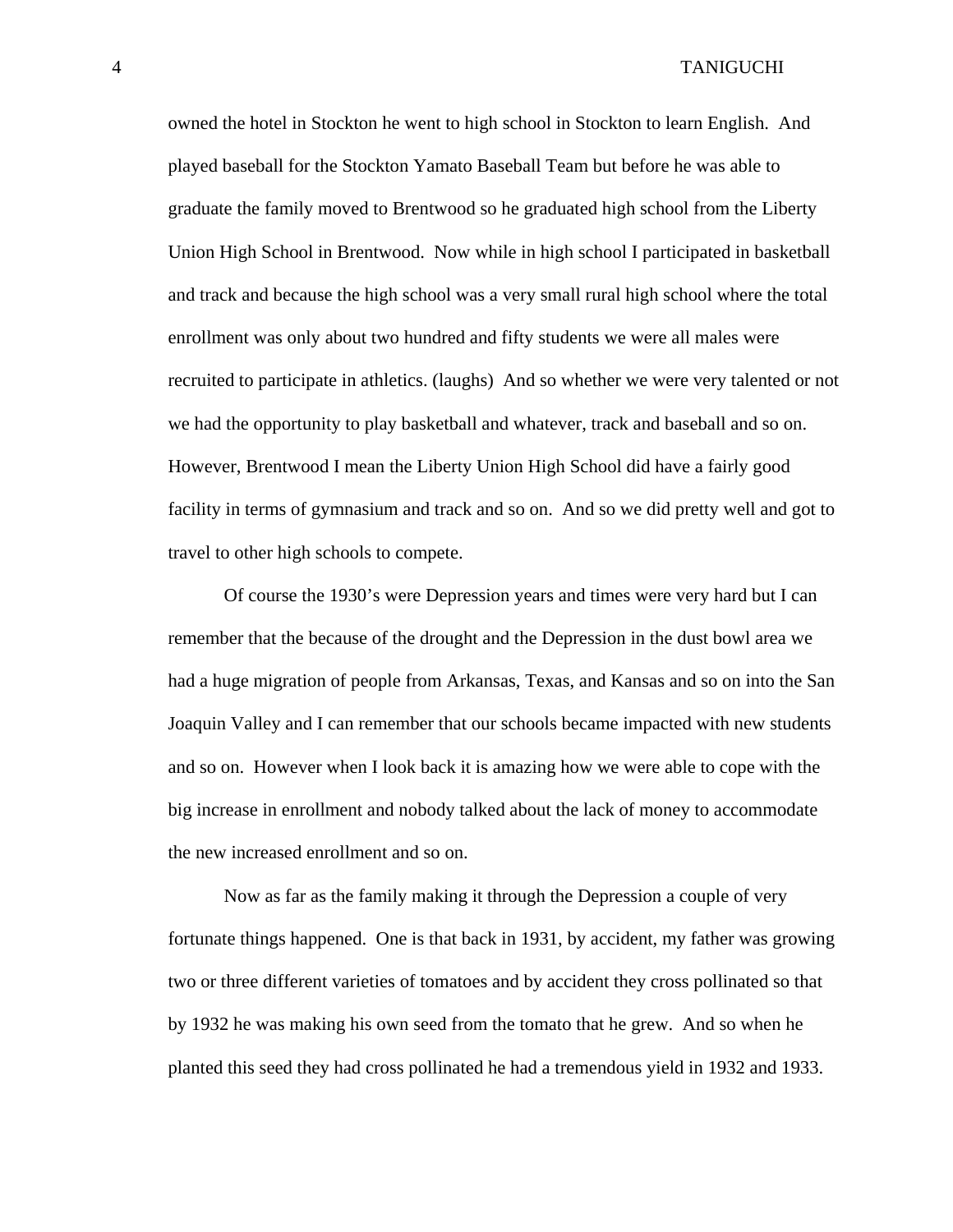owned the hotel in Stockton he went to high school in Stockton to learn English. And played baseball for the Stockton Yamato Baseball Team but before he was able to graduate the family moved to Brentwood so he graduated high school from the Liberty Union High School in Brentwood. Now while in high school I participated in basketball and track and because the high school was a very small rural high school where the total enrollment was only about two hundred and fifty students we were all males were recruited to participate in athletics. (laughs) And so whether we were very talented or not we had the opportunity to play basketball and whatever, track and baseball and so on. However, Brentwood I mean the Liberty Union High School did have a fairly good facility in terms of gymnasium and track and so on. And so we did pretty well and got to travel to other high schools to compete.

 Of course the 1930's were Depression years and times were very hard but I can remember that the because of the drought and the Depression in the dust bowl area we had a huge migration of people from Arkansas, Texas, and Kansas and so on into the San Joaquin Valley and I can remember that our schools became impacted with new students and so on. However when I look back it is amazing how we were able to cope with the big increase in enrollment and nobody talked about the lack of money to accommodate the new increased enrollment and so on.

 Now as far as the family making it through the Depression a couple of very fortunate things happened. One is that back in 1931, by accident, my father was growing two or three different varieties of tomatoes and by accident they cross pollinated so that by 1932 he was making his own seed from the tomato that he grew. And so when he planted this seed they had cross pollinated he had a tremendous yield in 1932 and 1933.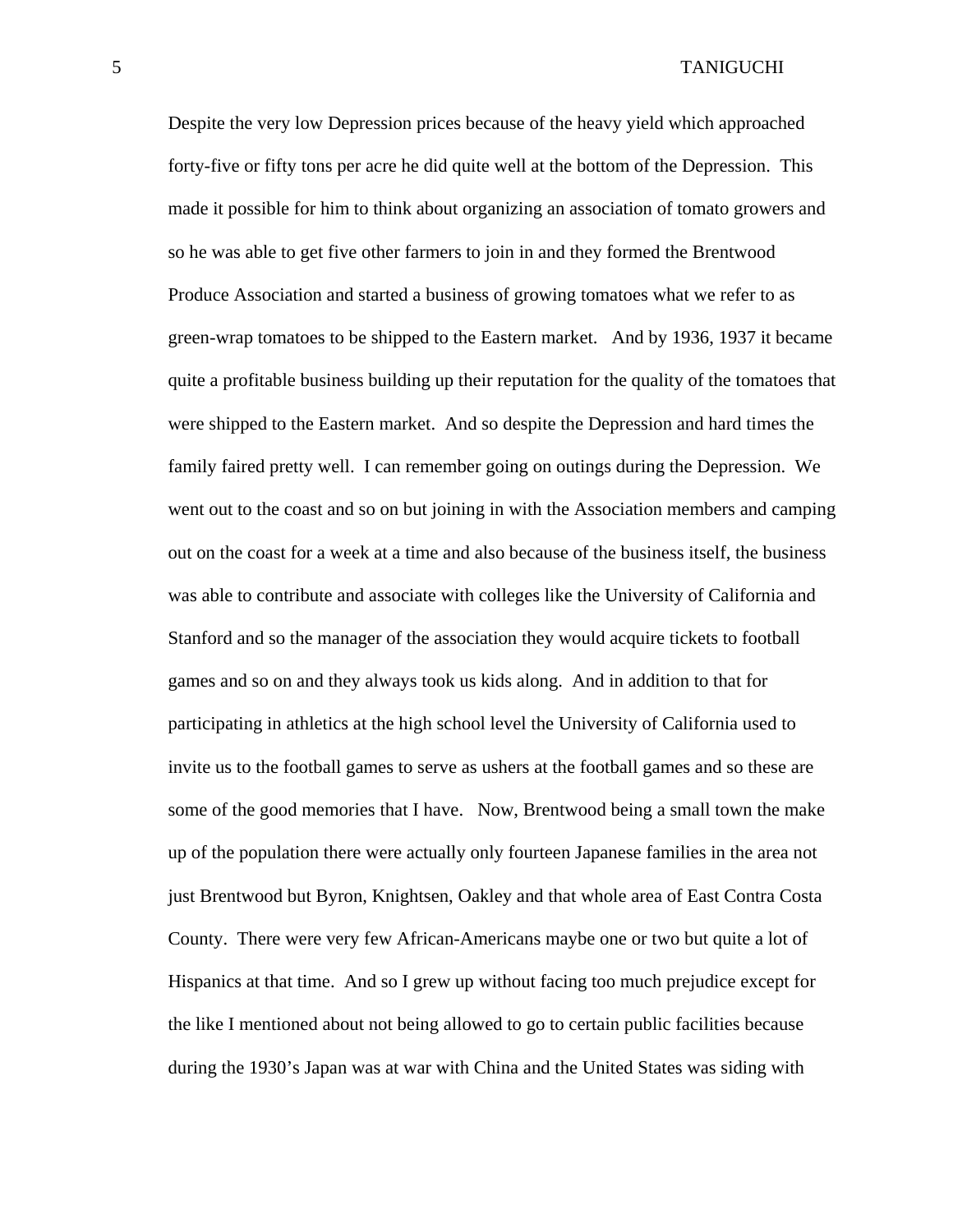Despite the very low Depression prices because of the heavy yield which approached forty-five or fifty tons per acre he did quite well at the bottom of the Depression. This made it possible for him to think about organizing an association of tomato growers and so he was able to get five other farmers to join in and they formed the Brentwood Produce Association and started a business of growing tomatoes what we refer to as green-wrap tomatoes to be shipped to the Eastern market. And by 1936, 1937 it became quite a profitable business building up their reputation for the quality of the tomatoes that were shipped to the Eastern market. And so despite the Depression and hard times the family faired pretty well. I can remember going on outings during the Depression. We went out to the coast and so on but joining in with the Association members and camping out on the coast for a week at a time and also because of the business itself, the business was able to contribute and associate with colleges like the University of California and Stanford and so the manager of the association they would acquire tickets to football games and so on and they always took us kids along. And in addition to that for participating in athletics at the high school level the University of California used to invite us to the football games to serve as ushers at the football games and so these are some of the good memories that I have. Now, Brentwood being a small town the make up of the population there were actually only fourteen Japanese families in the area not just Brentwood but Byron, Knightsen, Oakley and that whole area of East Contra Costa County. There were very few African-Americans maybe one or two but quite a lot of Hispanics at that time. And so I grew up without facing too much prejudice except for the like I mentioned about not being allowed to go to certain public facilities because during the 1930's Japan was at war with China and the United States was siding with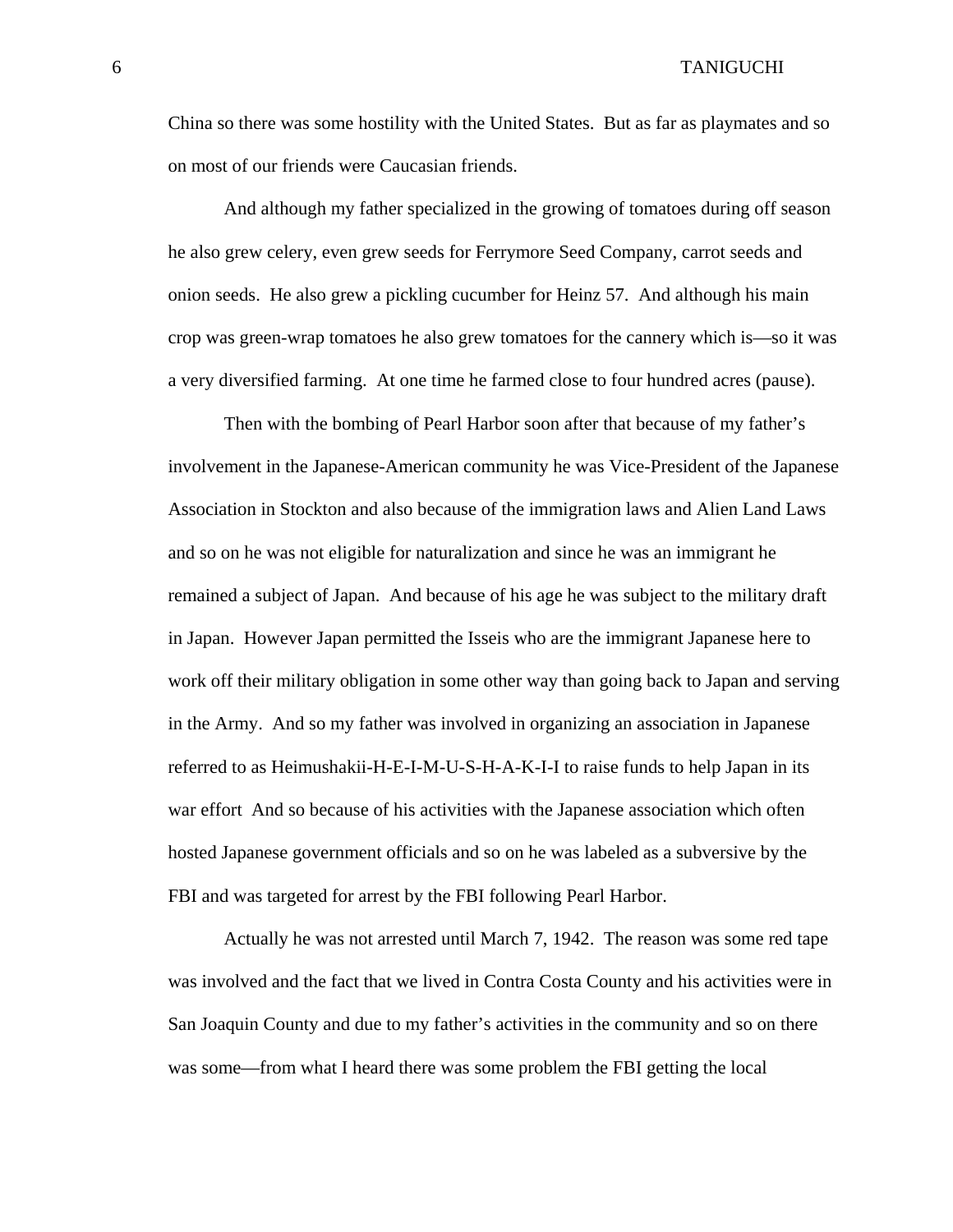China so there was some hostility with the United States. But as far as playmates and so on most of our friends were Caucasian friends.

And although my father specialized in the growing of tomatoes during off season he also grew celery, even grew seeds for Ferrymore Seed Company, carrot seeds and onion seeds. He also grew a pickling cucumber for Heinz 57. And although his main crop was green-wrap tomatoes he also grew tomatoes for the cannery which is—so it was a very diversified farming. At one time he farmed close to four hundred acres (pause).

Then with the bombing of Pearl Harbor soon after that because of my father's involvement in the Japanese-American community he was Vice-President of the Japanese Association in Stockton and also because of the immigration laws and Alien Land Laws and so on he was not eligible for naturalization and since he was an immigrant he remained a subject of Japan. And because of his age he was subject to the military draft in Japan. However Japan permitted the Isseis who are the immigrant Japanese here to work off their military obligation in some other way than going back to Japan and serving in the Army. And so my father was involved in organizing an association in Japanese referred to as Heimushakii-H-E-I-M-U-S-H-A-K-I-I to raise funds to help Japan in its war effort And so because of his activities with the Japanese association which often hosted Japanese government officials and so on he was labeled as a subversive by the FBI and was targeted for arrest by the FBI following Pearl Harbor.

Actually he was not arrested until March 7, 1942. The reason was some red tape was involved and the fact that we lived in Contra Costa County and his activities were in San Joaquin County and due to my father's activities in the community and so on there was some—from what I heard there was some problem the FBI getting the local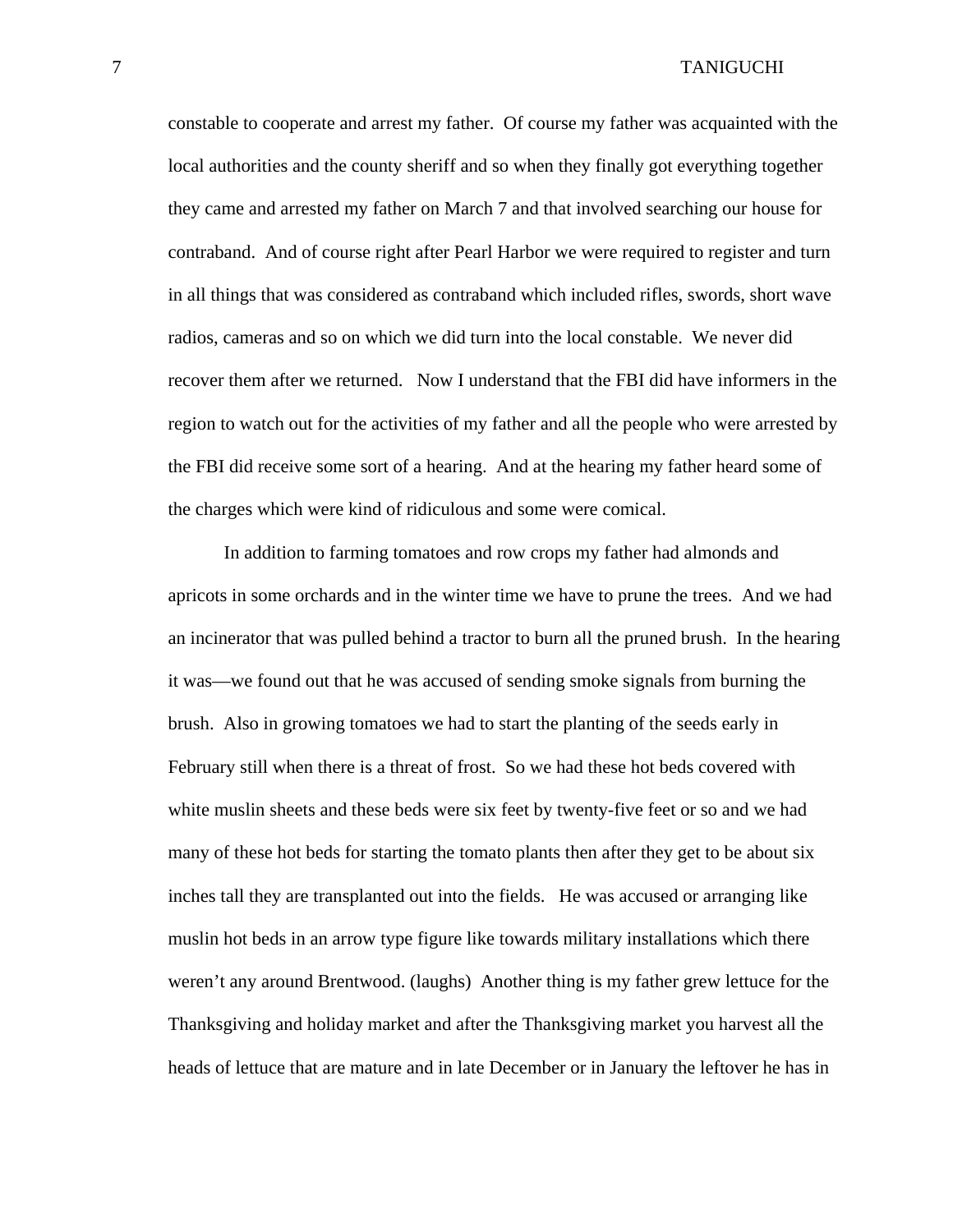constable to cooperate and arrest my father. Of course my father was acquainted with the local authorities and the county sheriff and so when they finally got everything together they came and arrested my father on March 7 and that involved searching our house for contraband. And of course right after Pearl Harbor we were required to register and turn in all things that was considered as contraband which included rifles, swords, short wave radios, cameras and so on which we did turn into the local constable. We never did recover them after we returned. Now I understand that the FBI did have informers in the region to watch out for the activities of my father and all the people who were arrested by the FBI did receive some sort of a hearing. And at the hearing my father heard some of the charges which were kind of ridiculous and some were comical.

In addition to farming tomatoes and row crops my father had almonds and apricots in some orchards and in the winter time we have to prune the trees. And we had an incinerator that was pulled behind a tractor to burn all the pruned brush. In the hearing it was—we found out that he was accused of sending smoke signals from burning the brush. Also in growing tomatoes we had to start the planting of the seeds early in February still when there is a threat of frost. So we had these hot beds covered with white muslin sheets and these beds were six feet by twenty-five feet or so and we had many of these hot beds for starting the tomato plants then after they get to be about six inches tall they are transplanted out into the fields. He was accused or arranging like muslin hot beds in an arrow type figure like towards military installations which there weren't any around Brentwood. (laughs) Another thing is my father grew lettuce for the Thanksgiving and holiday market and after the Thanksgiving market you harvest all the heads of lettuce that are mature and in late December or in January the leftover he has in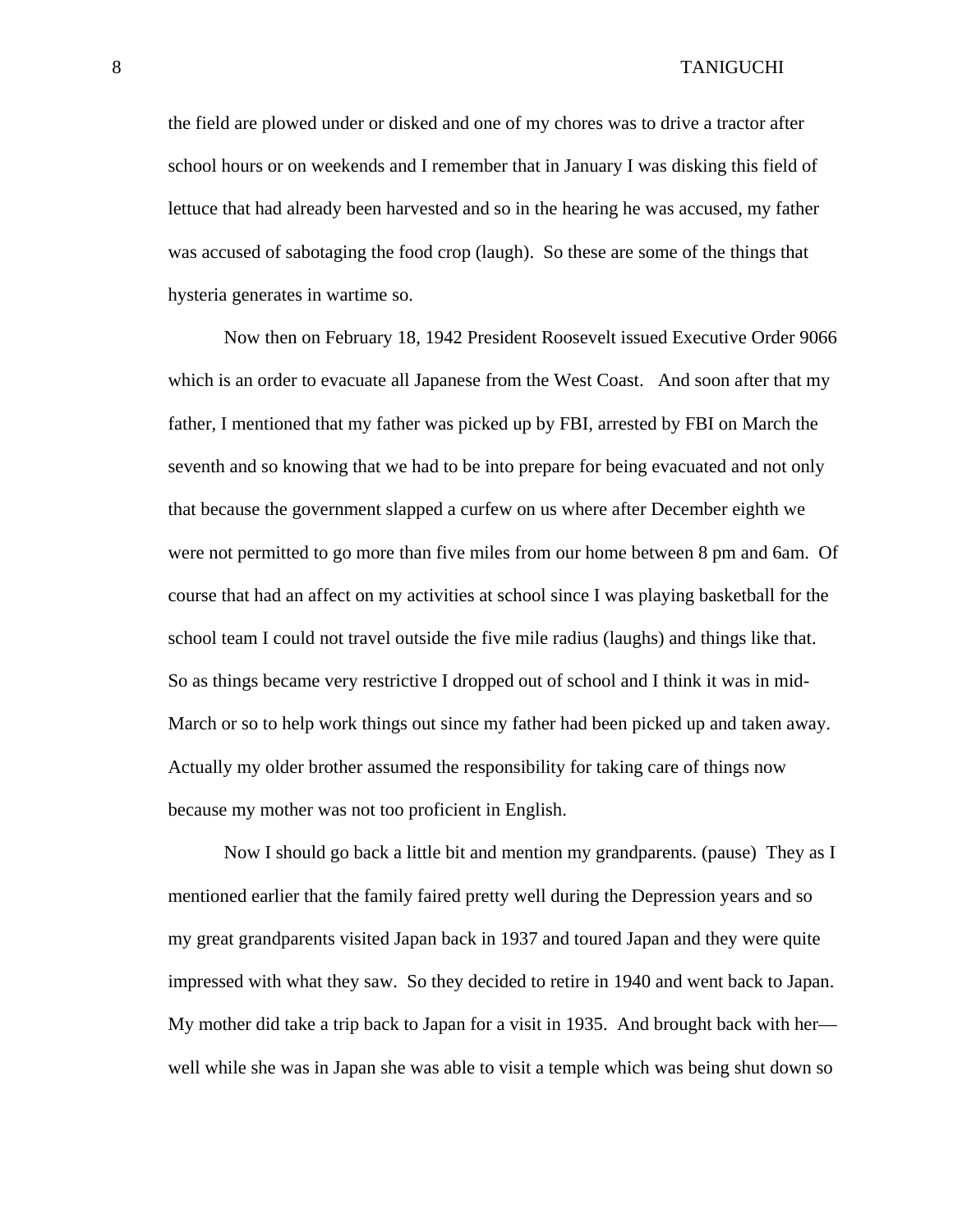the field are plowed under or disked and one of my chores was to drive a tractor after school hours or on weekends and I remember that in January I was disking this field of lettuce that had already been harvested and so in the hearing he was accused, my father was accused of sabotaging the food crop (laugh). So these are some of the things that hysteria generates in wartime so.

Now then on February 18, 1942 President Roosevelt issued Executive Order 9066 which is an order to evacuate all Japanese from the West Coast. And soon after that my father, I mentioned that my father was picked up by FBI, arrested by FBI on March the seventh and so knowing that we had to be into prepare for being evacuated and not only that because the government slapped a curfew on us where after December eighth we were not permitted to go more than five miles from our home between 8 pm and 6am. Of course that had an affect on my activities at school since I was playing basketball for the school team I could not travel outside the five mile radius (laughs) and things like that. So as things became very restrictive I dropped out of school and I think it was in mid-March or so to help work things out since my father had been picked up and taken away. Actually my older brother assumed the responsibility for taking care of things now because my mother was not too proficient in English.

Now I should go back a little bit and mention my grandparents. (pause) They as I mentioned earlier that the family faired pretty well during the Depression years and so my great grandparents visited Japan back in 1937 and toured Japan and they were quite impressed with what they saw. So they decided to retire in 1940 and went back to Japan. My mother did take a trip back to Japan for a visit in 1935. And brought back with her well while she was in Japan she was able to visit a temple which was being shut down so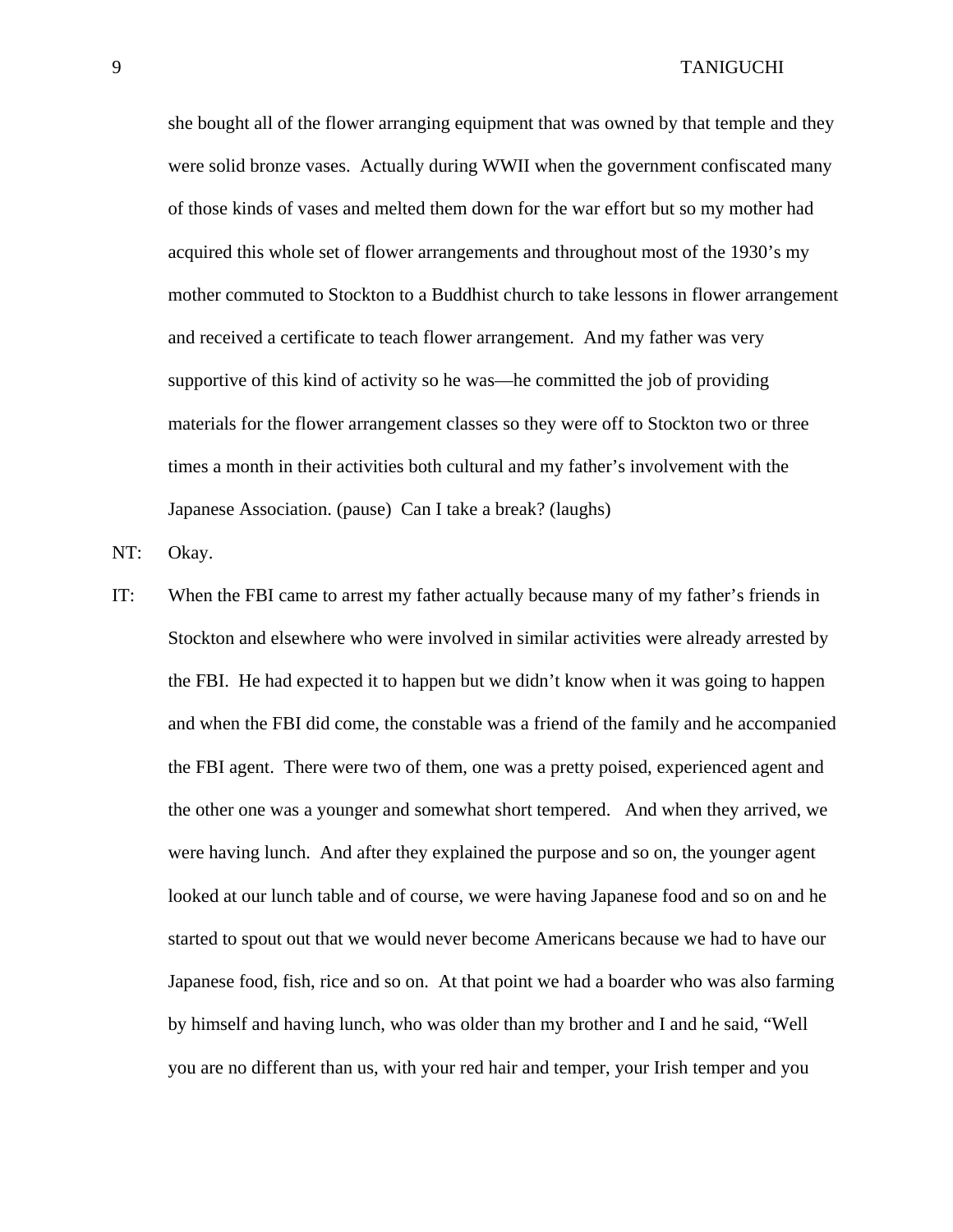she bought all of the flower arranging equipment that was owned by that temple and they were solid bronze vases. Actually during WWII when the government confiscated many of those kinds of vases and melted them down for the war effort but so my mother had acquired this whole set of flower arrangements and throughout most of the 1930's my mother commuted to Stockton to a Buddhist church to take lessons in flower arrangement and received a certificate to teach flower arrangement. And my father was very supportive of this kind of activity so he was—he committed the job of providing materials for the flower arrangement classes so they were off to Stockton two or three times a month in their activities both cultural and my father's involvement with the Japanese Association. (pause) Can I take a break? (laughs)

NT: Okay.

IT: When the FBI came to arrest my father actually because many of my father's friends in Stockton and elsewhere who were involved in similar activities were already arrested by the FBI. He had expected it to happen but we didn't know when it was going to happen and when the FBI did come, the constable was a friend of the family and he accompanied the FBI agent. There were two of them, one was a pretty poised, experienced agent and the other one was a younger and somewhat short tempered. And when they arrived, we were having lunch. And after they explained the purpose and so on, the younger agent looked at our lunch table and of course, we were having Japanese food and so on and he started to spout out that we would never become Americans because we had to have our Japanese food, fish, rice and so on. At that point we had a boarder who was also farming by himself and having lunch, who was older than my brother and I and he said, "Well you are no different than us, with your red hair and temper, your Irish temper and you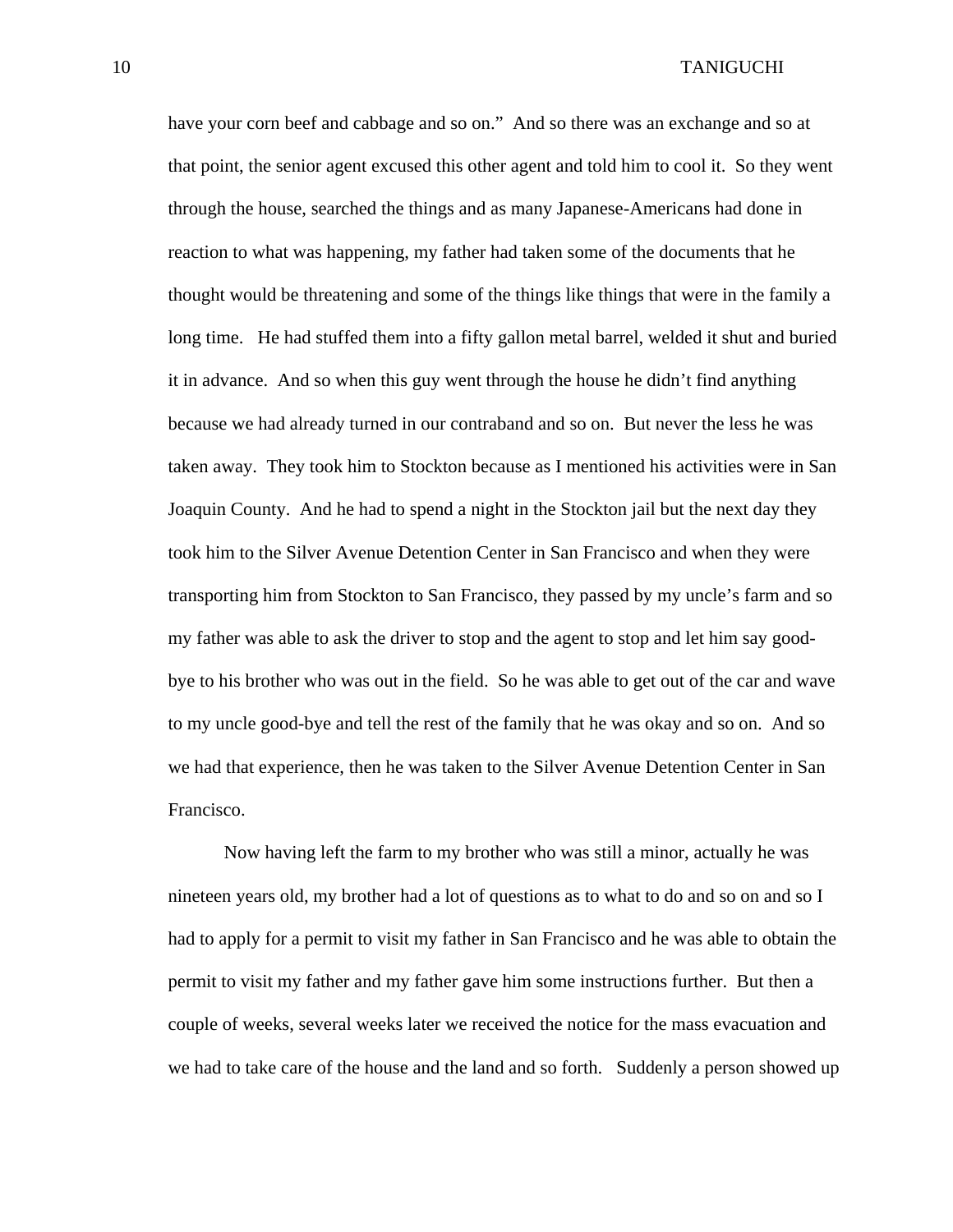have your corn beef and cabbage and so on." And so there was an exchange and so at that point, the senior agent excused this other agent and told him to cool it. So they went through the house, searched the things and as many Japanese-Americans had done in reaction to what was happening, my father had taken some of the documents that he thought would be threatening and some of the things like things that were in the family a long time. He had stuffed them into a fifty gallon metal barrel, welded it shut and buried it in advance. And so when this guy went through the house he didn't find anything because we had already turned in our contraband and so on. But never the less he was taken away. They took him to Stockton because as I mentioned his activities were in San Joaquin County. And he had to spend a night in the Stockton jail but the next day they took him to the Silver Avenue Detention Center in San Francisco and when they were transporting him from Stockton to San Francisco, they passed by my uncle's farm and so my father was able to ask the driver to stop and the agent to stop and let him say goodbye to his brother who was out in the field. So he was able to get out of the car and wave to my uncle good-bye and tell the rest of the family that he was okay and so on. And so we had that experience, then he was taken to the Silver Avenue Detention Center in San Francisco.

 Now having left the farm to my brother who was still a minor, actually he was nineteen years old, my brother had a lot of questions as to what to do and so on and so I had to apply for a permit to visit my father in San Francisco and he was able to obtain the permit to visit my father and my father gave him some instructions further. But then a couple of weeks, several weeks later we received the notice for the mass evacuation and we had to take care of the house and the land and so forth. Suddenly a person showed up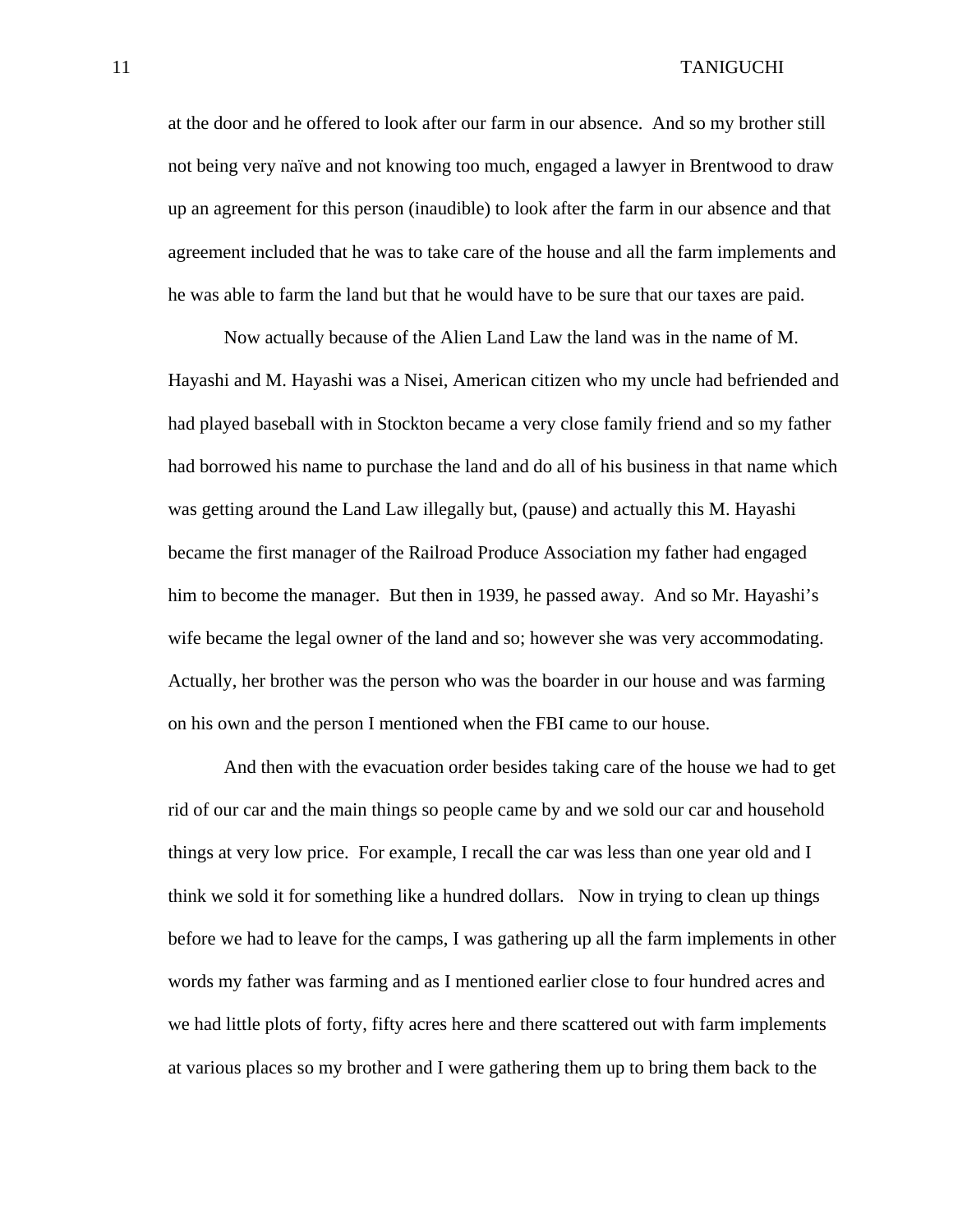at the door and he offered to look after our farm in our absence. And so my brother still not being very naïve and not knowing too much, engaged a lawyer in Brentwood to draw up an agreement for this person (inaudible) to look after the farm in our absence and that agreement included that he was to take care of the house and all the farm implements and he was able to farm the land but that he would have to be sure that our taxes are paid.

 Now actually because of the Alien Land Law the land was in the name of M. Hayashi and M. Hayashi was a Nisei, American citizen who my uncle had befriended and had played baseball with in Stockton became a very close family friend and so my father had borrowed his name to purchase the land and do all of his business in that name which was getting around the Land Law illegally but, (pause) and actually this M. Hayashi became the first manager of the Railroad Produce Association my father had engaged him to become the manager. But then in 1939, he passed away. And so Mr. Hayashi's wife became the legal owner of the land and so; however she was very accommodating. Actually, her brother was the person who was the boarder in our house and was farming on his own and the person I mentioned when the FBI came to our house.

 And then with the evacuation order besides taking care of the house we had to get rid of our car and the main things so people came by and we sold our car and household things at very low price. For example, I recall the car was less than one year old and I think we sold it for something like a hundred dollars. Now in trying to clean up things before we had to leave for the camps, I was gathering up all the farm implements in other words my father was farming and as I mentioned earlier close to four hundred acres and we had little plots of forty, fifty acres here and there scattered out with farm implements at various places so my brother and I were gathering them up to bring them back to the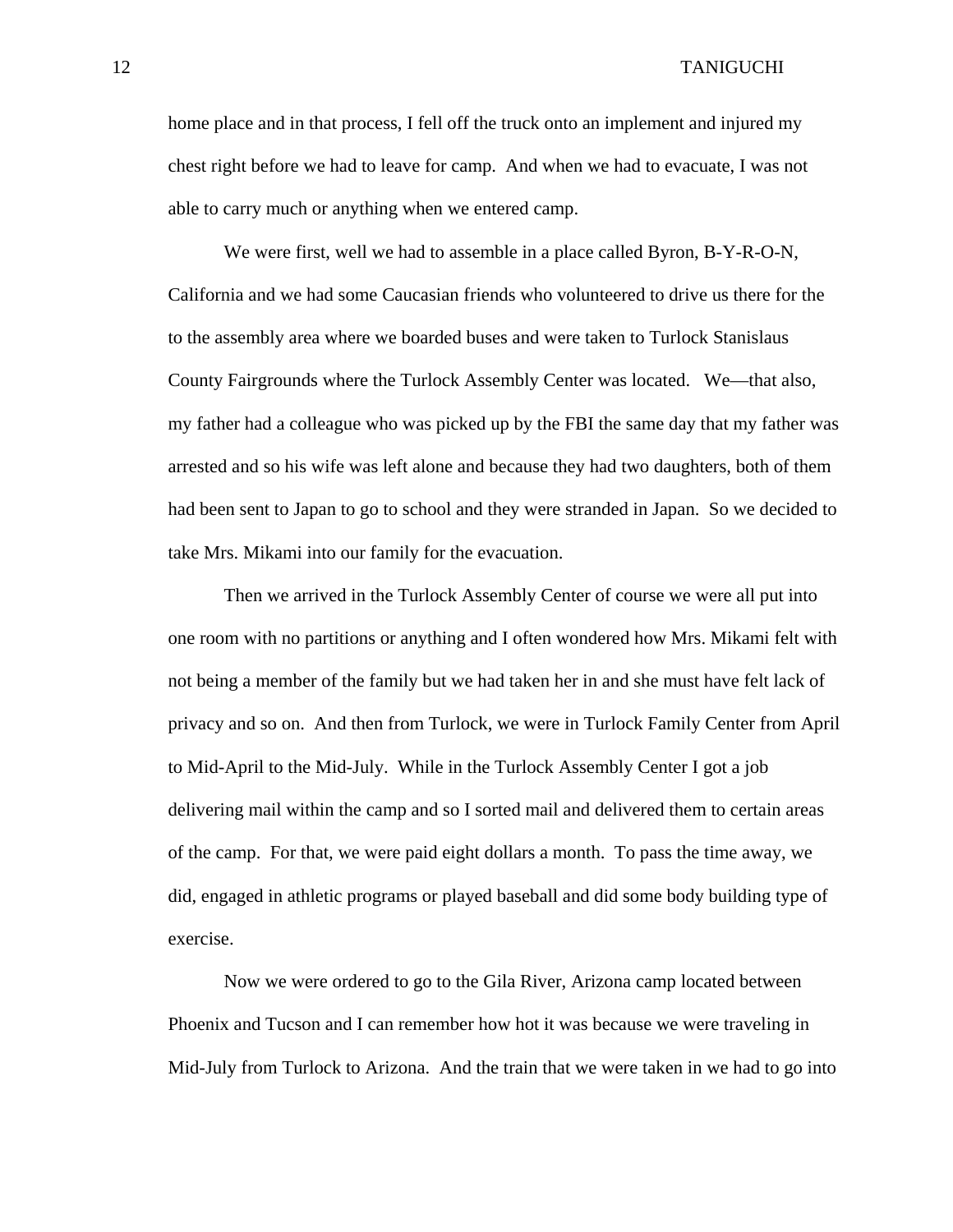home place and in that process, I fell off the truck onto an implement and injured my chest right before we had to leave for camp. And when we had to evacuate, I was not able to carry much or anything when we entered camp.

 We were first, well we had to assemble in a place called Byron, B-Y-R-O-N, California and we had some Caucasian friends who volunteered to drive us there for the to the assembly area where we boarded buses and were taken to Turlock Stanislaus County Fairgrounds where the Turlock Assembly Center was located. We—that also, my father had a colleague who was picked up by the FBI the same day that my father was arrested and so his wife was left alone and because they had two daughters, both of them had been sent to Japan to go to school and they were stranded in Japan. So we decided to take Mrs. Mikami into our family for the evacuation.

 Then we arrived in the Turlock Assembly Center of course we were all put into one room with no partitions or anything and I often wondered how Mrs. Mikami felt with not being a member of the family but we had taken her in and she must have felt lack of privacy and so on. And then from Turlock, we were in Turlock Family Center from April to Mid-April to the Mid-July. While in the Turlock Assembly Center I got a job delivering mail within the camp and so I sorted mail and delivered them to certain areas of the camp. For that, we were paid eight dollars a month. To pass the time away, we did, engaged in athletic programs or played baseball and did some body building type of exercise.

 Now we were ordered to go to the Gila River, Arizona camp located between Phoenix and Tucson and I can remember how hot it was because we were traveling in Mid-July from Turlock to Arizona. And the train that we were taken in we had to go into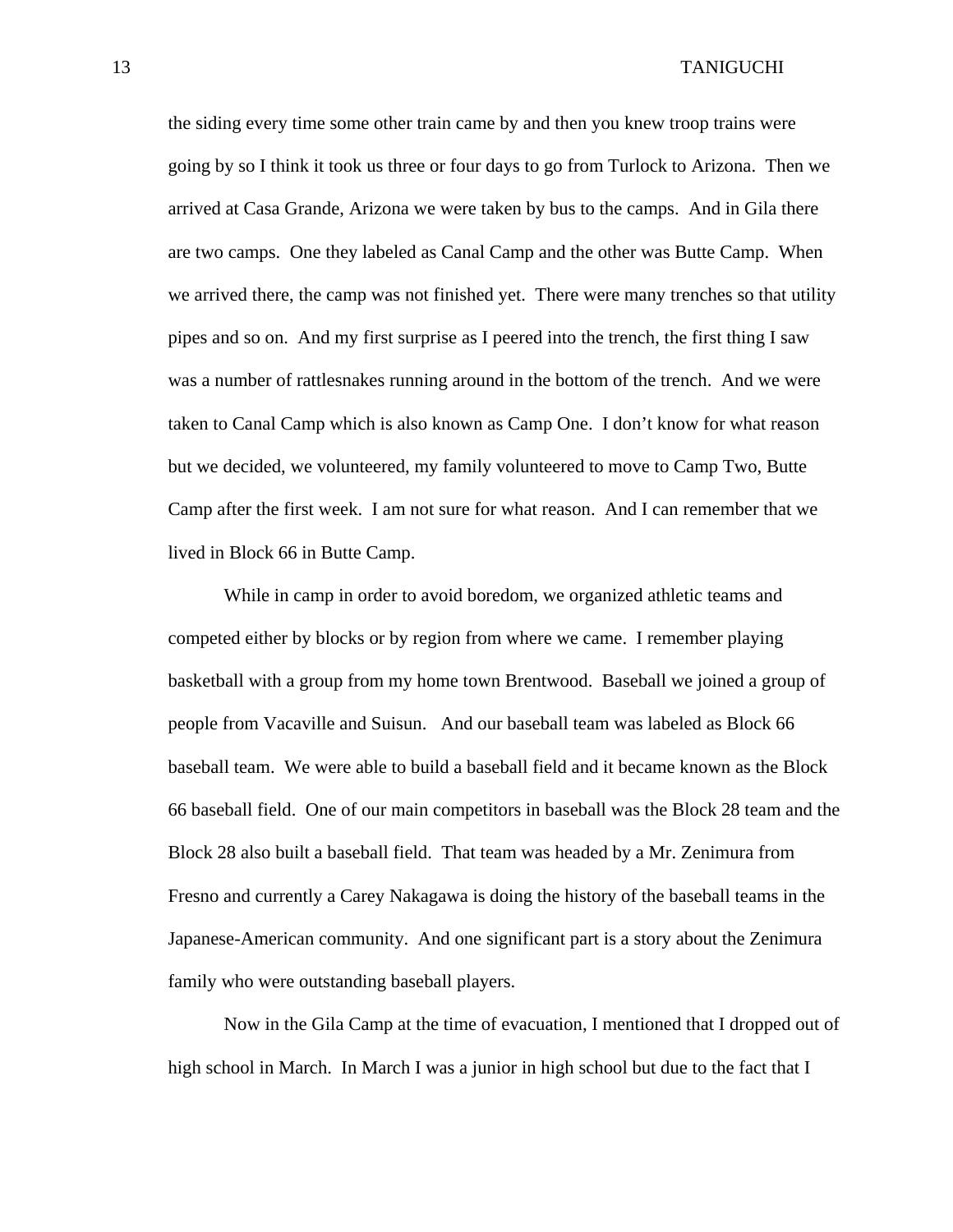the siding every time some other train came by and then you knew troop trains were going by so I think it took us three or four days to go from Turlock to Arizona. Then we arrived at Casa Grande, Arizona we were taken by bus to the camps. And in Gila there are two camps. One they labeled as Canal Camp and the other was Butte Camp. When we arrived there, the camp was not finished yet. There were many trenches so that utility pipes and so on. And my first surprise as I peered into the trench, the first thing I saw was a number of rattlesnakes running around in the bottom of the trench. And we were taken to Canal Camp which is also known as Camp One. I don't know for what reason but we decided, we volunteered, my family volunteered to move to Camp Two, Butte Camp after the first week. I am not sure for what reason. And I can remember that we lived in Block 66 in Butte Camp.

 While in camp in order to avoid boredom, we organized athletic teams and competed either by blocks or by region from where we came. I remember playing basketball with a group from my home town Brentwood. Baseball we joined a group of people from Vacaville and Suisun. And our baseball team was labeled as Block 66 baseball team. We were able to build a baseball field and it became known as the Block 66 baseball field. One of our main competitors in baseball was the Block 28 team and the Block 28 also built a baseball field. That team was headed by a Mr. Zenimura from Fresno and currently a Carey Nakagawa is doing the history of the baseball teams in the Japanese-American community. And one significant part is a story about the Zenimura family who were outstanding baseball players.

 Now in the Gila Camp at the time of evacuation, I mentioned that I dropped out of high school in March. In March I was a junior in high school but due to the fact that I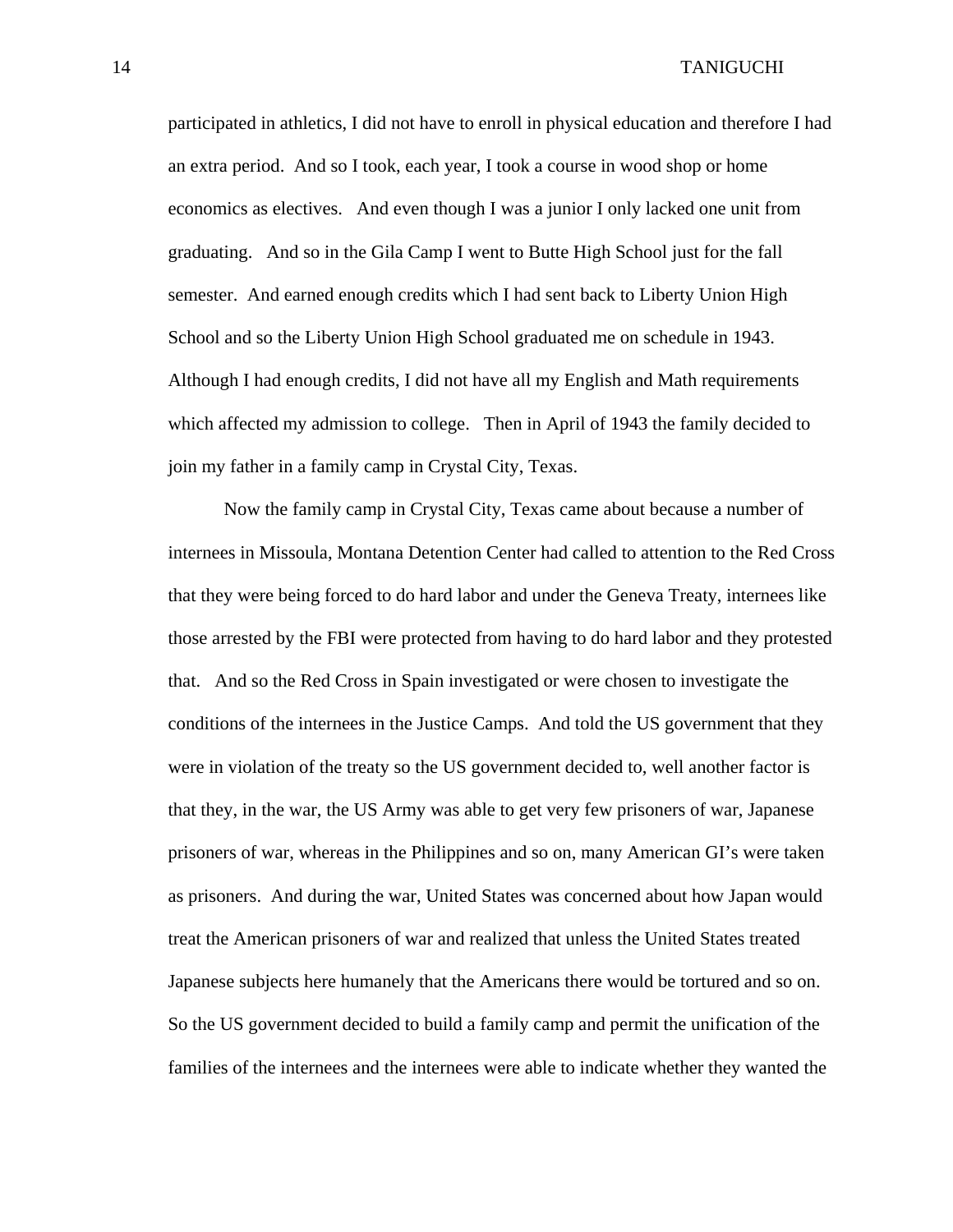participated in athletics, I did not have to enroll in physical education and therefore I had an extra period. And so I took, each year, I took a course in wood shop or home economics as electives. And even though I was a junior I only lacked one unit from graduating. And so in the Gila Camp I went to Butte High School just for the fall semester. And earned enough credits which I had sent back to Liberty Union High School and so the Liberty Union High School graduated me on schedule in 1943. Although I had enough credits, I did not have all my English and Math requirements which affected my admission to college. Then in April of 1943 the family decided to join my father in a family camp in Crystal City, Texas.

Now the family camp in Crystal City, Texas came about because a number of internees in Missoula, Montana Detention Center had called to attention to the Red Cross that they were being forced to do hard labor and under the Geneva Treaty, internees like those arrested by the FBI were protected from having to do hard labor and they protested that. And so the Red Cross in Spain investigated or were chosen to investigate the conditions of the internees in the Justice Camps. And told the US government that they were in violation of the treaty so the US government decided to, well another factor is that they, in the war, the US Army was able to get very few prisoners of war, Japanese prisoners of war, whereas in the Philippines and so on, many American GI's were taken as prisoners. And during the war, United States was concerned about how Japan would treat the American prisoners of war and realized that unless the United States treated Japanese subjects here humanely that the Americans there would be tortured and so on. So the US government decided to build a family camp and permit the unification of the families of the internees and the internees were able to indicate whether they wanted the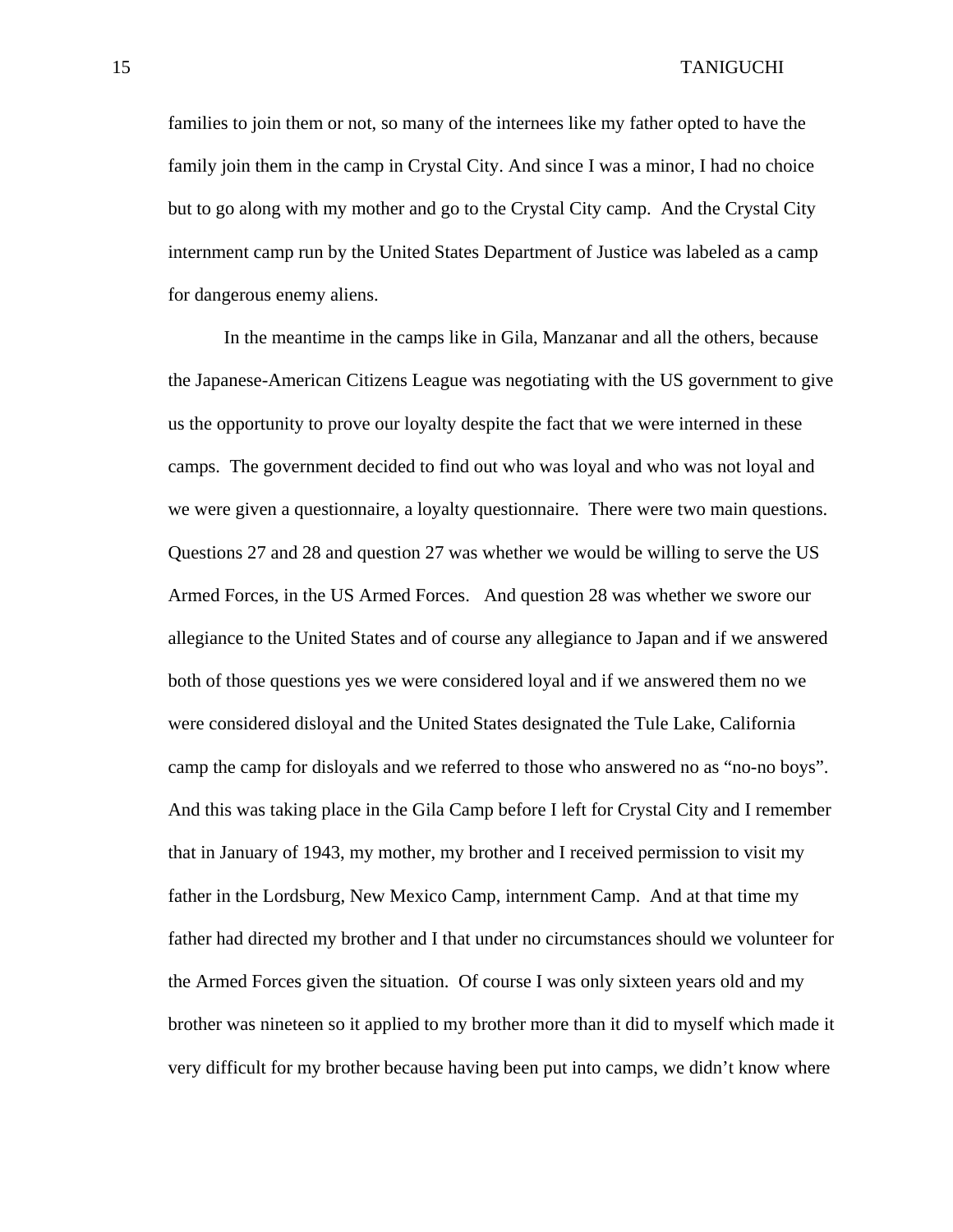families to join them or not, so many of the internees like my father opted to have the family join them in the camp in Crystal City. And since I was a minor, I had no choice but to go along with my mother and go to the Crystal City camp. And the Crystal City internment camp run by the United States Department of Justice was labeled as a camp for dangerous enemy aliens.

In the meantime in the camps like in Gila, Manzanar and all the others, because the Japanese-American Citizens League was negotiating with the US government to give us the opportunity to prove our loyalty despite the fact that we were interned in these camps. The government decided to find out who was loyal and who was not loyal and we were given a questionnaire, a loyalty questionnaire. There were two main questions. Questions 27 and 28 and question 27 was whether we would be willing to serve the US Armed Forces, in the US Armed Forces. And question 28 was whether we swore our allegiance to the United States and of course any allegiance to Japan and if we answered both of those questions yes we were considered loyal and if we answered them no we were considered disloyal and the United States designated the Tule Lake, California camp the camp for disloyals and we referred to those who answered no as "no-no boys". And this was taking place in the Gila Camp before I left for Crystal City and I remember that in January of 1943, my mother, my brother and I received permission to visit my father in the Lordsburg, New Mexico Camp, internment Camp. And at that time my father had directed my brother and I that under no circumstances should we volunteer for the Armed Forces given the situation. Of course I was only sixteen years old and my brother was nineteen so it applied to my brother more than it did to myself which made it very difficult for my brother because having been put into camps, we didn't know where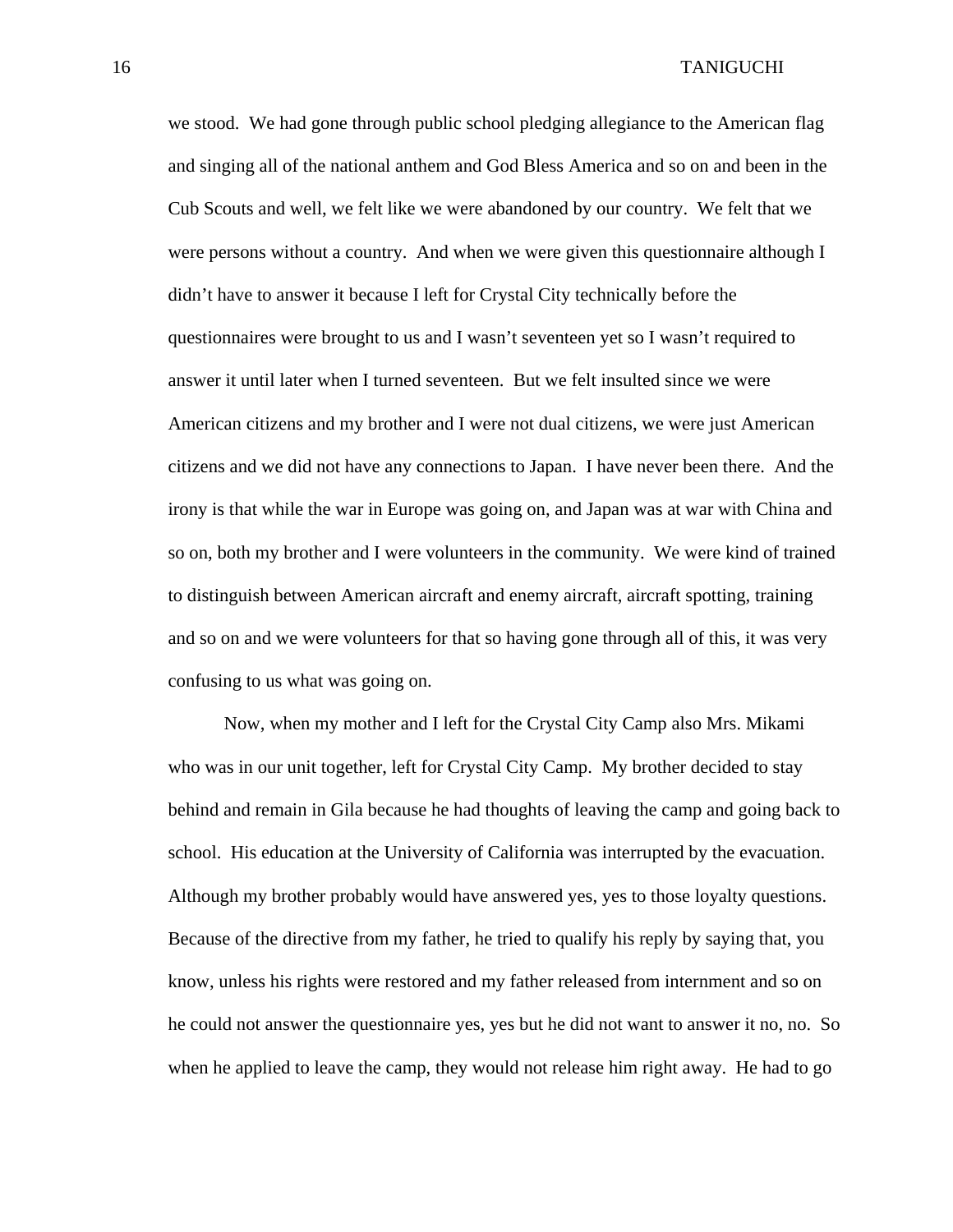we stood. We had gone through public school pledging allegiance to the American flag and singing all of the national anthem and God Bless America and so on and been in the Cub Scouts and well, we felt like we were abandoned by our country. We felt that we were persons without a country. And when we were given this questionnaire although I didn't have to answer it because I left for Crystal City technically before the questionnaires were brought to us and I wasn't seventeen yet so I wasn't required to answer it until later when I turned seventeen. But we felt insulted since we were American citizens and my brother and I were not dual citizens, we were just American citizens and we did not have any connections to Japan. I have never been there. And the irony is that while the war in Europe was going on, and Japan was at war with China and so on, both my brother and I were volunteers in the community. We were kind of trained to distinguish between American aircraft and enemy aircraft, aircraft spotting, training and so on and we were volunteers for that so having gone through all of this, it was very confusing to us what was going on.

Now, when my mother and I left for the Crystal City Camp also Mrs. Mikami who was in our unit together, left for Crystal City Camp. My brother decided to stay behind and remain in Gila because he had thoughts of leaving the camp and going back to school. His education at the University of California was interrupted by the evacuation. Although my brother probably would have answered yes, yes to those loyalty questions. Because of the directive from my father, he tried to qualify his reply by saying that, you know, unless his rights were restored and my father released from internment and so on he could not answer the questionnaire yes, yes but he did not want to answer it no, no. So when he applied to leave the camp, they would not release him right away. He had to go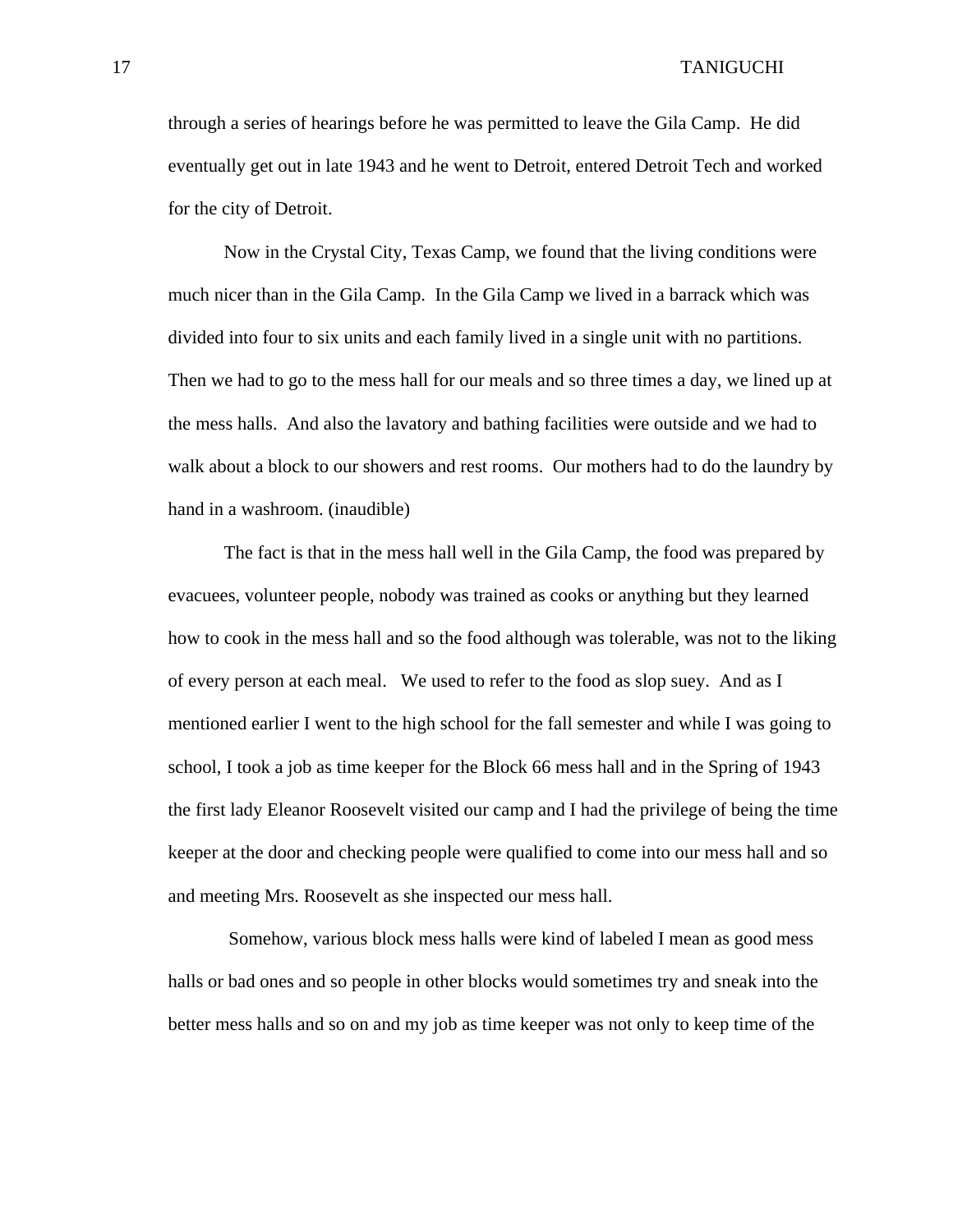through a series of hearings before he was permitted to leave the Gila Camp. He did eventually get out in late 1943 and he went to Detroit, entered Detroit Tech and worked for the city of Detroit.

Now in the Crystal City, Texas Camp, we found that the living conditions were much nicer than in the Gila Camp. In the Gila Camp we lived in a barrack which was divided into four to six units and each family lived in a single unit with no partitions. Then we had to go to the mess hall for our meals and so three times a day, we lined up at the mess halls. And also the lavatory and bathing facilities were outside and we had to walk about a block to our showers and rest rooms. Our mothers had to do the laundry by hand in a washroom. (inaudible)

The fact is that in the mess hall well in the Gila Camp, the food was prepared by evacuees, volunteer people, nobody was trained as cooks or anything but they learned how to cook in the mess hall and so the food although was tolerable, was not to the liking of every person at each meal. We used to refer to the food as slop suey. And as I mentioned earlier I went to the high school for the fall semester and while I was going to school, I took a job as time keeper for the Block 66 mess hall and in the Spring of 1943 the first lady Eleanor Roosevelt visited our camp and I had the privilege of being the time keeper at the door and checking people were qualified to come into our mess hall and so and meeting Mrs. Roosevelt as she inspected our mess hall.

 Somehow, various block mess halls were kind of labeled I mean as good mess halls or bad ones and so people in other blocks would sometimes try and sneak into the better mess halls and so on and my job as time keeper was not only to keep time of the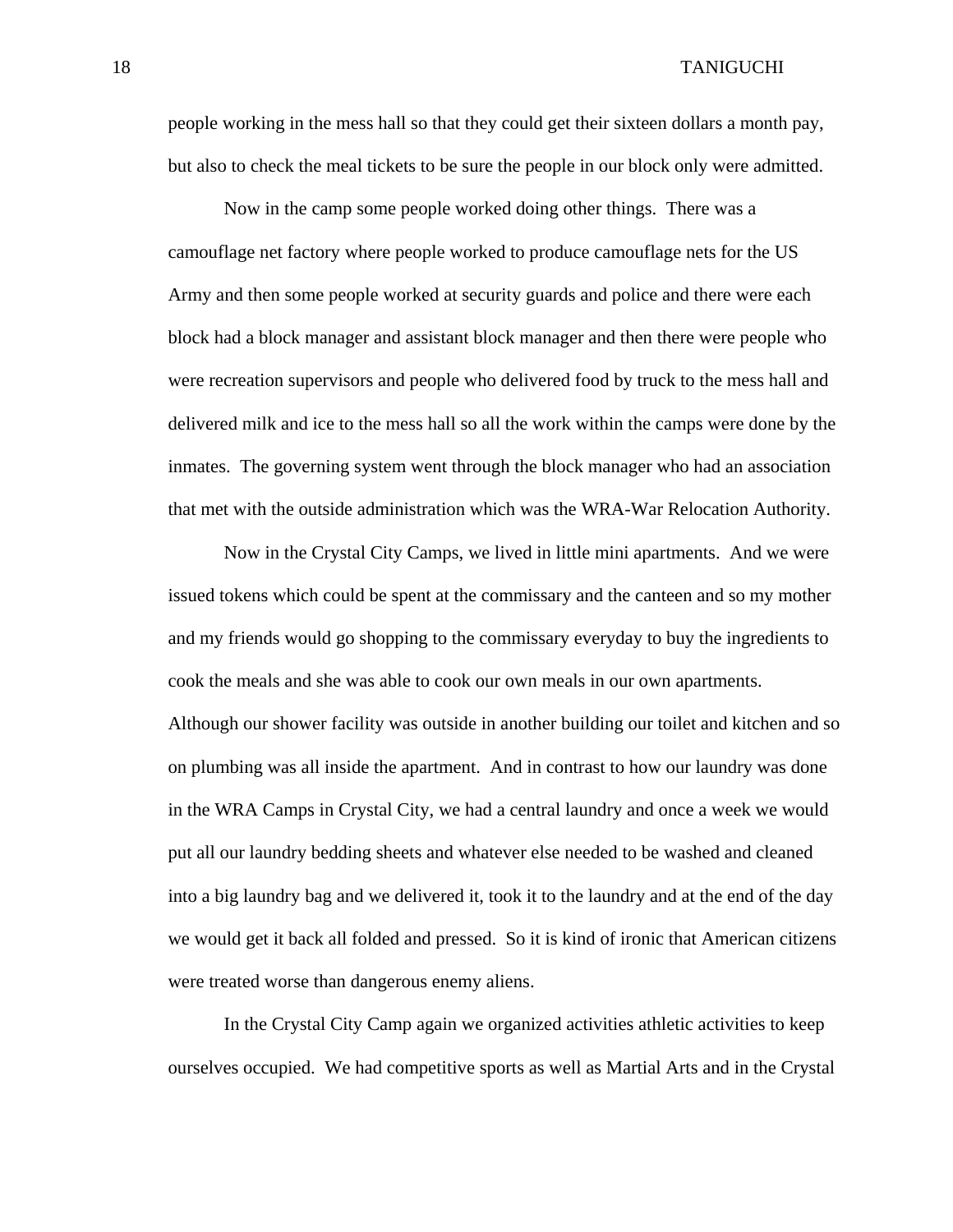people working in the mess hall so that they could get their sixteen dollars a month pay, but also to check the meal tickets to be sure the people in our block only were admitted.

Now in the camp some people worked doing other things. There was a camouflage net factory where people worked to produce camouflage nets for the US Army and then some people worked at security guards and police and there were each block had a block manager and assistant block manager and then there were people who were recreation supervisors and people who delivered food by truck to the mess hall and delivered milk and ice to the mess hall so all the work within the camps were done by the inmates. The governing system went through the block manager who had an association that met with the outside administration which was the WRA-War Relocation Authority.

Now in the Crystal City Camps, we lived in little mini apartments. And we were issued tokens which could be spent at the commissary and the canteen and so my mother and my friends would go shopping to the commissary everyday to buy the ingredients to cook the meals and she was able to cook our own meals in our own apartments. Although our shower facility was outside in another building our toilet and kitchen and so on plumbing was all inside the apartment. And in contrast to how our laundry was done in the WRA Camps in Crystal City, we had a central laundry and once a week we would put all our laundry bedding sheets and whatever else needed to be washed and cleaned into a big laundry bag and we delivered it, took it to the laundry and at the end of the day we would get it back all folded and pressed. So it is kind of ironic that American citizens were treated worse than dangerous enemy aliens.

In the Crystal City Camp again we organized activities athletic activities to keep ourselves occupied. We had competitive sports as well as Martial Arts and in the Crystal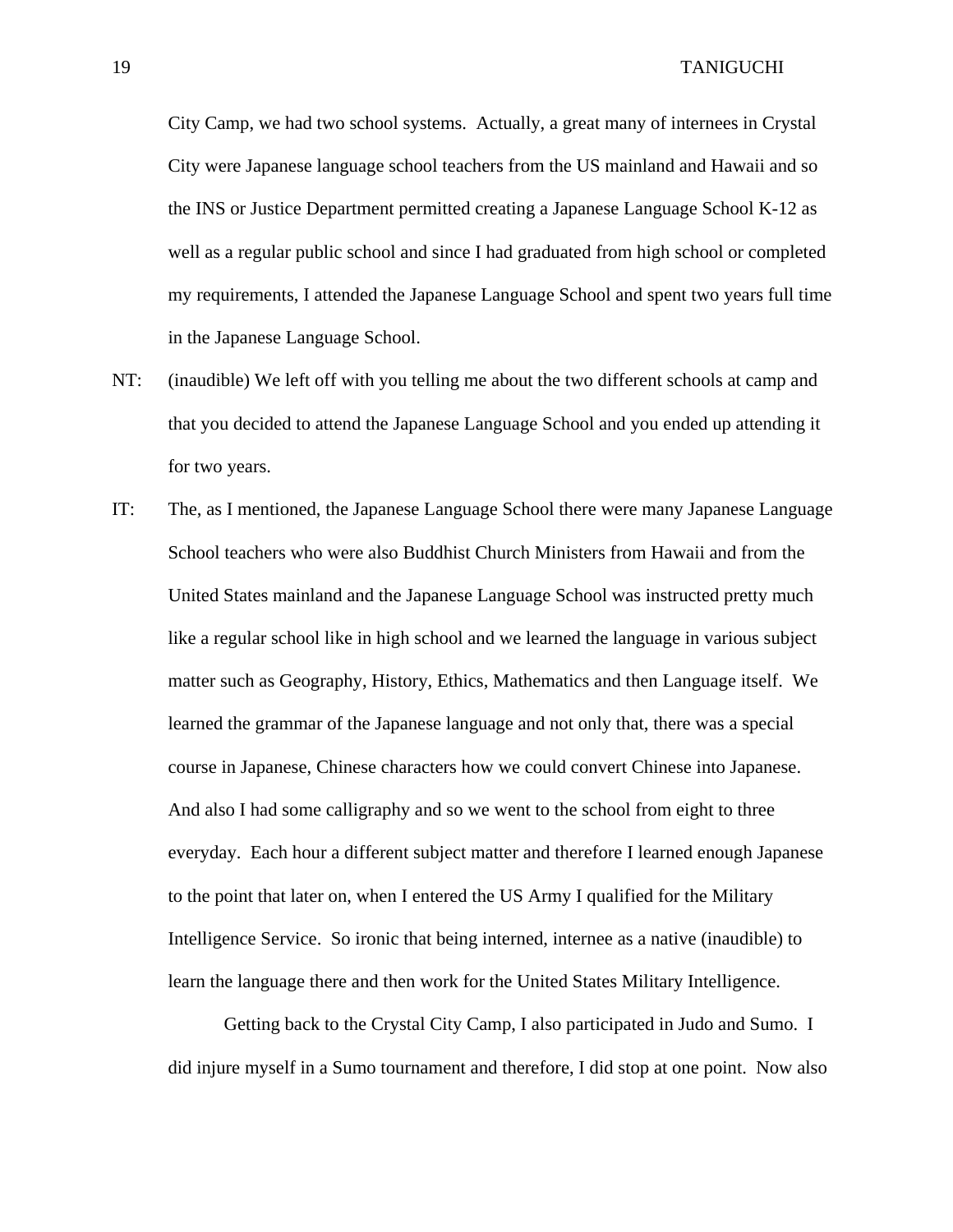City Camp, we had two school systems. Actually, a great many of internees in Crystal City were Japanese language school teachers from the US mainland and Hawaii and so the INS or Justice Department permitted creating a Japanese Language School K-12 as well as a regular public school and since I had graduated from high school or completed my requirements, I attended the Japanese Language School and spent two years full time in the Japanese Language School.

- NT: (inaudible) We left off with you telling me about the two different schools at camp and that you decided to attend the Japanese Language School and you ended up attending it for two years.
- IT: The, as I mentioned, the Japanese Language School there were many Japanese Language School teachers who were also Buddhist Church Ministers from Hawaii and from the United States mainland and the Japanese Language School was instructed pretty much like a regular school like in high school and we learned the language in various subject matter such as Geography, History, Ethics, Mathematics and then Language itself. We learned the grammar of the Japanese language and not only that, there was a special course in Japanese, Chinese characters how we could convert Chinese into Japanese. And also I had some calligraphy and so we went to the school from eight to three everyday. Each hour a different subject matter and therefore I learned enough Japanese to the point that later on, when I entered the US Army I qualified for the Military Intelligence Service. So ironic that being interned, internee as a native (inaudible) to learn the language there and then work for the United States Military Intelligence.

 Getting back to the Crystal City Camp, I also participated in Judo and Sumo. I did injure myself in a Sumo tournament and therefore, I did stop at one point. Now also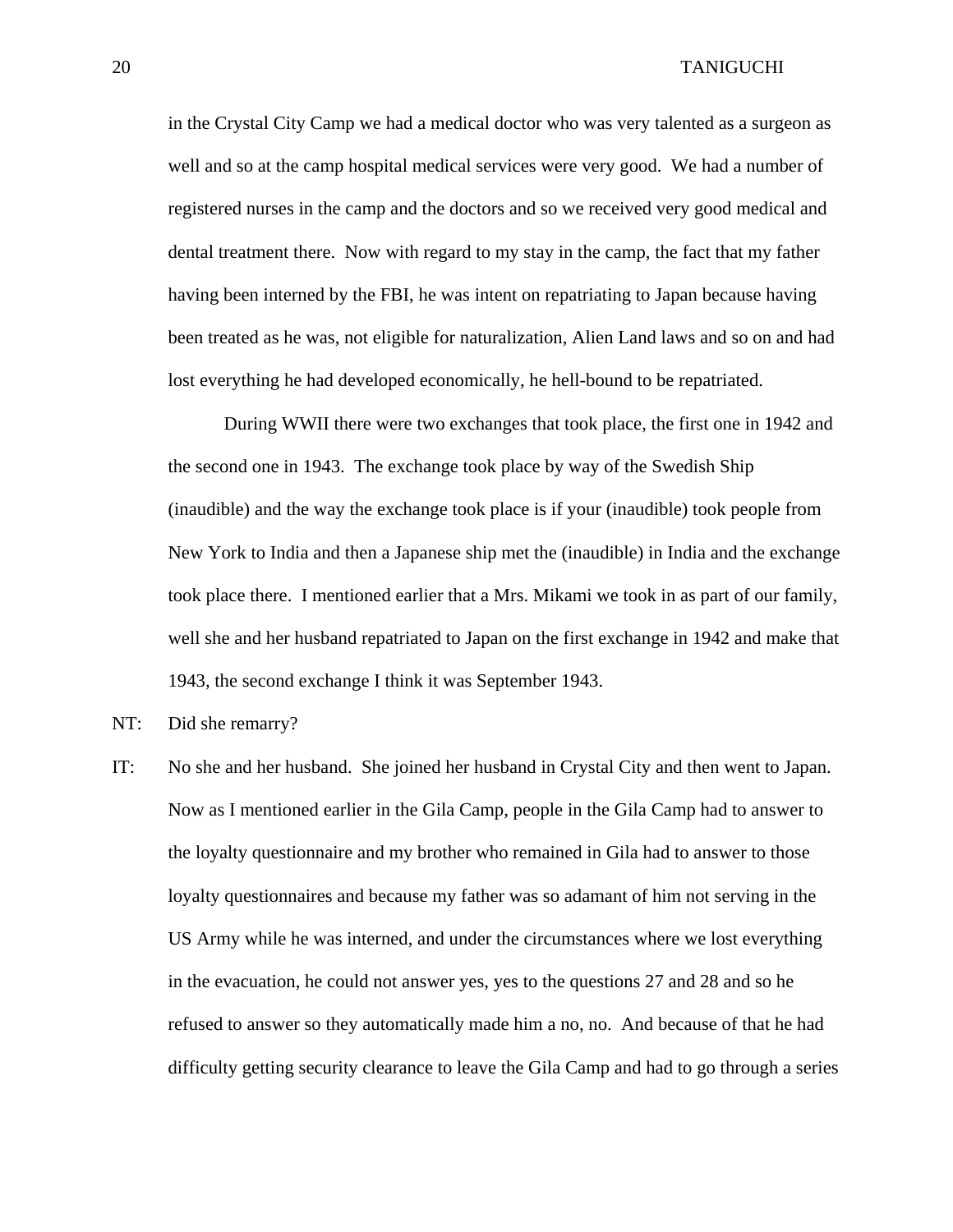in the Crystal City Camp we had a medical doctor who was very talented as a surgeon as well and so at the camp hospital medical services were very good. We had a number of registered nurses in the camp and the doctors and so we received very good medical and dental treatment there. Now with regard to my stay in the camp, the fact that my father having been interned by the FBI, he was intent on repatriating to Japan because having been treated as he was, not eligible for naturalization, Alien Land laws and so on and had lost everything he had developed economically, he hell-bound to be repatriated.

During WWII there were two exchanges that took place, the first one in 1942 and the second one in 1943. The exchange took place by way of the Swedish Ship (inaudible) and the way the exchange took place is if your (inaudible) took people from New York to India and then a Japanese ship met the (inaudible) in India and the exchange took place there. I mentioned earlier that a Mrs. Mikami we took in as part of our family, well she and her husband repatriated to Japan on the first exchange in 1942 and make that 1943, the second exchange I think it was September 1943.

- NT: Did she remarry?
- IT: No she and her husband. She joined her husband in Crystal City and then went to Japan. Now as I mentioned earlier in the Gila Camp, people in the Gila Camp had to answer to the loyalty questionnaire and my brother who remained in Gila had to answer to those loyalty questionnaires and because my father was so adamant of him not serving in the US Army while he was interned, and under the circumstances where we lost everything in the evacuation, he could not answer yes, yes to the questions 27 and 28 and so he refused to answer so they automatically made him a no, no. And because of that he had difficulty getting security clearance to leave the Gila Camp and had to go through a series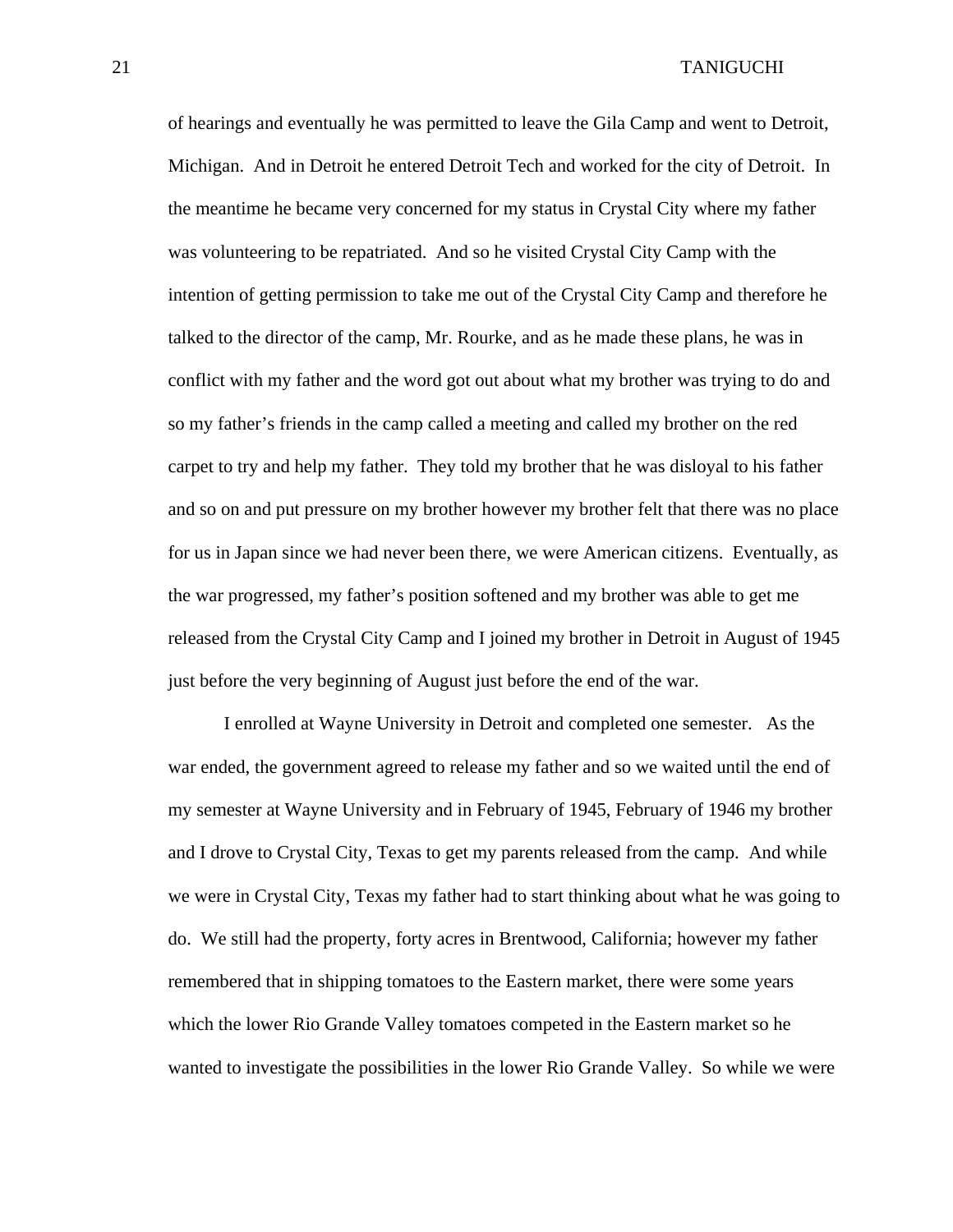of hearings and eventually he was permitted to leave the Gila Camp and went to Detroit, Michigan. And in Detroit he entered Detroit Tech and worked for the city of Detroit. In the meantime he became very concerned for my status in Crystal City where my father was volunteering to be repatriated. And so he visited Crystal City Camp with the intention of getting permission to take me out of the Crystal City Camp and therefore he talked to the director of the camp, Mr. Rourke, and as he made these plans, he was in conflict with my father and the word got out about what my brother was trying to do and so my father's friends in the camp called a meeting and called my brother on the red carpet to try and help my father. They told my brother that he was disloyal to his father and so on and put pressure on my brother however my brother felt that there was no place for us in Japan since we had never been there, we were American citizens. Eventually, as the war progressed, my father's position softened and my brother was able to get me released from the Crystal City Camp and I joined my brother in Detroit in August of 1945 just before the very beginning of August just before the end of the war.

 I enrolled at Wayne University in Detroit and completed one semester. As the war ended, the government agreed to release my father and so we waited until the end of my semester at Wayne University and in February of 1945, February of 1946 my brother and I drove to Crystal City, Texas to get my parents released from the camp. And while we were in Crystal City, Texas my father had to start thinking about what he was going to do. We still had the property, forty acres in Brentwood, California; however my father remembered that in shipping tomatoes to the Eastern market, there were some years which the lower Rio Grande Valley tomatoes competed in the Eastern market so he wanted to investigate the possibilities in the lower Rio Grande Valley. So while we were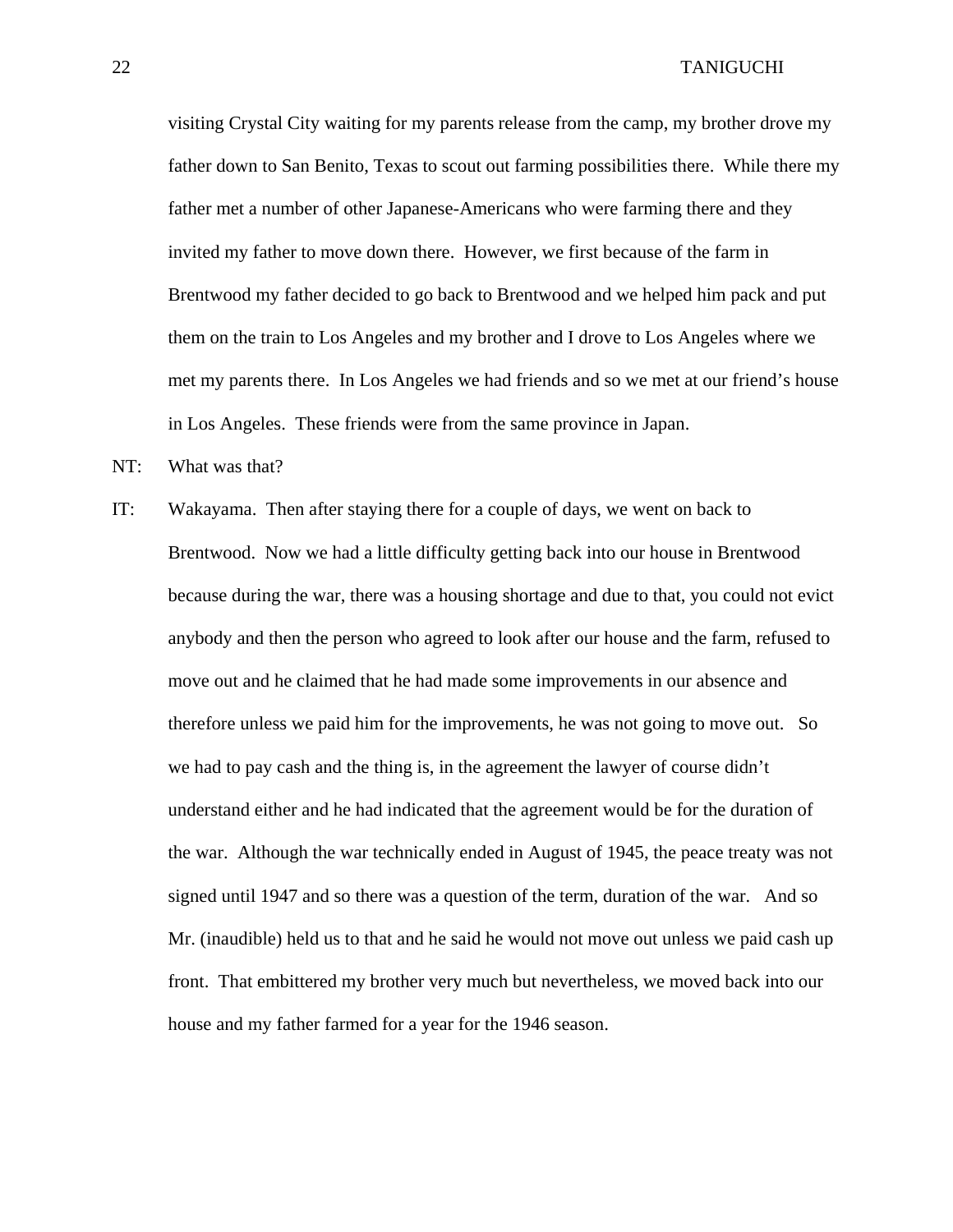visiting Crystal City waiting for my parents release from the camp, my brother drove my father down to San Benito, Texas to scout out farming possibilities there. While there my father met a number of other Japanese-Americans who were farming there and they invited my father to move down there. However, we first because of the farm in Brentwood my father decided to go back to Brentwood and we helped him pack and put them on the train to Los Angeles and my brother and I drove to Los Angeles where we met my parents there. In Los Angeles we had friends and so we met at our friend's house in Los Angeles. These friends were from the same province in Japan.

NT: What was that?

IT: Wakayama. Then after staying there for a couple of days, we went on back to Brentwood. Now we had a little difficulty getting back into our house in Brentwood because during the war, there was a housing shortage and due to that, you could not evict anybody and then the person who agreed to look after our house and the farm, refused to move out and he claimed that he had made some improvements in our absence and therefore unless we paid him for the improvements, he was not going to move out. So we had to pay cash and the thing is, in the agreement the lawyer of course didn't understand either and he had indicated that the agreement would be for the duration of the war. Although the war technically ended in August of 1945, the peace treaty was not signed until 1947 and so there was a question of the term, duration of the war. And so Mr. (inaudible) held us to that and he said he would not move out unless we paid cash up front. That embittered my brother very much but nevertheless, we moved back into our house and my father farmed for a year for the 1946 season.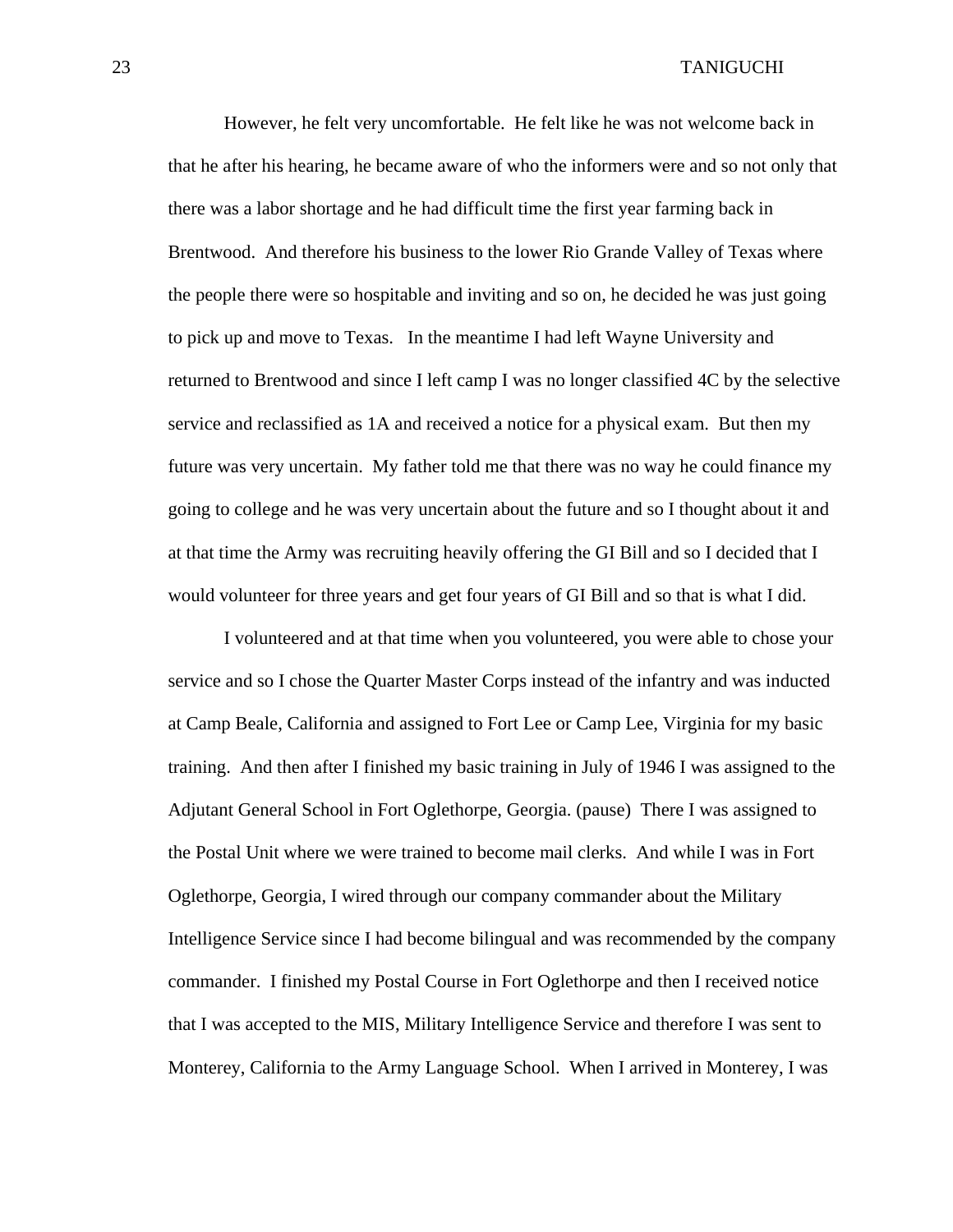However, he felt very uncomfortable. He felt like he was not welcome back in that he after his hearing, he became aware of who the informers were and so not only that there was a labor shortage and he had difficult time the first year farming back in Brentwood. And therefore his business to the lower Rio Grande Valley of Texas where the people there were so hospitable and inviting and so on, he decided he was just going to pick up and move to Texas. In the meantime I had left Wayne University and returned to Brentwood and since I left camp I was no longer classified 4C by the selective service and reclassified as 1A and received a notice for a physical exam. But then my future was very uncertain. My father told me that there was no way he could finance my going to college and he was very uncertain about the future and so I thought about it and at that time the Army was recruiting heavily offering the GI Bill and so I decided that I would volunteer for three years and get four years of GI Bill and so that is what I did.

 I volunteered and at that time when you volunteered, you were able to chose your service and so I chose the Quarter Master Corps instead of the infantry and was inducted at Camp Beale, California and assigned to Fort Lee or Camp Lee, Virginia for my basic training. And then after I finished my basic training in July of 1946 I was assigned to the Adjutant General School in Fort Oglethorpe, Georgia. (pause) There I was assigned to the Postal Unit where we were trained to become mail clerks. And while I was in Fort Oglethorpe, Georgia, I wired through our company commander about the Military Intelligence Service since I had become bilingual and was recommended by the company commander. I finished my Postal Course in Fort Oglethorpe and then I received notice that I was accepted to the MIS, Military Intelligence Service and therefore I was sent to Monterey, California to the Army Language School. When I arrived in Monterey, I was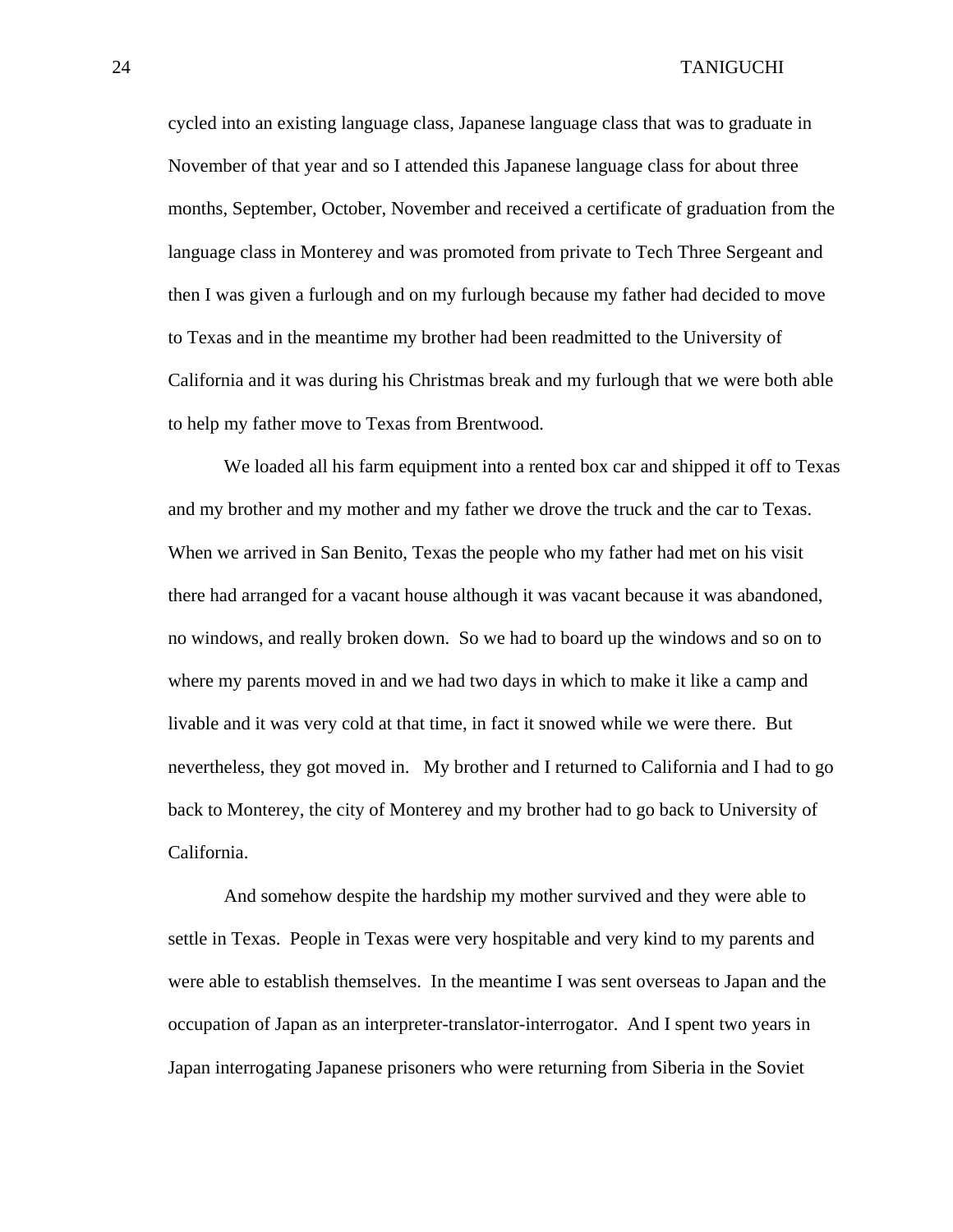cycled into an existing language class, Japanese language class that was to graduate in November of that year and so I attended this Japanese language class for about three months, September, October, November and received a certificate of graduation from the language class in Monterey and was promoted from private to Tech Three Sergeant and then I was given a furlough and on my furlough because my father had decided to move to Texas and in the meantime my brother had been readmitted to the University of California and it was during his Christmas break and my furlough that we were both able to help my father move to Texas from Brentwood.

 We loaded all his farm equipment into a rented box car and shipped it off to Texas and my brother and my mother and my father we drove the truck and the car to Texas. When we arrived in San Benito, Texas the people who my father had met on his visit there had arranged for a vacant house although it was vacant because it was abandoned, no windows, and really broken down. So we had to board up the windows and so on to where my parents moved in and we had two days in which to make it like a camp and livable and it was very cold at that time, in fact it snowed while we were there. But nevertheless, they got moved in. My brother and I returned to California and I had to go back to Monterey, the city of Monterey and my brother had to go back to University of California.

 And somehow despite the hardship my mother survived and they were able to settle in Texas. People in Texas were very hospitable and very kind to my parents and were able to establish themselves. In the meantime I was sent overseas to Japan and the occupation of Japan as an interpreter-translator-interrogator. And I spent two years in Japan interrogating Japanese prisoners who were returning from Siberia in the Soviet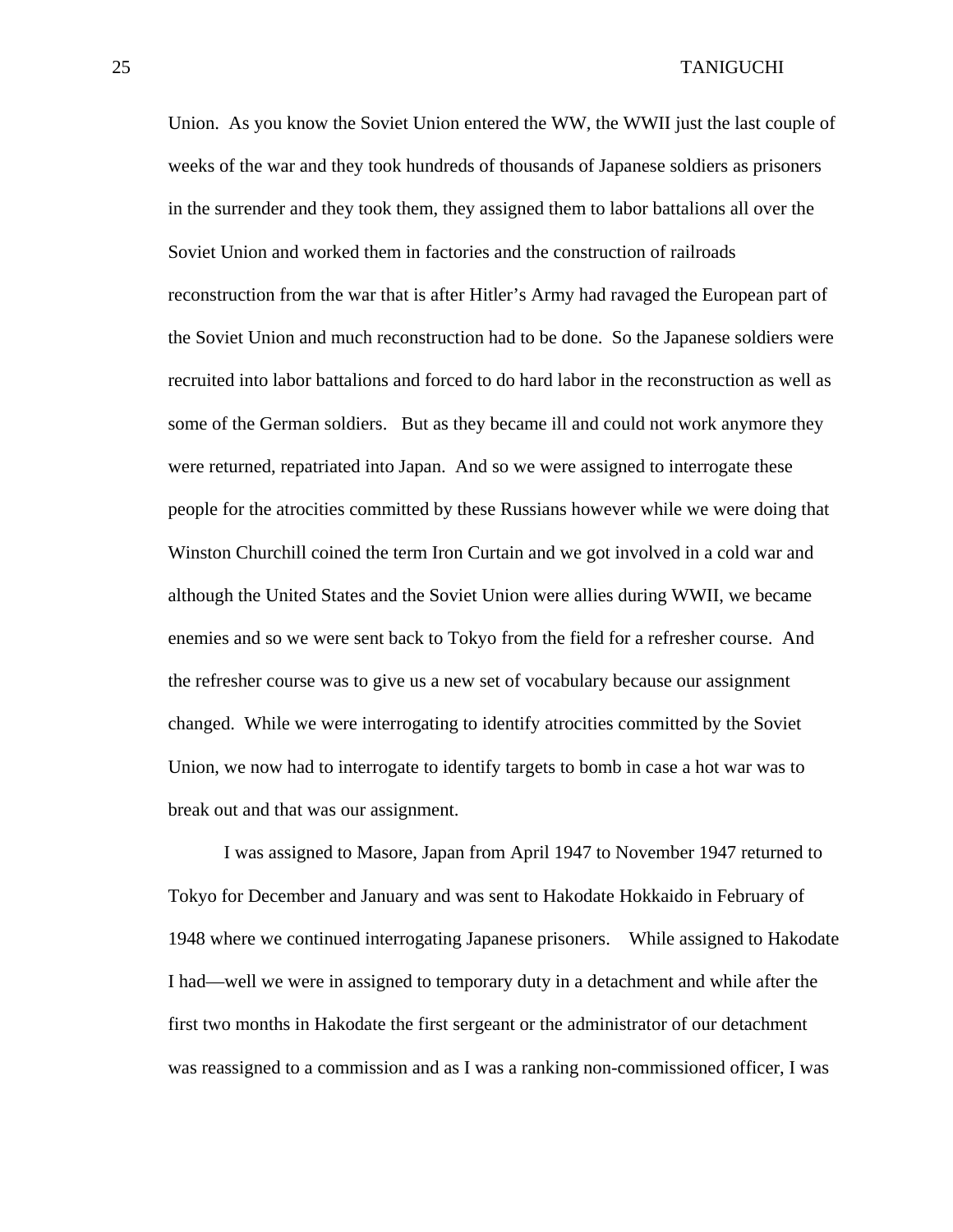Union. As you know the Soviet Union entered the WW, the WWII just the last couple of weeks of the war and they took hundreds of thousands of Japanese soldiers as prisoners in the surrender and they took them, they assigned them to labor battalions all over the Soviet Union and worked them in factories and the construction of railroads reconstruction from the war that is after Hitler's Army had ravaged the European part of the Soviet Union and much reconstruction had to be done. So the Japanese soldiers were recruited into labor battalions and forced to do hard labor in the reconstruction as well as some of the German soldiers. But as they became ill and could not work anymore they were returned, repatriated into Japan. And so we were assigned to interrogate these people for the atrocities committed by these Russians however while we were doing that Winston Churchill coined the term Iron Curtain and we got involved in a cold war and although the United States and the Soviet Union were allies during WWII, we became enemies and so we were sent back to Tokyo from the field for a refresher course. And the refresher course was to give us a new set of vocabulary because our assignment changed. While we were interrogating to identify atrocities committed by the Soviet Union, we now had to interrogate to identify targets to bomb in case a hot war was to break out and that was our assignment.

 I was assigned to Masore, Japan from April 1947 to November 1947 returned to Tokyo for December and January and was sent to Hakodate Hokkaido in February of 1948 where we continued interrogating Japanese prisoners. While assigned to Hakodate I had—well we were in assigned to temporary duty in a detachment and while after the first two months in Hakodate the first sergeant or the administrator of our detachment was reassigned to a commission and as I was a ranking non-commissioned officer, I was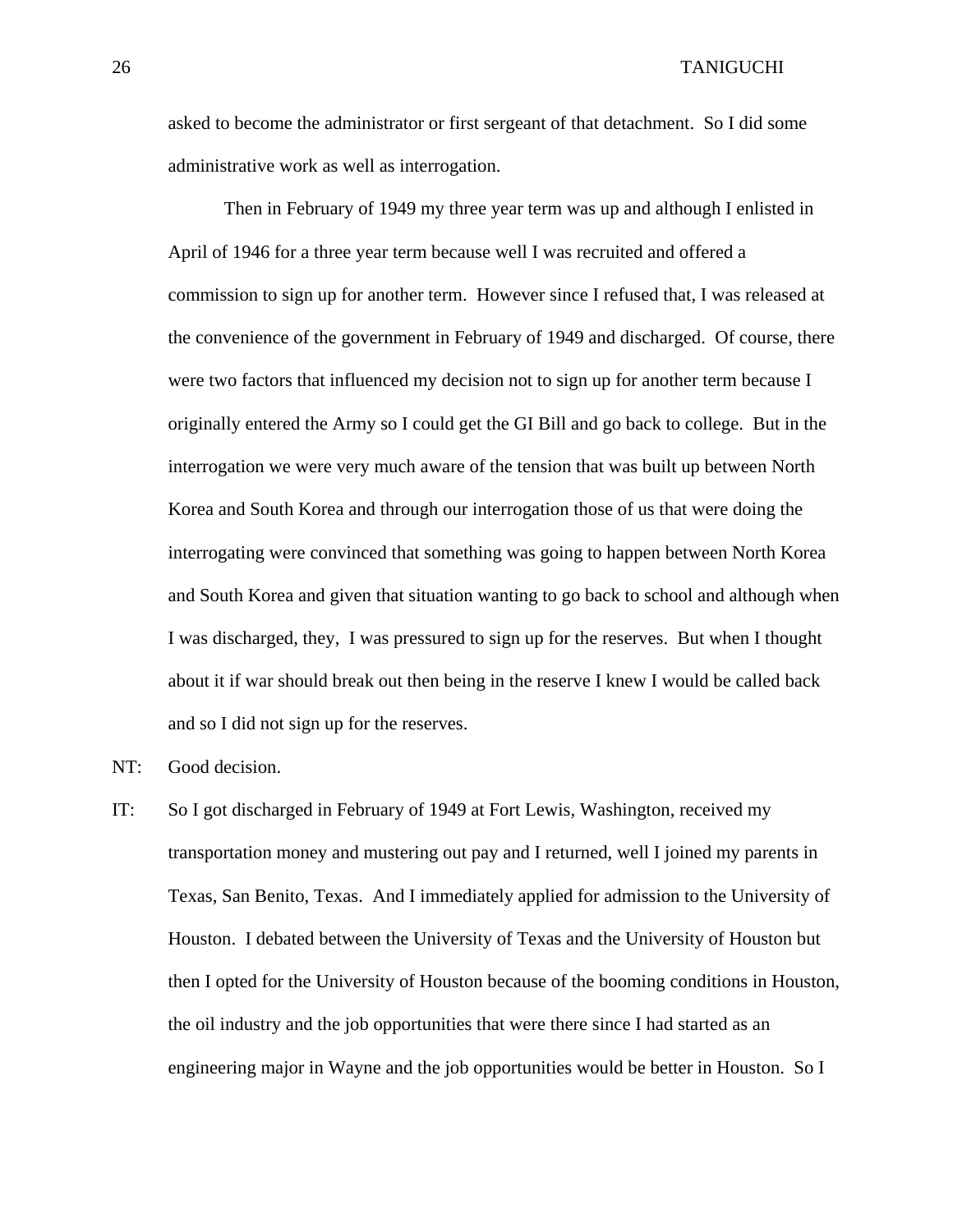asked to become the administrator or first sergeant of that detachment. So I did some administrative work as well as interrogation.

Then in February of 1949 my three year term was up and although I enlisted in April of 1946 for a three year term because well I was recruited and offered a commission to sign up for another term. However since I refused that, I was released at the convenience of the government in February of 1949 and discharged. Of course, there were two factors that influenced my decision not to sign up for another term because I originally entered the Army so I could get the GI Bill and go back to college. But in the interrogation we were very much aware of the tension that was built up between North Korea and South Korea and through our interrogation those of us that were doing the interrogating were convinced that something was going to happen between North Korea and South Korea and given that situation wanting to go back to school and although when I was discharged, they, I was pressured to sign up for the reserves. But when I thought about it if war should break out then being in the reserve I knew I would be called back and so I did not sign up for the reserves.

- NT: Good decision.
- IT: So I got discharged in February of 1949 at Fort Lewis, Washington, received my transportation money and mustering out pay and I returned, well I joined my parents in Texas, San Benito, Texas. And I immediately applied for admission to the University of Houston. I debated between the University of Texas and the University of Houston but then I opted for the University of Houston because of the booming conditions in Houston, the oil industry and the job opportunities that were there since I had started as an engineering major in Wayne and the job opportunities would be better in Houston. So I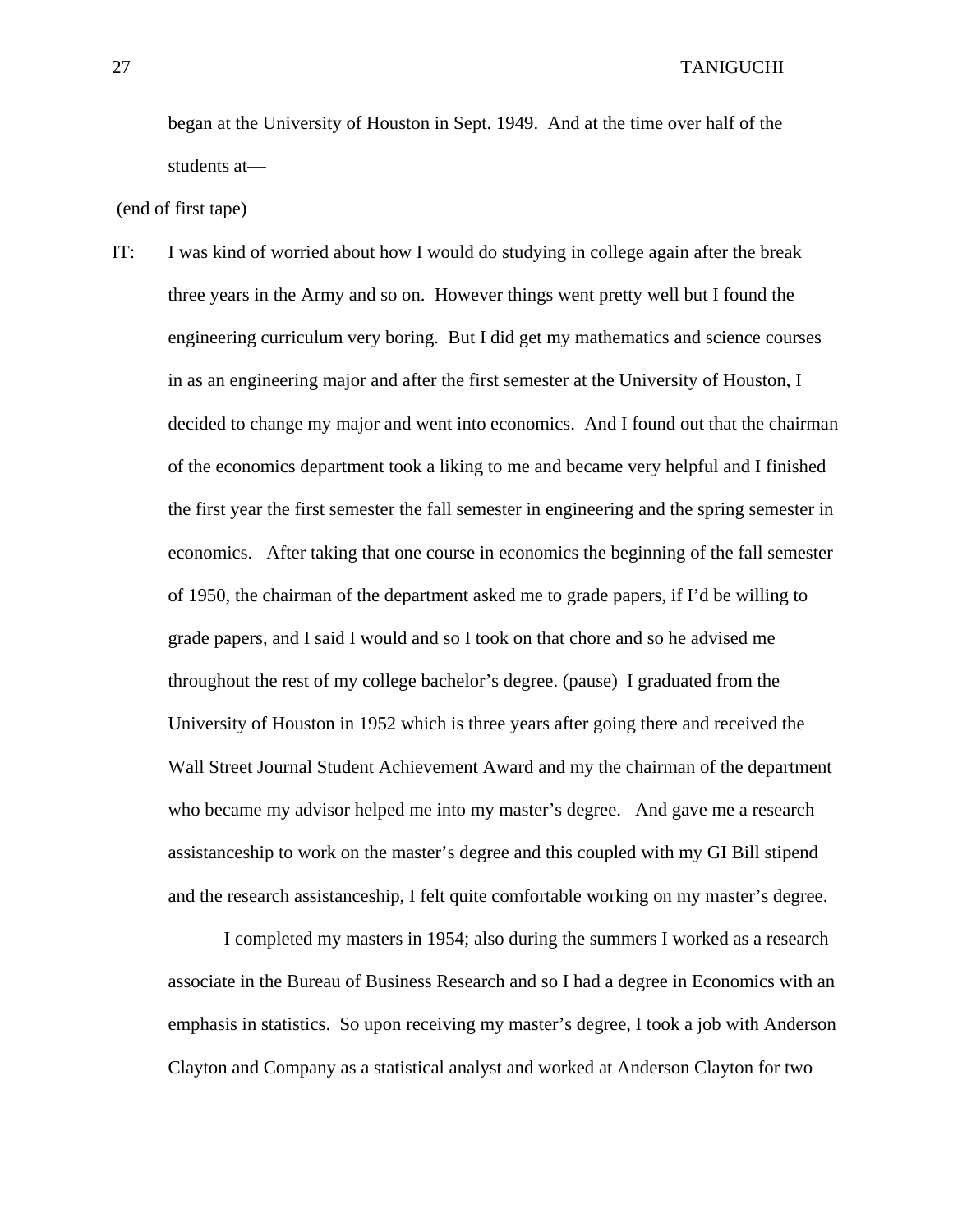began at the University of Houston in Sept. 1949. And at the time over half of the students at—

(end of first tape)

IT: I was kind of worried about how I would do studying in college again after the break three years in the Army and so on. However things went pretty well but I found the engineering curriculum very boring. But I did get my mathematics and science courses in as an engineering major and after the first semester at the University of Houston, I decided to change my major and went into economics. And I found out that the chairman of the economics department took a liking to me and became very helpful and I finished the first year the first semester the fall semester in engineering and the spring semester in economics. After taking that one course in economics the beginning of the fall semester of 1950, the chairman of the department asked me to grade papers, if I'd be willing to grade papers, and I said I would and so I took on that chore and so he advised me throughout the rest of my college bachelor's degree. (pause) I graduated from the University of Houston in 1952 which is three years after going there and received the Wall Street Journal Student Achievement Award and my the chairman of the department who became my advisor helped me into my master's degree. And gave me a research assistanceship to work on the master's degree and this coupled with my GI Bill stipend and the research assistanceship, I felt quite comfortable working on my master's degree.

 I completed my masters in 1954; also during the summers I worked as a research associate in the Bureau of Business Research and so I had a degree in Economics with an emphasis in statistics. So upon receiving my master's degree, I took a job with Anderson Clayton and Company as a statistical analyst and worked at Anderson Clayton for two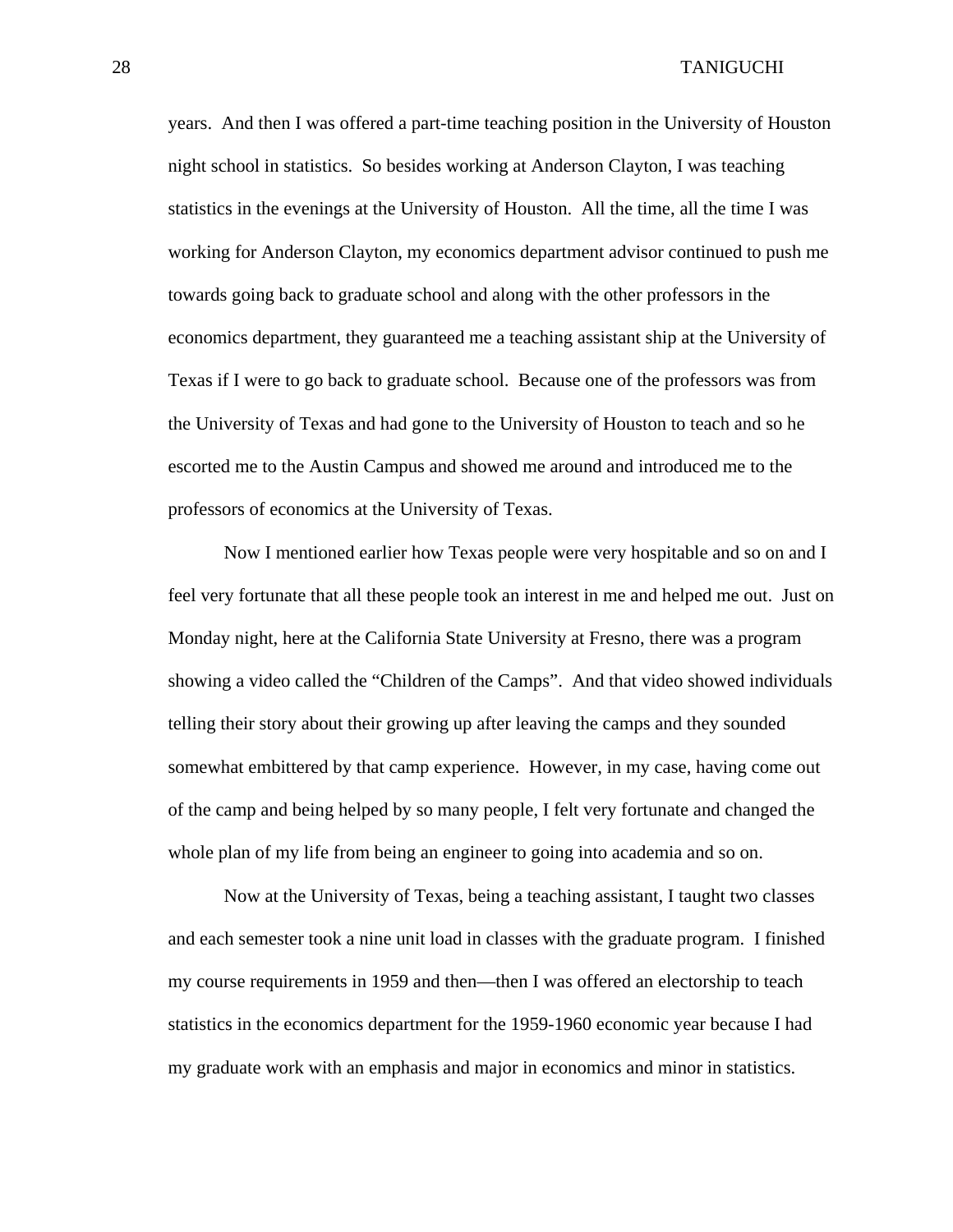years. And then I was offered a part-time teaching position in the University of Houston night school in statistics. So besides working at Anderson Clayton, I was teaching statistics in the evenings at the University of Houston. All the time, all the time I was working for Anderson Clayton, my economics department advisor continued to push me towards going back to graduate school and along with the other professors in the economics department, they guaranteed me a teaching assistant ship at the University of Texas if I were to go back to graduate school. Because one of the professors was from the University of Texas and had gone to the University of Houston to teach and so he escorted me to the Austin Campus and showed me around and introduced me to the professors of economics at the University of Texas.

Now I mentioned earlier how Texas people were very hospitable and so on and I feel very fortunate that all these people took an interest in me and helped me out. Just on Monday night, here at the California State University at Fresno, there was a program showing a video called the "Children of the Camps". And that video showed individuals telling their story about their growing up after leaving the camps and they sounded somewhat embittered by that camp experience. However, in my case, having come out of the camp and being helped by so many people, I felt very fortunate and changed the whole plan of my life from being an engineer to going into academia and so on.

Now at the University of Texas, being a teaching assistant, I taught two classes and each semester took a nine unit load in classes with the graduate program. I finished my course requirements in 1959 and then—then I was offered an electorship to teach statistics in the economics department for the 1959-1960 economic year because I had my graduate work with an emphasis and major in economics and minor in statistics.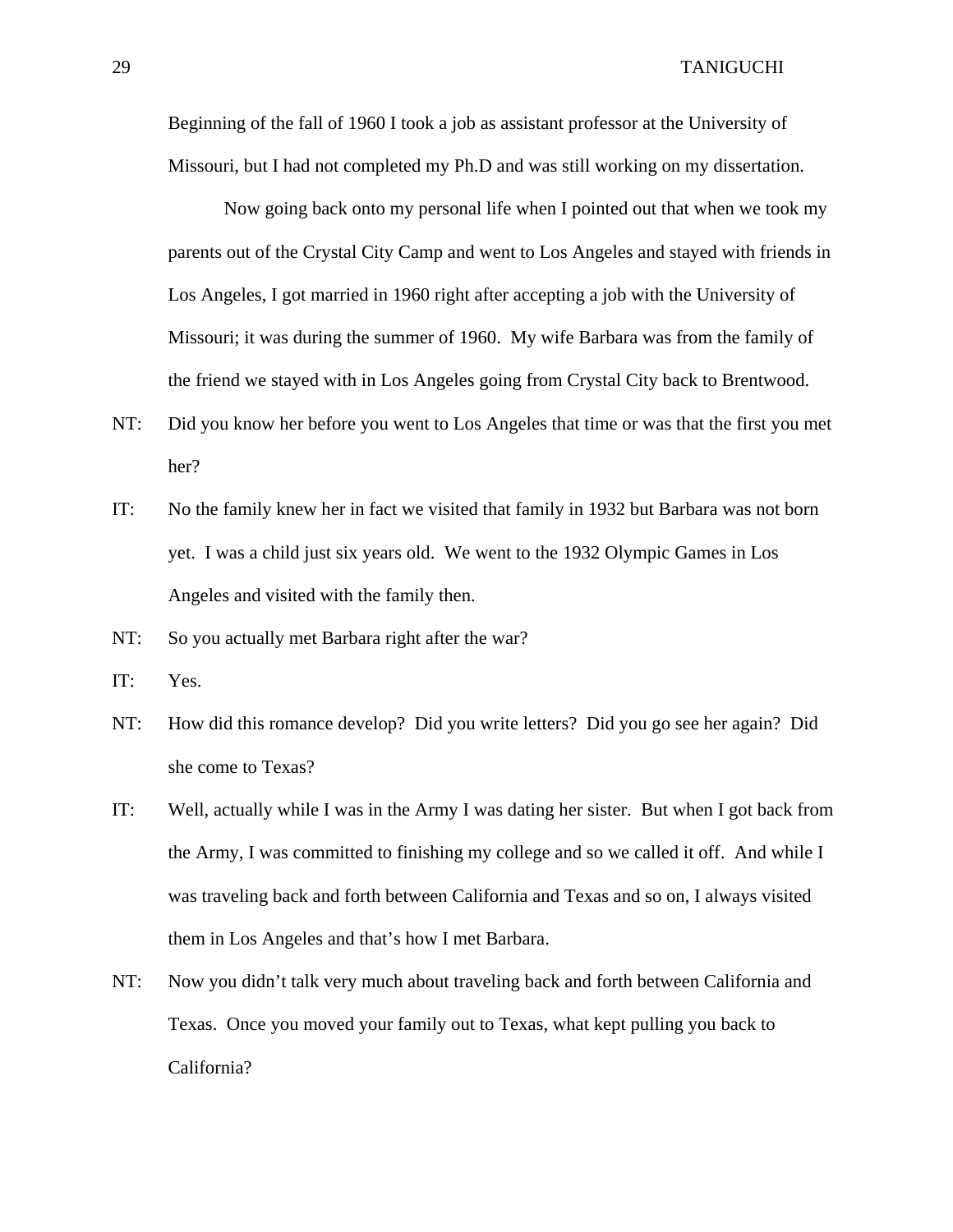Beginning of the fall of 1960 I took a job as assistant professor at the University of Missouri, but I had not completed my Ph.D and was still working on my dissertation.

Now going back onto my personal life when I pointed out that when we took my parents out of the Crystal City Camp and went to Los Angeles and stayed with friends in Los Angeles, I got married in 1960 right after accepting a job with the University of Missouri; it was during the summer of 1960. My wife Barbara was from the family of the friend we stayed with in Los Angeles going from Crystal City back to Brentwood.

- NT: Did you know her before you went to Los Angeles that time or was that the first you met her?
- IT: No the family knew her in fact we visited that family in 1932 but Barbara was not born yet. I was a child just six years old. We went to the 1932 Olympic Games in Los Angeles and visited with the family then.
- NT: So you actually met Barbara right after the war?
- IT: Yes.
- NT: How did this romance develop? Did you write letters? Did you go see her again? Did she come to Texas?
- IT: Well, actually while I was in the Army I was dating her sister. But when I got back from the Army, I was committed to finishing my college and so we called it off. And while I was traveling back and forth between California and Texas and so on, I always visited them in Los Angeles and that's how I met Barbara.
- NT: Now you didn't talk very much about traveling back and forth between California and Texas. Once you moved your family out to Texas, what kept pulling you back to California?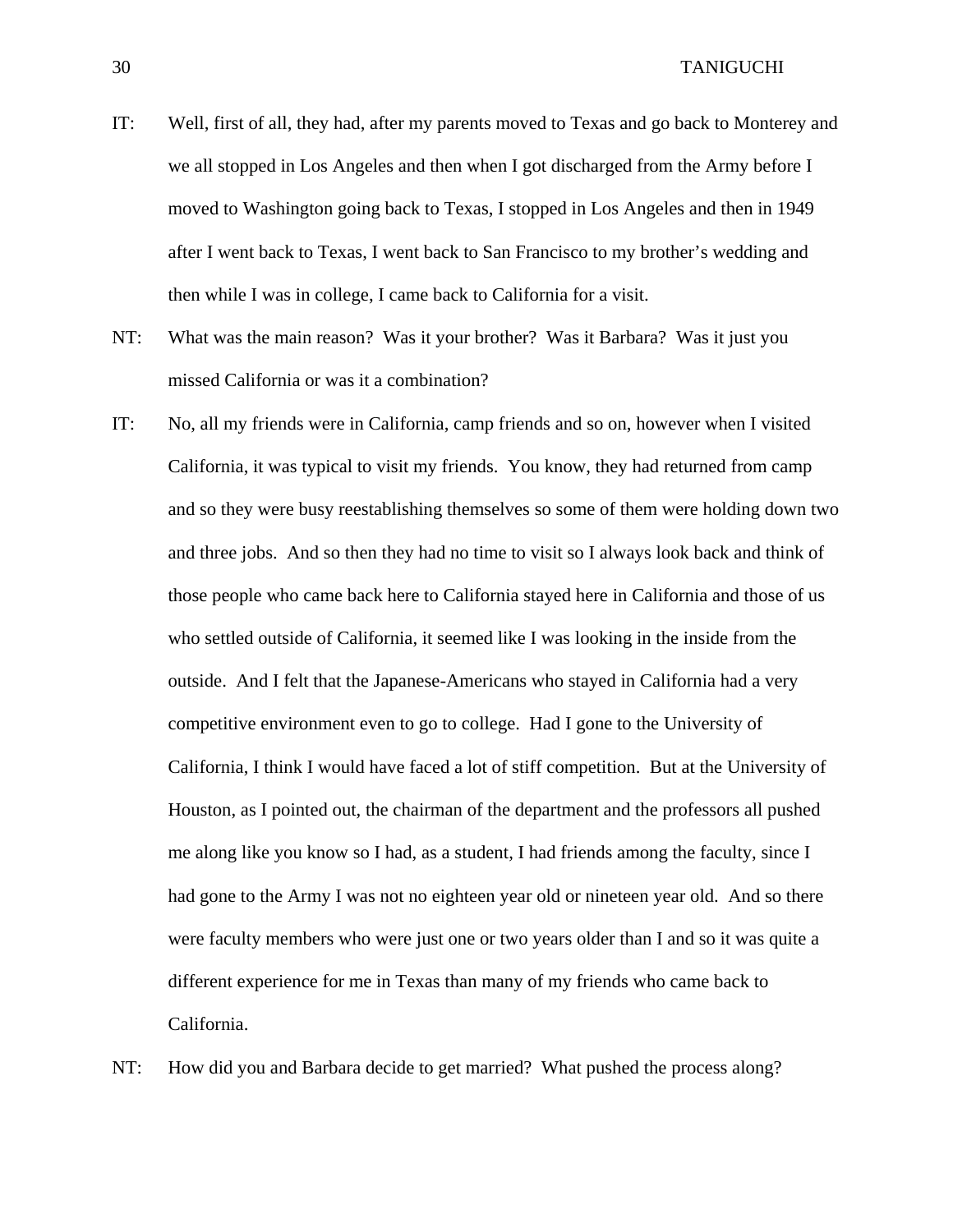- IT: Well, first of all, they had, after my parents moved to Texas and go back to Monterey and we all stopped in Los Angeles and then when I got discharged from the Army before I moved to Washington going back to Texas, I stopped in Los Angeles and then in 1949 after I went back to Texas, I went back to San Francisco to my brother's wedding and then while I was in college, I came back to California for a visit.
- NT: What was the main reason? Was it your brother? Was it Barbara? Was it just you missed California or was it a combination?
- IT: No, all my friends were in California, camp friends and so on, however when I visited California, it was typical to visit my friends. You know, they had returned from camp and so they were busy reestablishing themselves so some of them were holding down two and three jobs. And so then they had no time to visit so I always look back and think of those people who came back here to California stayed here in California and those of us who settled outside of California, it seemed like I was looking in the inside from the outside. And I felt that the Japanese-Americans who stayed in California had a very competitive environment even to go to college. Had I gone to the University of California, I think I would have faced a lot of stiff competition. But at the University of Houston, as I pointed out, the chairman of the department and the professors all pushed me along like you know so I had, as a student, I had friends among the faculty, since I had gone to the Army I was not no eighteen year old or nineteen year old. And so there were faculty members who were just one or two years older than I and so it was quite a different experience for me in Texas than many of my friends who came back to California.

NT: How did you and Barbara decide to get married? What pushed the process along?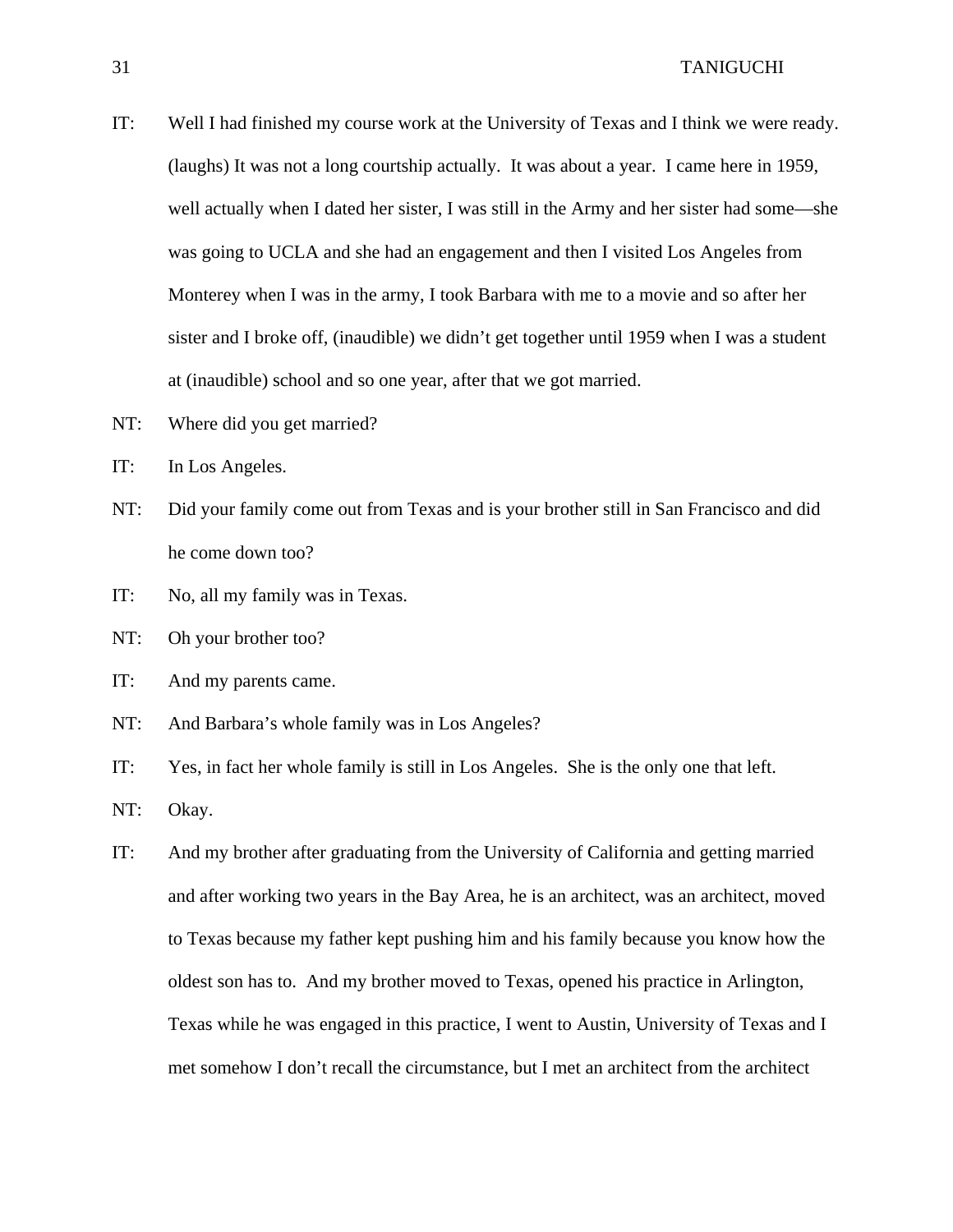- IT: Well I had finished my course work at the University of Texas and I think we were ready. (laughs) It was not a long courtship actually. It was about a year. I came here in 1959, well actually when I dated her sister, I was still in the Army and her sister had some—she was going to UCLA and she had an engagement and then I visited Los Angeles from Monterey when I was in the army, I took Barbara with me to a movie and so after her sister and I broke off, (inaudible) we didn't get together until 1959 when I was a student at (inaudible) school and so one year, after that we got married.
- NT: Where did you get married?
- IT: In Los Angeles.
- NT: Did your family come out from Texas and is your brother still in San Francisco and did he come down too?
- IT: No, all my family was in Texas.
- NT: Oh your brother too?
- IT: And my parents came.
- NT: And Barbara's whole family was in Los Angeles?
- IT: Yes, in fact her whole family is still in Los Angeles. She is the only one that left.
- NT: Okay.
- IT: And my brother after graduating from the University of California and getting married and after working two years in the Bay Area, he is an architect, was an architect, moved to Texas because my father kept pushing him and his family because you know how the oldest son has to. And my brother moved to Texas, opened his practice in Arlington, Texas while he was engaged in this practice, I went to Austin, University of Texas and I met somehow I don't recall the circumstance, but I met an architect from the architect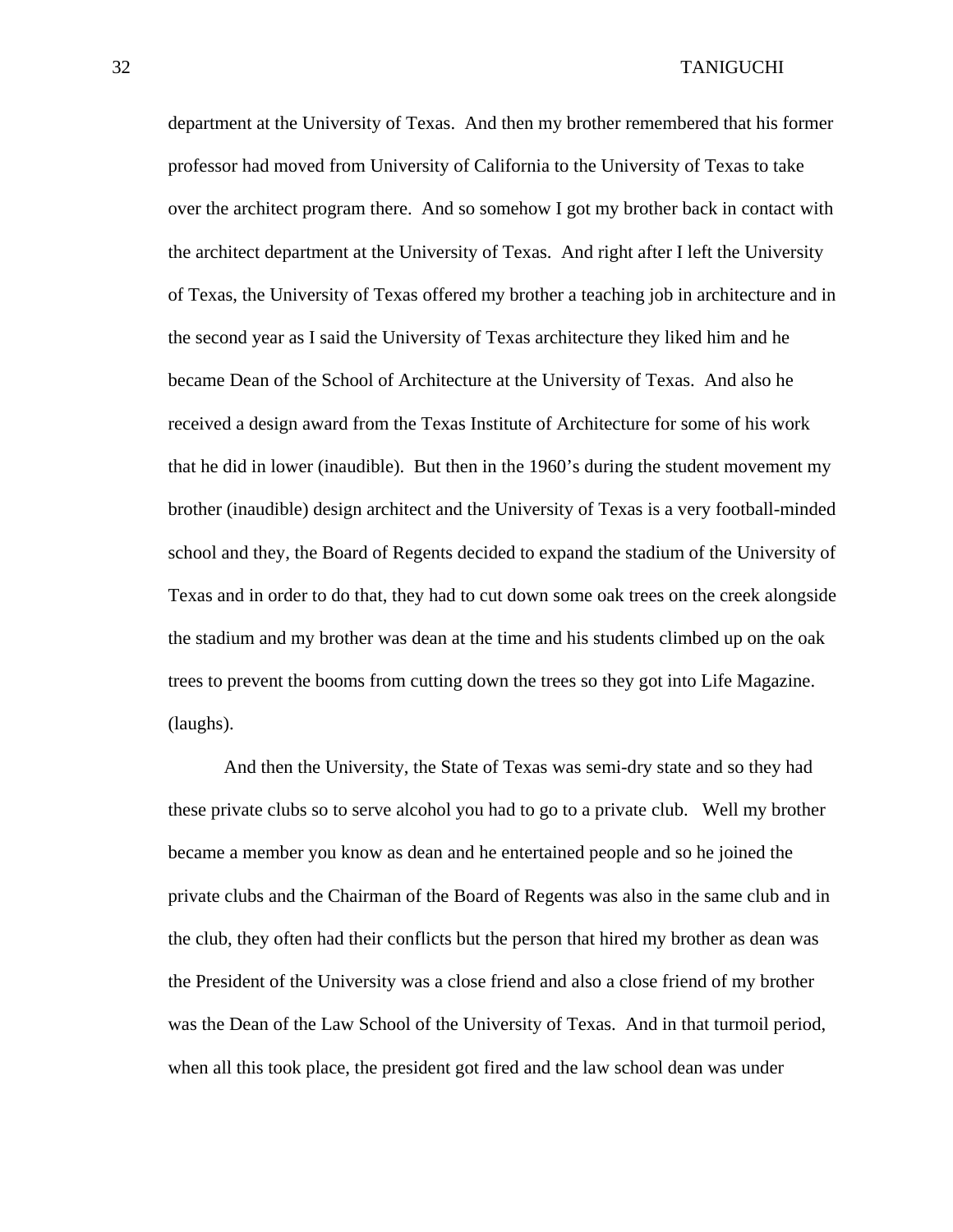department at the University of Texas. And then my brother remembered that his former professor had moved from University of California to the University of Texas to take over the architect program there. And so somehow I got my brother back in contact with the architect department at the University of Texas. And right after I left the University of Texas, the University of Texas offered my brother a teaching job in architecture and in the second year as I said the University of Texas architecture they liked him and he became Dean of the School of Architecture at the University of Texas. And also he received a design award from the Texas Institute of Architecture for some of his work that he did in lower (inaudible). But then in the 1960's during the student movement my brother (inaudible) design architect and the University of Texas is a very football-minded school and they, the Board of Regents decided to expand the stadium of the University of Texas and in order to do that, they had to cut down some oak trees on the creek alongside the stadium and my brother was dean at the time and his students climbed up on the oak trees to prevent the booms from cutting down the trees so they got into Life Magazine. (laughs).

 And then the University, the State of Texas was semi-dry state and so they had these private clubs so to serve alcohol you had to go to a private club. Well my brother became a member you know as dean and he entertained people and so he joined the private clubs and the Chairman of the Board of Regents was also in the same club and in the club, they often had their conflicts but the person that hired my brother as dean was the President of the University was a close friend and also a close friend of my brother was the Dean of the Law School of the University of Texas. And in that turmoil period, when all this took place, the president got fired and the law school dean was under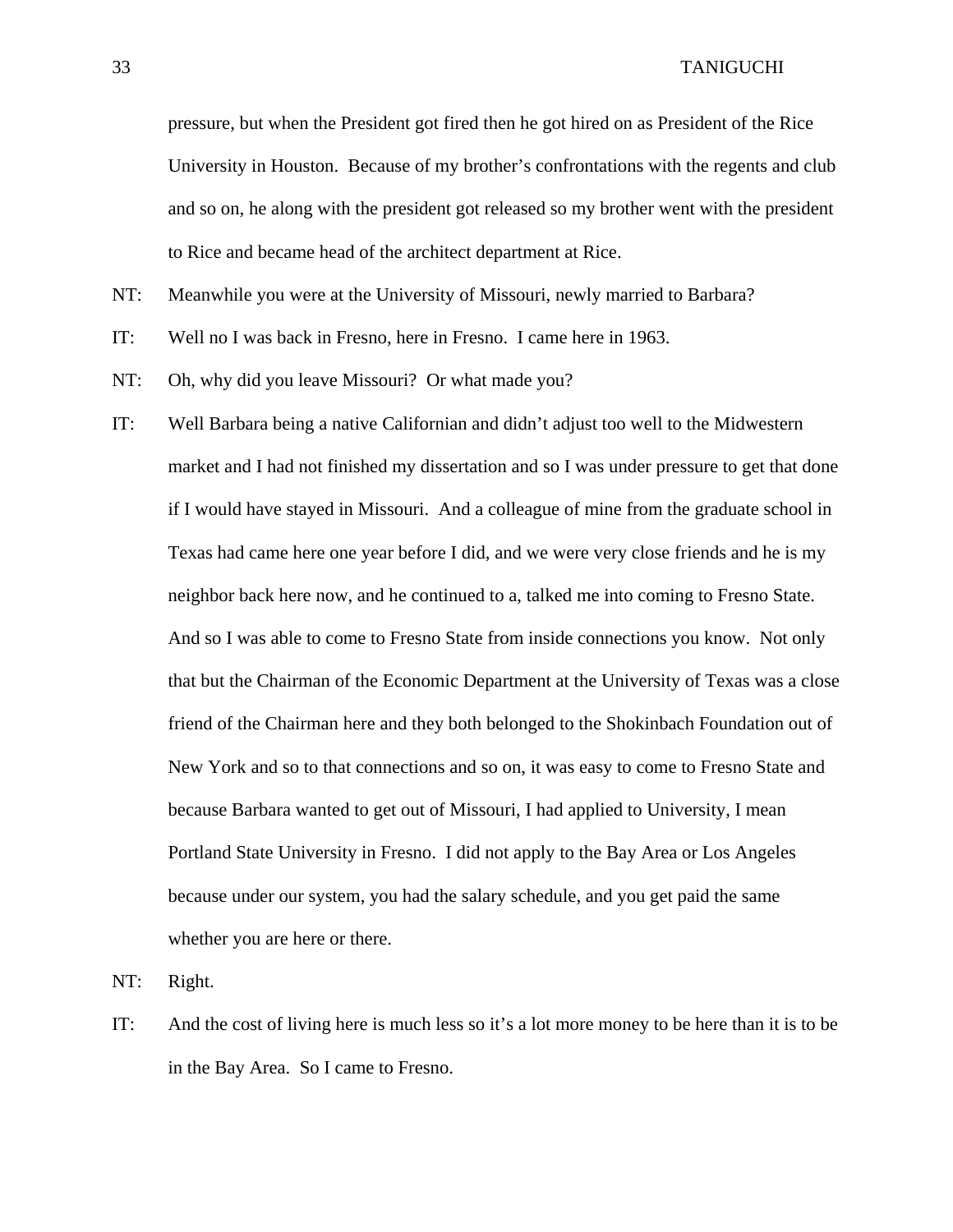pressure, but when the President got fired then he got hired on as President of the Rice University in Houston. Because of my brother's confrontations with the regents and club and so on, he along with the president got released so my brother went with the president to Rice and became head of the architect department at Rice.

NT: Meanwhile you were at the University of Missouri, newly married to Barbara?

- IT: Well no I was back in Fresno, here in Fresno. I came here in 1963.
- NT: Oh, why did you leave Missouri? Or what made you?
- IT: Well Barbara being a native Californian and didn't adjust too well to the Midwestern market and I had not finished my dissertation and so I was under pressure to get that done if I would have stayed in Missouri. And a colleague of mine from the graduate school in Texas had came here one year before I did, and we were very close friends and he is my neighbor back here now, and he continued to a, talked me into coming to Fresno State. And so I was able to come to Fresno State from inside connections you know. Not only that but the Chairman of the Economic Department at the University of Texas was a close friend of the Chairman here and they both belonged to the Shokinbach Foundation out of New York and so to that connections and so on, it was easy to come to Fresno State and because Barbara wanted to get out of Missouri, I had applied to University, I mean Portland State University in Fresno. I did not apply to the Bay Area or Los Angeles because under our system, you had the salary schedule, and you get paid the same whether you are here or there.

NT: Right.

IT: And the cost of living here is much less so it's a lot more money to be here than it is to be in the Bay Area. So I came to Fresno.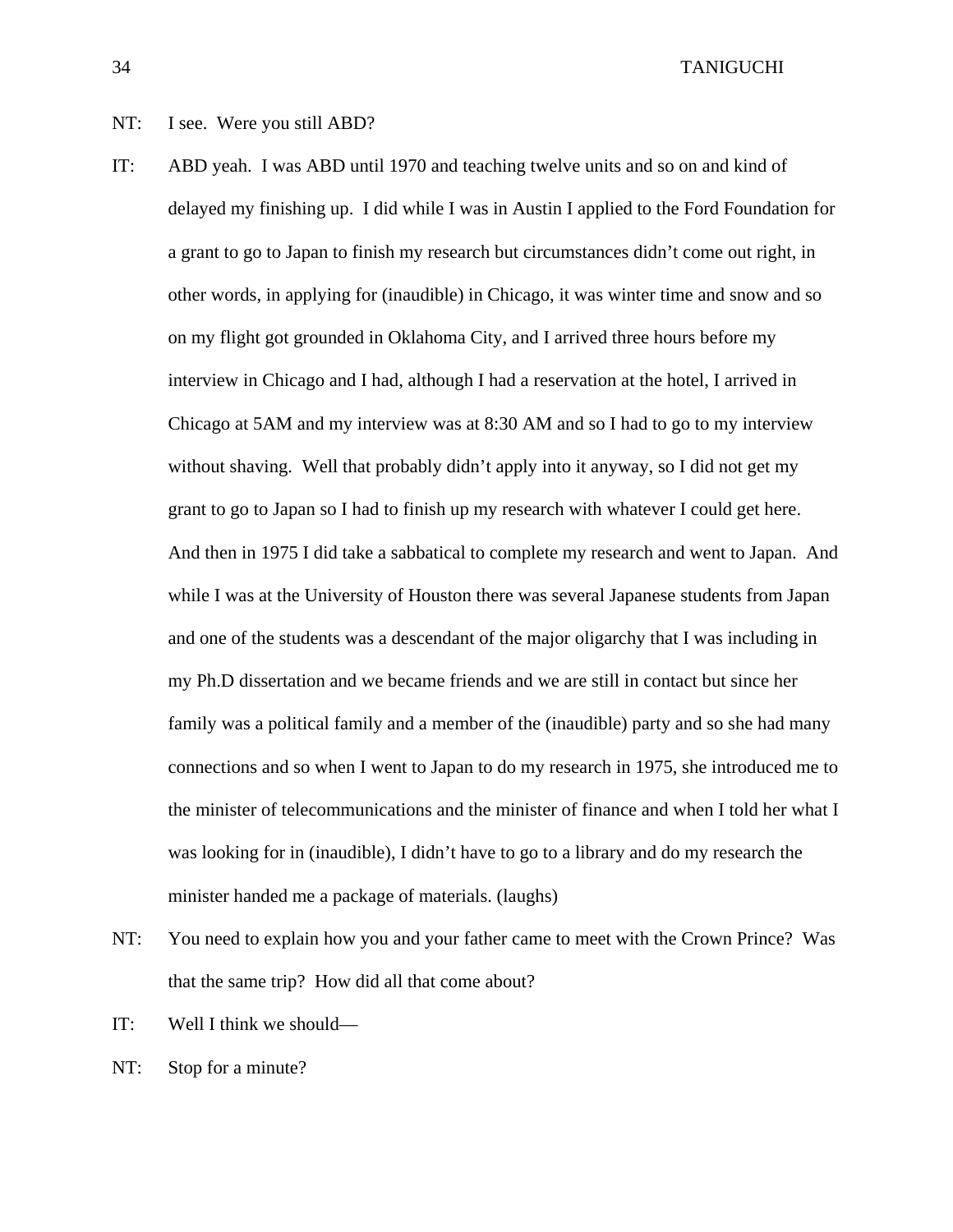## NT: I see. Were you still ABD?

- IT: ABD yeah. I was ABD until 1970 and teaching twelve units and so on and kind of delayed my finishing up. I did while I was in Austin I applied to the Ford Foundation for a grant to go to Japan to finish my research but circumstances didn't come out right, in other words, in applying for (inaudible) in Chicago, it was winter time and snow and so on my flight got grounded in Oklahoma City, and I arrived three hours before my interview in Chicago and I had, although I had a reservation at the hotel, I arrived in Chicago at 5AM and my interview was at 8:30 AM and so I had to go to my interview without shaving. Well that probably didn't apply into it anyway, so I did not get my grant to go to Japan so I had to finish up my research with whatever I could get here. And then in 1975 I did take a sabbatical to complete my research and went to Japan. And while I was at the University of Houston there was several Japanese students from Japan and one of the students was a descendant of the major oligarchy that I was including in my Ph.D dissertation and we became friends and we are still in contact but since her family was a political family and a member of the (inaudible) party and so she had many connections and so when I went to Japan to do my research in 1975, she introduced me to the minister of telecommunications and the minister of finance and when I told her what I was looking for in (inaudible), I didn't have to go to a library and do my research the minister handed me a package of materials. (laughs)
- NT: You need to explain how you and your father came to meet with the Crown Prince? Was that the same trip? How did all that come about?
- IT: Well I think we should—
- NT: Stop for a minute?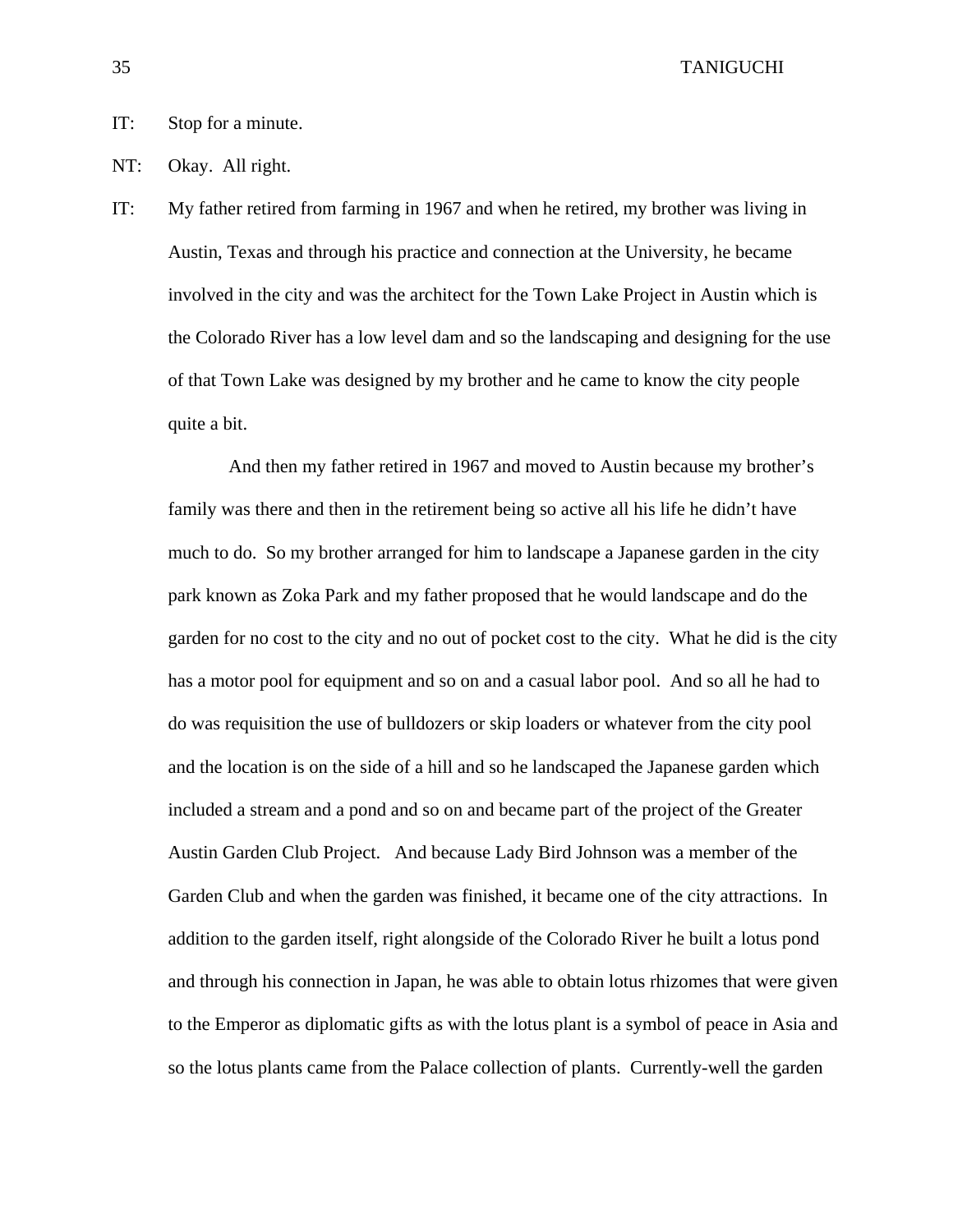# IT: Stop for a minute.

- NT: Okay. All right.
- IT: My father retired from farming in 1967 and when he retired, my brother was living in Austin, Texas and through his practice and connection at the University, he became involved in the city and was the architect for the Town Lake Project in Austin which is the Colorado River has a low level dam and so the landscaping and designing for the use of that Town Lake was designed by my brother and he came to know the city people quite a bit.

 And then my father retired in 1967 and moved to Austin because my brother's family was there and then in the retirement being so active all his life he didn't have much to do. So my brother arranged for him to landscape a Japanese garden in the city park known as Zoka Park and my father proposed that he would landscape and do the garden for no cost to the city and no out of pocket cost to the city. What he did is the city has a motor pool for equipment and so on and a casual labor pool. And so all he had to do was requisition the use of bulldozers or skip loaders or whatever from the city pool and the location is on the side of a hill and so he landscaped the Japanese garden which included a stream and a pond and so on and became part of the project of the Greater Austin Garden Club Project. And because Lady Bird Johnson was a member of the Garden Club and when the garden was finished, it became one of the city attractions. In addition to the garden itself, right alongside of the Colorado River he built a lotus pond and through his connection in Japan, he was able to obtain lotus rhizomes that were given to the Emperor as diplomatic gifts as with the lotus plant is a symbol of peace in Asia and so the lotus plants came from the Palace collection of plants. Currently-well the garden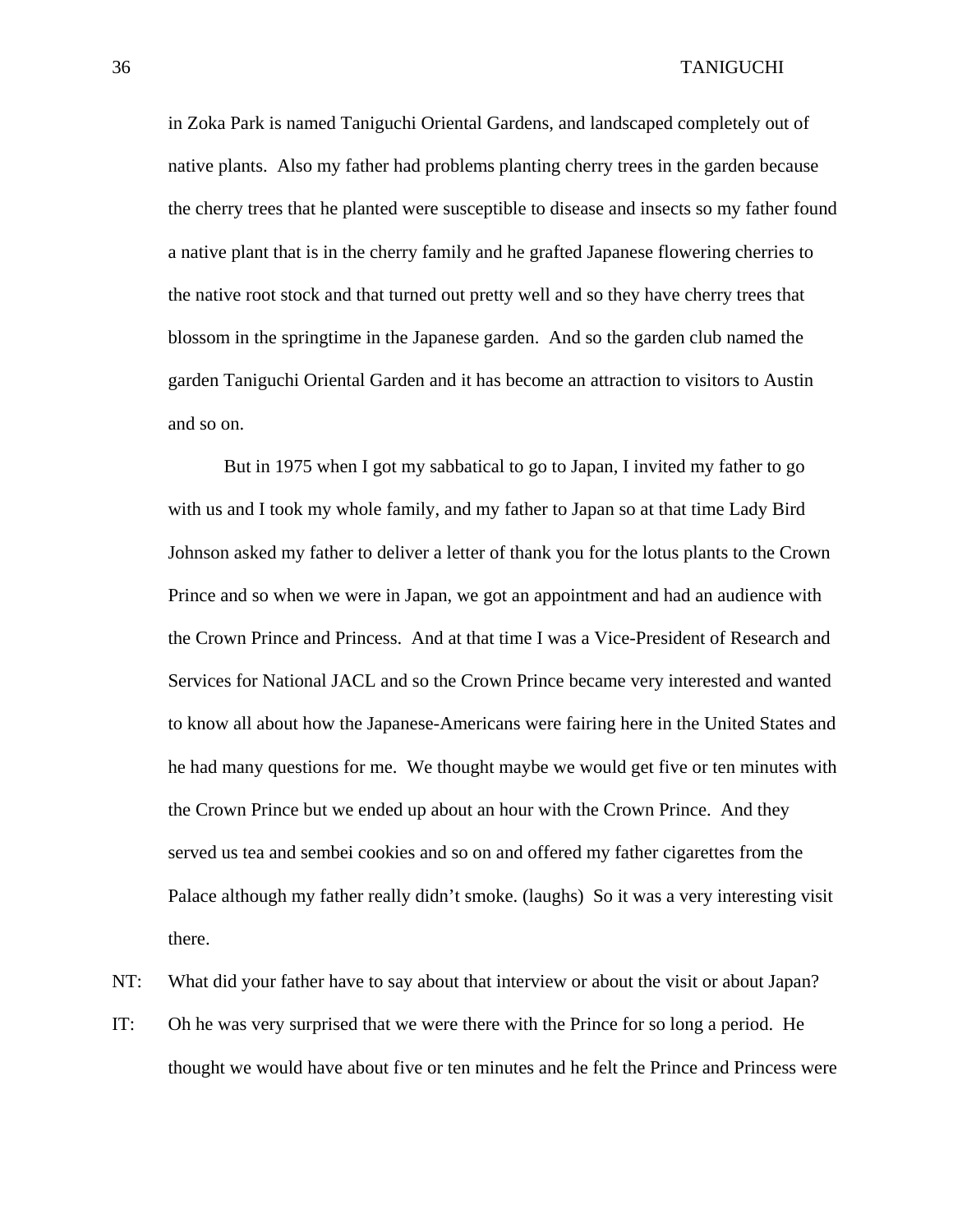in Zoka Park is named Taniguchi Oriental Gardens, and landscaped completely out of native plants. Also my father had problems planting cherry trees in the garden because the cherry trees that he planted were susceptible to disease and insects so my father found a native plant that is in the cherry family and he grafted Japanese flowering cherries to the native root stock and that turned out pretty well and so they have cherry trees that blossom in the springtime in the Japanese garden. And so the garden club named the garden Taniguchi Oriental Garden and it has become an attraction to visitors to Austin and so on.

But in 1975 when I got my sabbatical to go to Japan, I invited my father to go with us and I took my whole family, and my father to Japan so at that time Lady Bird Johnson asked my father to deliver a letter of thank you for the lotus plants to the Crown Prince and so when we were in Japan, we got an appointment and had an audience with the Crown Prince and Princess. And at that time I was a Vice-President of Research and Services for National JACL and so the Crown Prince became very interested and wanted to know all about how the Japanese-Americans were fairing here in the United States and he had many questions for me. We thought maybe we would get five or ten minutes with the Crown Prince but we ended up about an hour with the Crown Prince. And they served us tea and sembei cookies and so on and offered my father cigarettes from the Palace although my father really didn't smoke. (laughs) So it was a very interesting visit there.

NT: What did your father have to say about that interview or about the visit or about Japan?

IT: Oh he was very surprised that we were there with the Prince for so long a period. He thought we would have about five or ten minutes and he felt the Prince and Princess were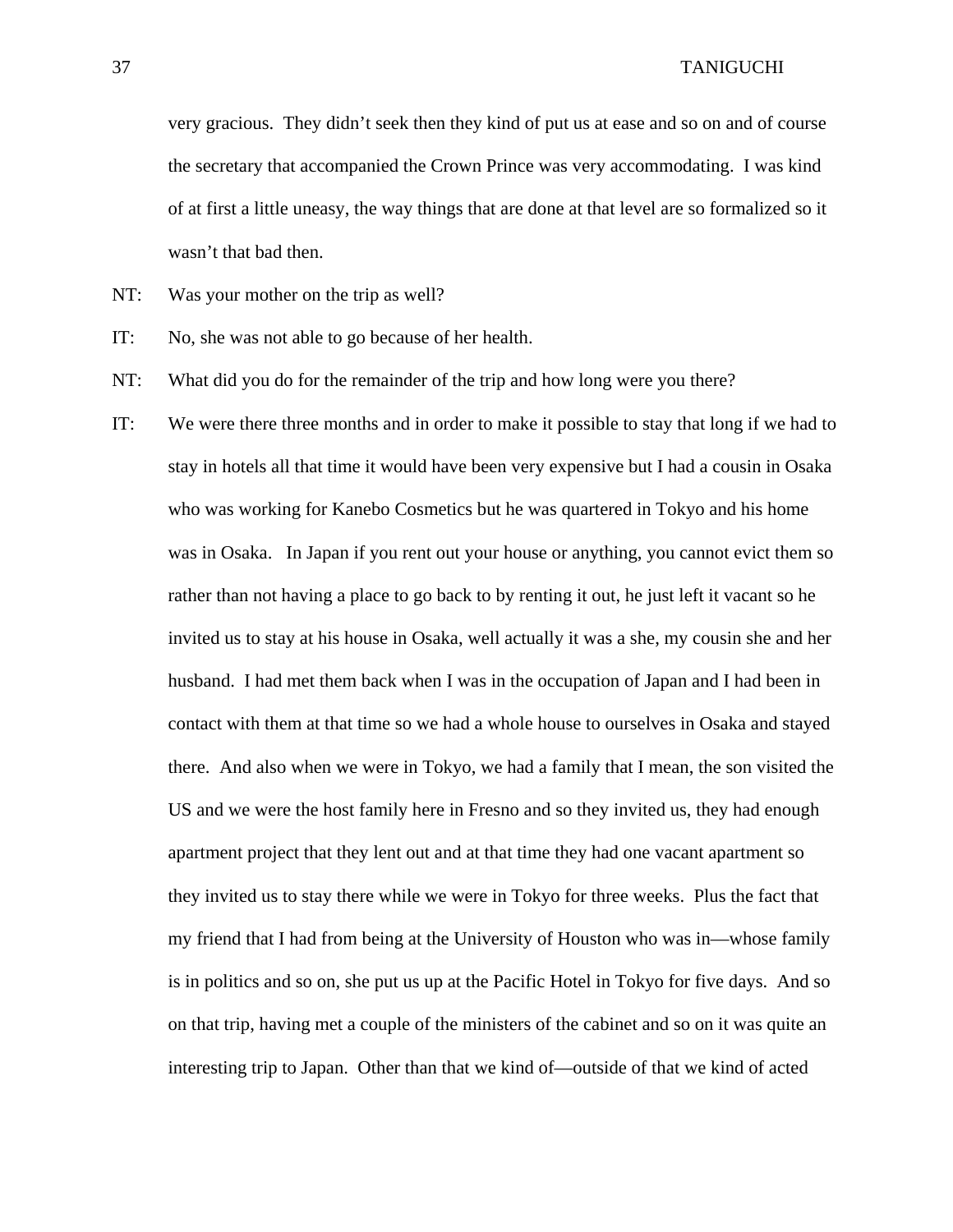very gracious. They didn't seek then they kind of put us at ease and so on and of course the secretary that accompanied the Crown Prince was very accommodating. I was kind of at first a little uneasy, the way things that are done at that level are so formalized so it wasn't that bad then.

- NT: Was your mother on the trip as well?
- IT: No, she was not able to go because of her health.
- NT: What did you do for the remainder of the trip and how long were you there?
- IT: We were there three months and in order to make it possible to stay that long if we had to stay in hotels all that time it would have been very expensive but I had a cousin in Osaka who was working for Kanebo Cosmetics but he was quartered in Tokyo and his home was in Osaka. In Japan if you rent out your house or anything, you cannot evict them so rather than not having a place to go back to by renting it out, he just left it vacant so he invited us to stay at his house in Osaka, well actually it was a she, my cousin she and her husband. I had met them back when I was in the occupation of Japan and I had been in contact with them at that time so we had a whole house to ourselves in Osaka and stayed there. And also when we were in Tokyo, we had a family that I mean, the son visited the US and we were the host family here in Fresno and so they invited us, they had enough apartment project that they lent out and at that time they had one vacant apartment so they invited us to stay there while we were in Tokyo for three weeks. Plus the fact that my friend that I had from being at the University of Houston who was in—whose family is in politics and so on, she put us up at the Pacific Hotel in Tokyo for five days. And so on that trip, having met a couple of the ministers of the cabinet and so on it was quite an interesting trip to Japan. Other than that we kind of—outside of that we kind of acted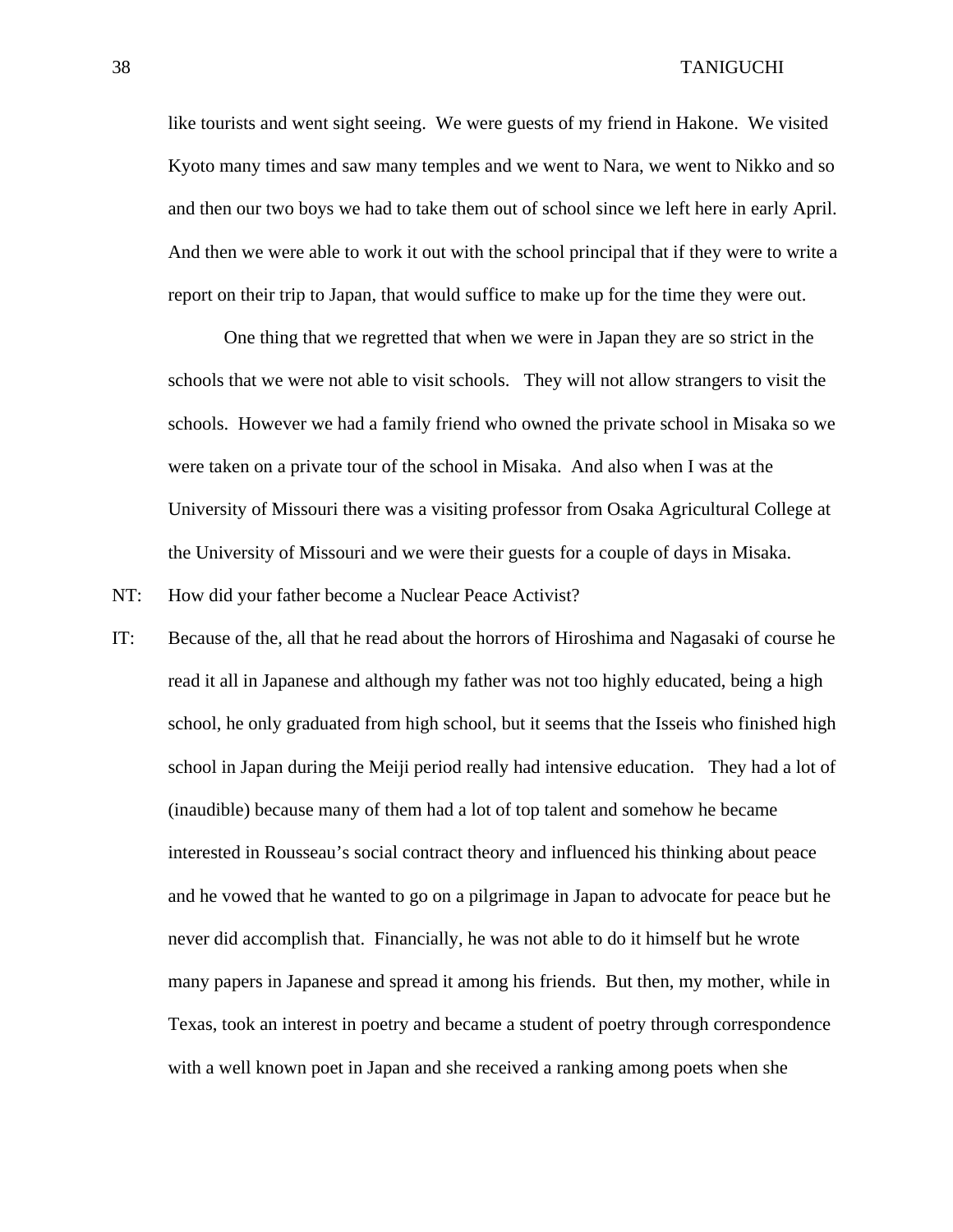like tourists and went sight seeing. We were guests of my friend in Hakone. We visited Kyoto many times and saw many temples and we went to Nara, we went to Nikko and so and then our two boys we had to take them out of school since we left here in early April. And then we were able to work it out with the school principal that if they were to write a report on their trip to Japan, that would suffice to make up for the time they were out.

 One thing that we regretted that when we were in Japan they are so strict in the schools that we were not able to visit schools. They will not allow strangers to visit the schools. However we had a family friend who owned the private school in Misaka so we were taken on a private tour of the school in Misaka. And also when I was at the University of Missouri there was a visiting professor from Osaka Agricultural College at the University of Missouri and we were their guests for a couple of days in Misaka.

NT: How did your father become a Nuclear Peace Activist?

IT: Because of the, all that he read about the horrors of Hiroshima and Nagasaki of course he read it all in Japanese and although my father was not too highly educated, being a high school, he only graduated from high school, but it seems that the Isseis who finished high school in Japan during the Meiji period really had intensive education. They had a lot of (inaudible) because many of them had a lot of top talent and somehow he became interested in Rousseau's social contract theory and influenced his thinking about peace and he vowed that he wanted to go on a pilgrimage in Japan to advocate for peace but he never did accomplish that. Financially, he was not able to do it himself but he wrote many papers in Japanese and spread it among his friends. But then, my mother, while in Texas, took an interest in poetry and became a student of poetry through correspondence with a well known poet in Japan and she received a ranking among poets when she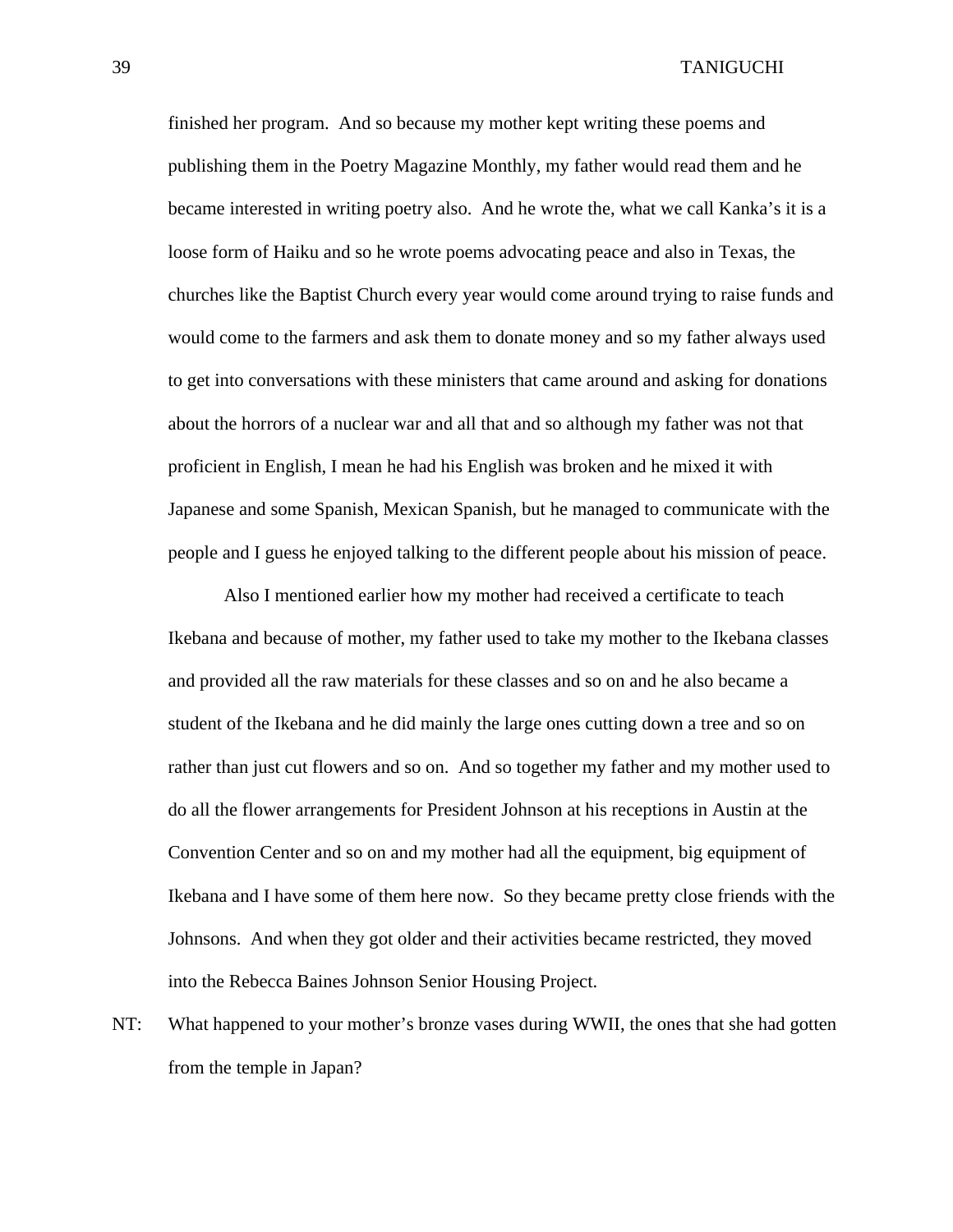finished her program. And so because my mother kept writing these poems and publishing them in the Poetry Magazine Monthly, my father would read them and he became interested in writing poetry also. And he wrote the, what we call Kanka's it is a loose form of Haiku and so he wrote poems advocating peace and also in Texas, the churches like the Baptist Church every year would come around trying to raise funds and would come to the farmers and ask them to donate money and so my father always used to get into conversations with these ministers that came around and asking for donations about the horrors of a nuclear war and all that and so although my father was not that proficient in English, I mean he had his English was broken and he mixed it with Japanese and some Spanish, Mexican Spanish, but he managed to communicate with the people and I guess he enjoyed talking to the different people about his mission of peace.

Also I mentioned earlier how my mother had received a certificate to teach Ikebana and because of mother, my father used to take my mother to the Ikebana classes and provided all the raw materials for these classes and so on and he also became a student of the Ikebana and he did mainly the large ones cutting down a tree and so on rather than just cut flowers and so on. And so together my father and my mother used to do all the flower arrangements for President Johnson at his receptions in Austin at the Convention Center and so on and my mother had all the equipment, big equipment of Ikebana and I have some of them here now. So they became pretty close friends with the Johnsons. And when they got older and their activities became restricted, they moved into the Rebecca Baines Johnson Senior Housing Project.

NT: What happened to your mother's bronze vases during WWII, the ones that she had gotten from the temple in Japan?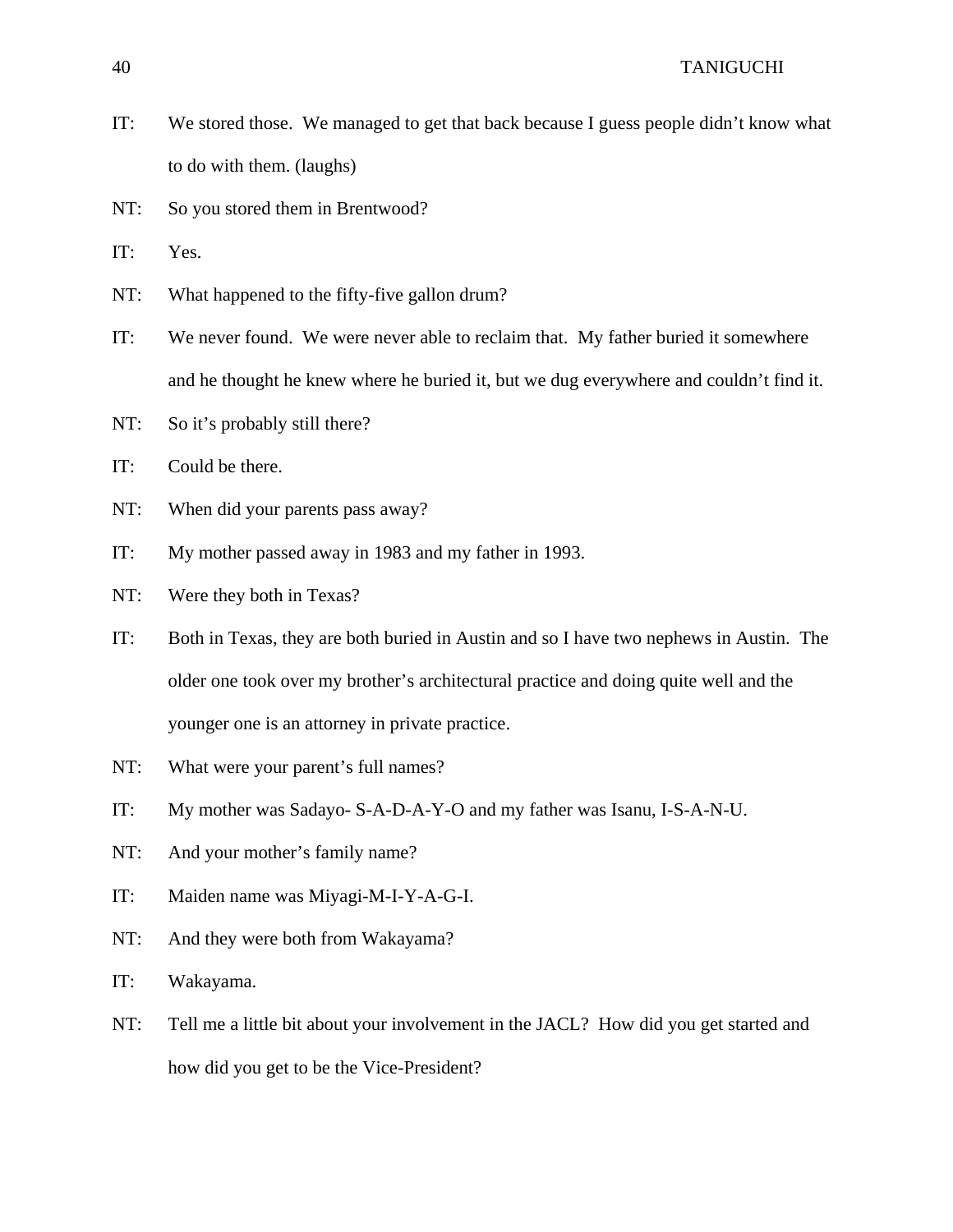- IT: We stored those. We managed to get that back because I guess people didn't know what to do with them. (laughs)
- NT: So you stored them in Brentwood?

IT: Yes.

- NT: What happened to the fifty-five gallon drum?
- IT: We never found. We were never able to reclaim that. My father buried it somewhere and he thought he knew where he buried it, but we dug everywhere and couldn't find it.
- NT: So it's probably still there?
- IT: Could be there.
- NT: When did your parents pass away?
- IT: My mother passed away in 1983 and my father in 1993.
- NT: Were they both in Texas?
- IT: Both in Texas, they are both buried in Austin and so I have two nephews in Austin. The older one took over my brother's architectural practice and doing quite well and the younger one is an attorney in private practice.
- NT: What were your parent's full names?
- IT: My mother was Sadayo- S-A-D-A-Y-O and my father was Isanu, I-S-A-N-U.
- NT: And your mother's family name?
- IT: Maiden name was Miyagi-M-I-Y-A-G-I.
- NT: And they were both from Wakayama?
- IT: Wakayama.
- NT: Tell me a little bit about your involvement in the JACL? How did you get started and how did you get to be the Vice-President?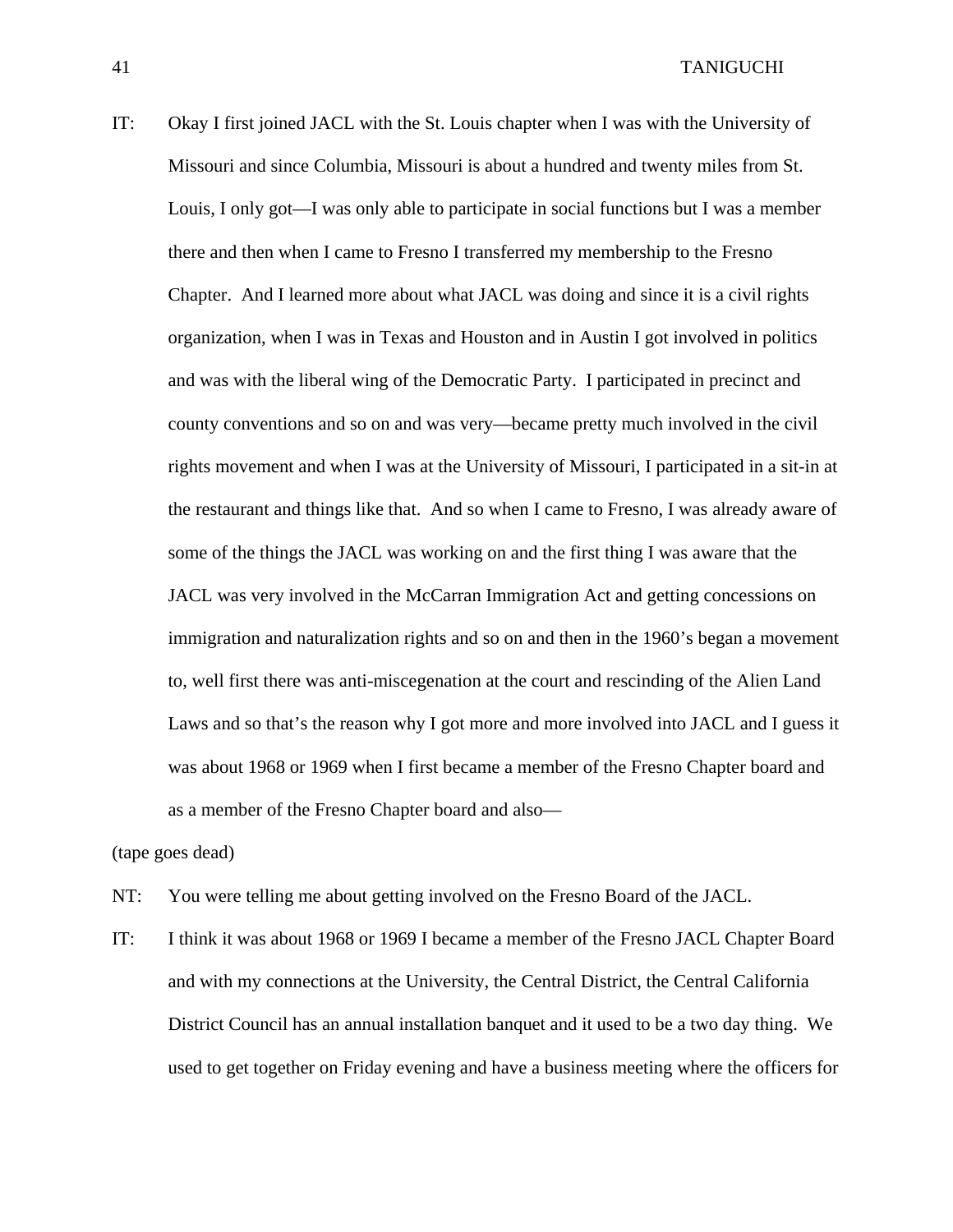IT: Okay I first joined JACL with the St. Louis chapter when I was with the University of Missouri and since Columbia, Missouri is about a hundred and twenty miles from St. Louis, I only got—I was only able to participate in social functions but I was a member there and then when I came to Fresno I transferred my membership to the Fresno Chapter. And I learned more about what JACL was doing and since it is a civil rights organization, when I was in Texas and Houston and in Austin I got involved in politics and was with the liberal wing of the Democratic Party. I participated in precinct and county conventions and so on and was very—became pretty much involved in the civil rights movement and when I was at the University of Missouri, I participated in a sit-in at the restaurant and things like that. And so when I came to Fresno, I was already aware of some of the things the JACL was working on and the first thing I was aware that the JACL was very involved in the McCarran Immigration Act and getting concessions on immigration and naturalization rights and so on and then in the 1960's began a movement to, well first there was anti-miscegenation at the court and rescinding of the Alien Land Laws and so that's the reason why I got more and more involved into JACL and I guess it was about 1968 or 1969 when I first became a member of the Fresno Chapter board and as a member of the Fresno Chapter board and also—

(tape goes dead)

- NT: You were telling me about getting involved on the Fresno Board of the JACL.
- IT: I think it was about 1968 or 1969 I became a member of the Fresno JACL Chapter Board and with my connections at the University, the Central District, the Central California District Council has an annual installation banquet and it used to be a two day thing. We used to get together on Friday evening and have a business meeting where the officers for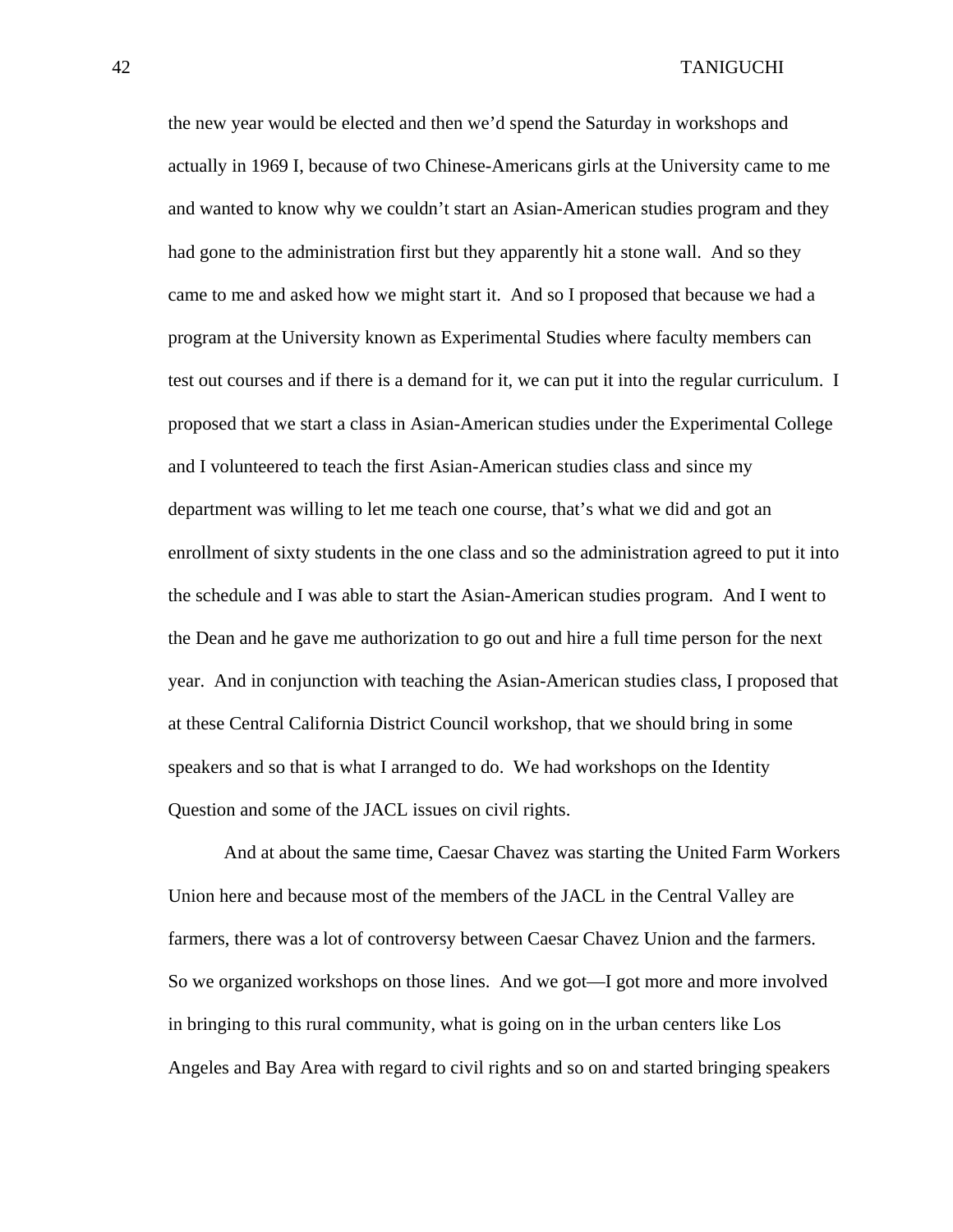the new year would be elected and then we'd spend the Saturday in workshops and actually in 1969 I, because of two Chinese-Americans girls at the University came to me and wanted to know why we couldn't start an Asian-American studies program and they had gone to the administration first but they apparently hit a stone wall. And so they came to me and asked how we might start it. And so I proposed that because we had a program at the University known as Experimental Studies where faculty members can test out courses and if there is a demand for it, we can put it into the regular curriculum. I proposed that we start a class in Asian-American studies under the Experimental College and I volunteered to teach the first Asian-American studies class and since my department was willing to let me teach one course, that's what we did and got an enrollment of sixty students in the one class and so the administration agreed to put it into the schedule and I was able to start the Asian-American studies program. And I went to the Dean and he gave me authorization to go out and hire a full time person for the next year. And in conjunction with teaching the Asian-American studies class, I proposed that at these Central California District Council workshop, that we should bring in some speakers and so that is what I arranged to do. We had workshops on the Identity Question and some of the JACL issues on civil rights.

And at about the same time, Caesar Chavez was starting the United Farm Workers Union here and because most of the members of the JACL in the Central Valley are farmers, there was a lot of controversy between Caesar Chavez Union and the farmers. So we organized workshops on those lines. And we got—I got more and more involved in bringing to this rural community, what is going on in the urban centers like Los Angeles and Bay Area with regard to civil rights and so on and started bringing speakers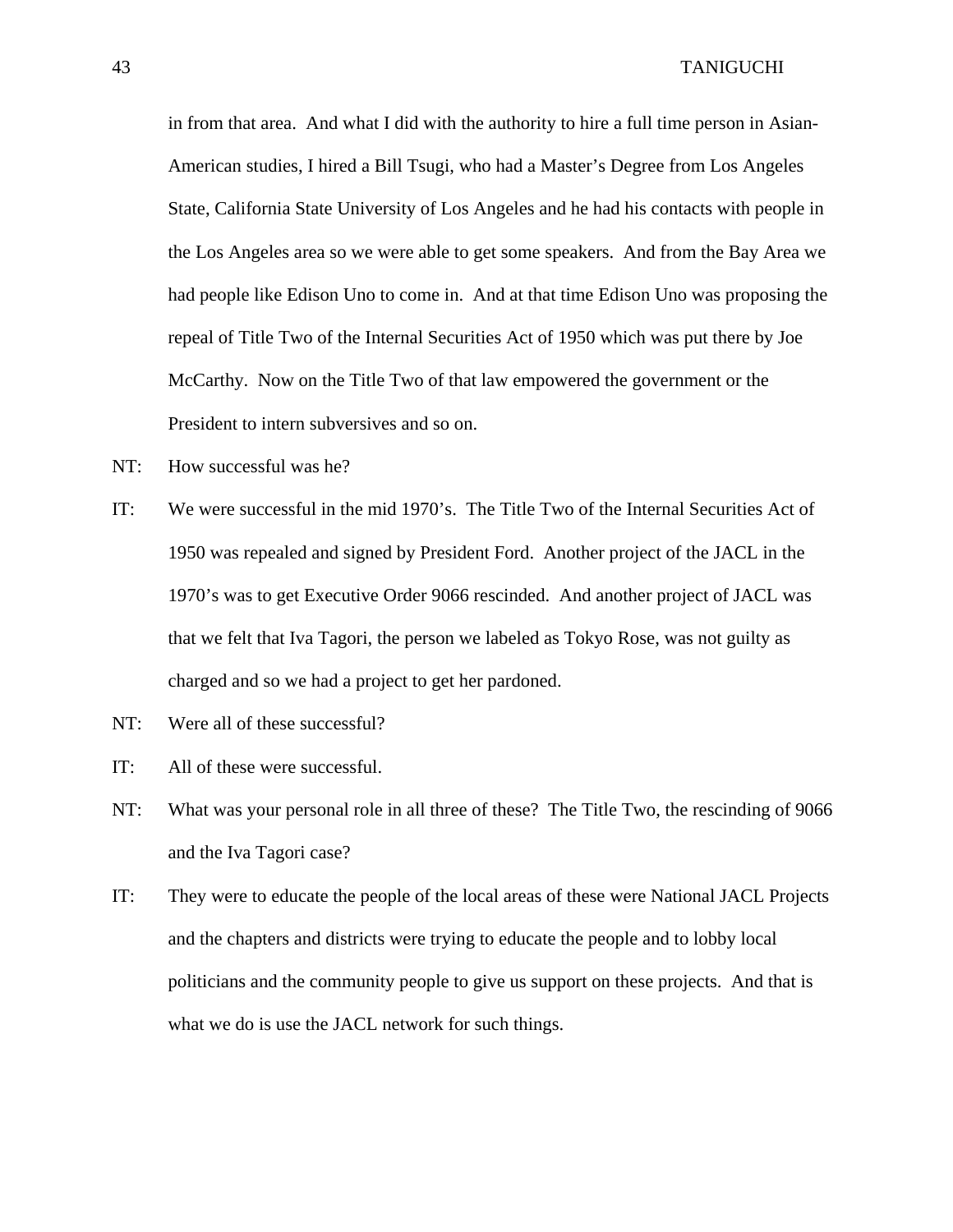in from that area. And what I did with the authority to hire a full time person in Asian-American studies, I hired a Bill Tsugi, who had a Master's Degree from Los Angeles State, California State University of Los Angeles and he had his contacts with people in the Los Angeles area so we were able to get some speakers. And from the Bay Area we had people like Edison Uno to come in. And at that time Edison Uno was proposing the repeal of Title Two of the Internal Securities Act of 1950 which was put there by Joe McCarthy. Now on the Title Two of that law empowered the government or the President to intern subversives and so on.

- NT: How successful was he?
- IT: We were successful in the mid 1970's. The Title Two of the Internal Securities Act of 1950 was repealed and signed by President Ford. Another project of the JACL in the 1970's was to get Executive Order 9066 rescinded. And another project of JACL was that we felt that Iva Tagori, the person we labeled as Tokyo Rose, was not guilty as charged and so we had a project to get her pardoned.
- NT: Were all of these successful?
- IT: All of these were successful.
- NT: What was your personal role in all three of these? The Title Two, the rescinding of 9066 and the Iva Tagori case?
- IT: They were to educate the people of the local areas of these were National JACL Projects and the chapters and districts were trying to educate the people and to lobby local politicians and the community people to give us support on these projects. And that is what we do is use the JACL network for such things.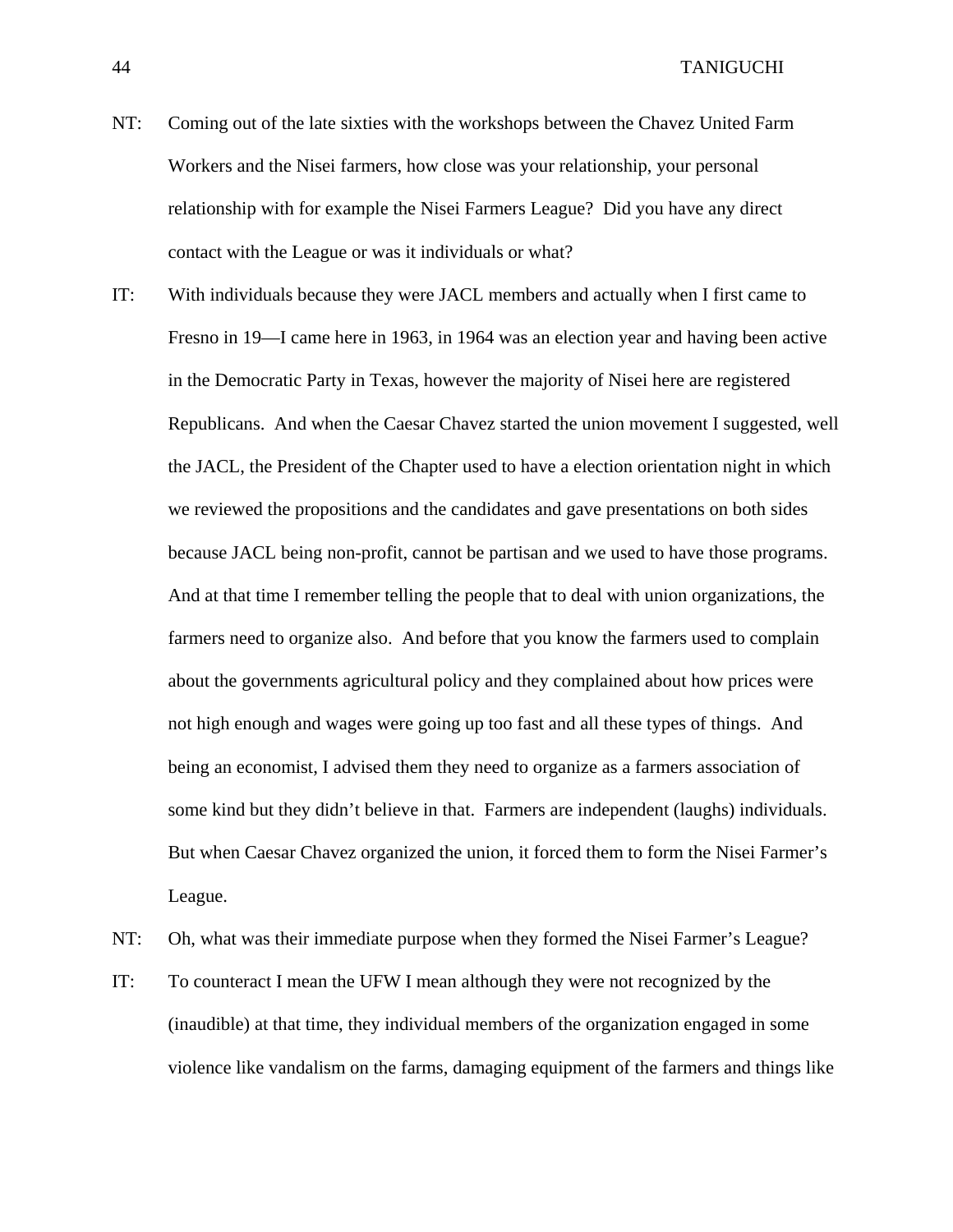- NT: Coming out of the late sixties with the workshops between the Chavez United Farm Workers and the Nisei farmers, how close was your relationship, your personal relationship with for example the Nisei Farmers League? Did you have any direct contact with the League or was it individuals or what?
- IT: With individuals because they were JACL members and actually when I first came to Fresno in 19—I came here in 1963, in 1964 was an election year and having been active in the Democratic Party in Texas, however the majority of Nisei here are registered Republicans. And when the Caesar Chavez started the union movement I suggested, well the JACL, the President of the Chapter used to have a election orientation night in which we reviewed the propositions and the candidates and gave presentations on both sides because JACL being non-profit, cannot be partisan and we used to have those programs. And at that time I remember telling the people that to deal with union organizations, the farmers need to organize also. And before that you know the farmers used to complain about the governments agricultural policy and they complained about how prices were not high enough and wages were going up too fast and all these types of things. And being an economist, I advised them they need to organize as a farmers association of some kind but they didn't believe in that. Farmers are independent (laughs) individuals. But when Caesar Chavez organized the union, it forced them to form the Nisei Farmer's League.
- NT: Oh, what was their immediate purpose when they formed the Nisei Farmer's League?
- IT: To counteract I mean the UFW I mean although they were not recognized by the (inaudible) at that time, they individual members of the organization engaged in some violence like vandalism on the farms, damaging equipment of the farmers and things like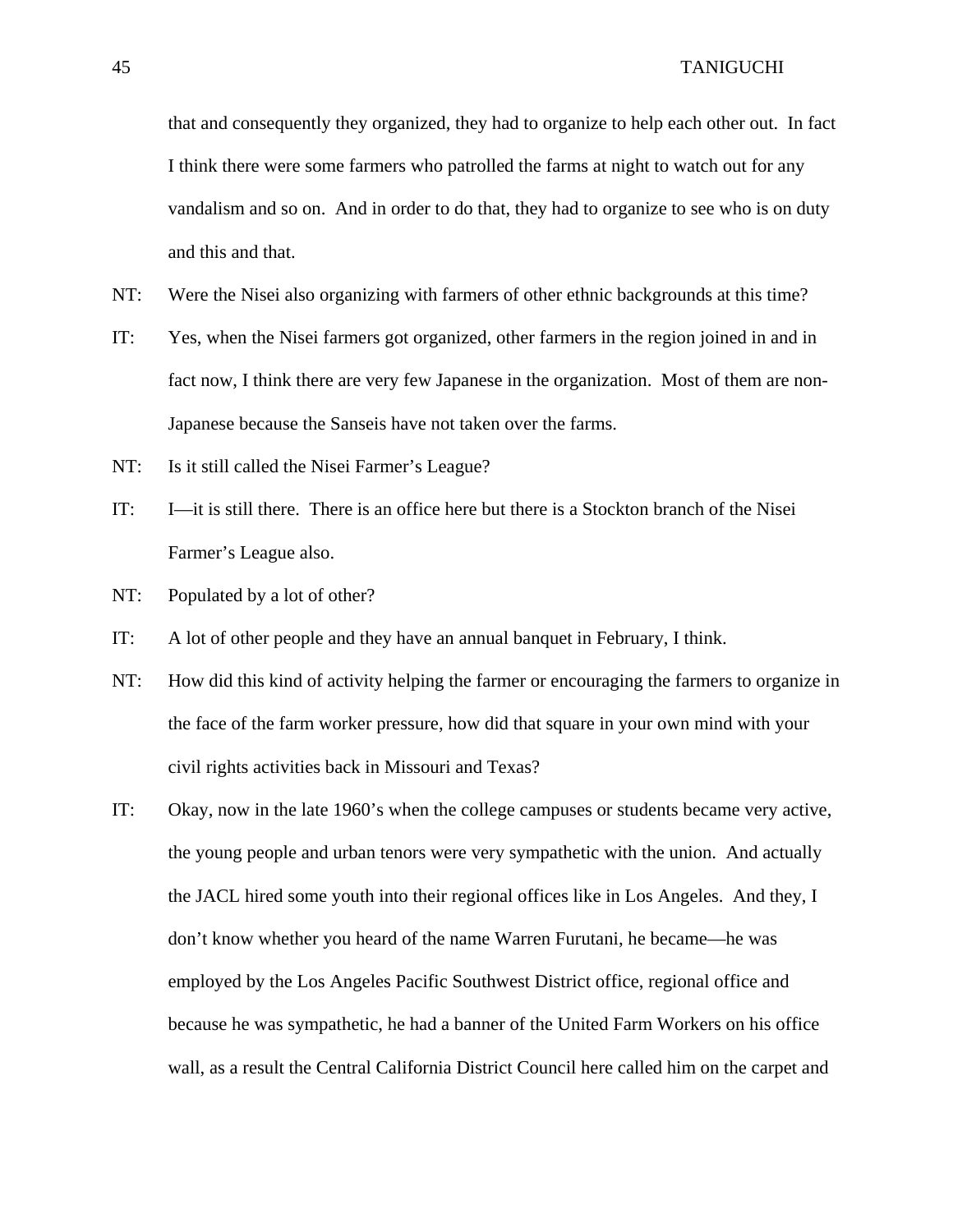that and consequently they organized, they had to organize to help each other out. In fact I think there were some farmers who patrolled the farms at night to watch out for any vandalism and so on. And in order to do that, they had to organize to see who is on duty and this and that.

- NT: Were the Nisei also organizing with farmers of other ethnic backgrounds at this time?
- IT: Yes, when the Nisei farmers got organized, other farmers in the region joined in and in fact now, I think there are very few Japanese in the organization. Most of them are non-Japanese because the Sanseis have not taken over the farms.
- NT: Is it still called the Nisei Farmer's League?
- IT: I—it is still there. There is an office here but there is a Stockton branch of the Nisei Farmer's League also.
- NT: Populated by a lot of other?
- IT: A lot of other people and they have an annual banquet in February, I think.
- NT: How did this kind of activity helping the farmer or encouraging the farmers to organize in the face of the farm worker pressure, how did that square in your own mind with your civil rights activities back in Missouri and Texas?
- IT: Okay, now in the late 1960's when the college campuses or students became very active, the young people and urban tenors were very sympathetic with the union. And actually the JACL hired some youth into their regional offices like in Los Angeles. And they, I don't know whether you heard of the name Warren Furutani, he became—he was employed by the Los Angeles Pacific Southwest District office, regional office and because he was sympathetic, he had a banner of the United Farm Workers on his office wall, as a result the Central California District Council here called him on the carpet and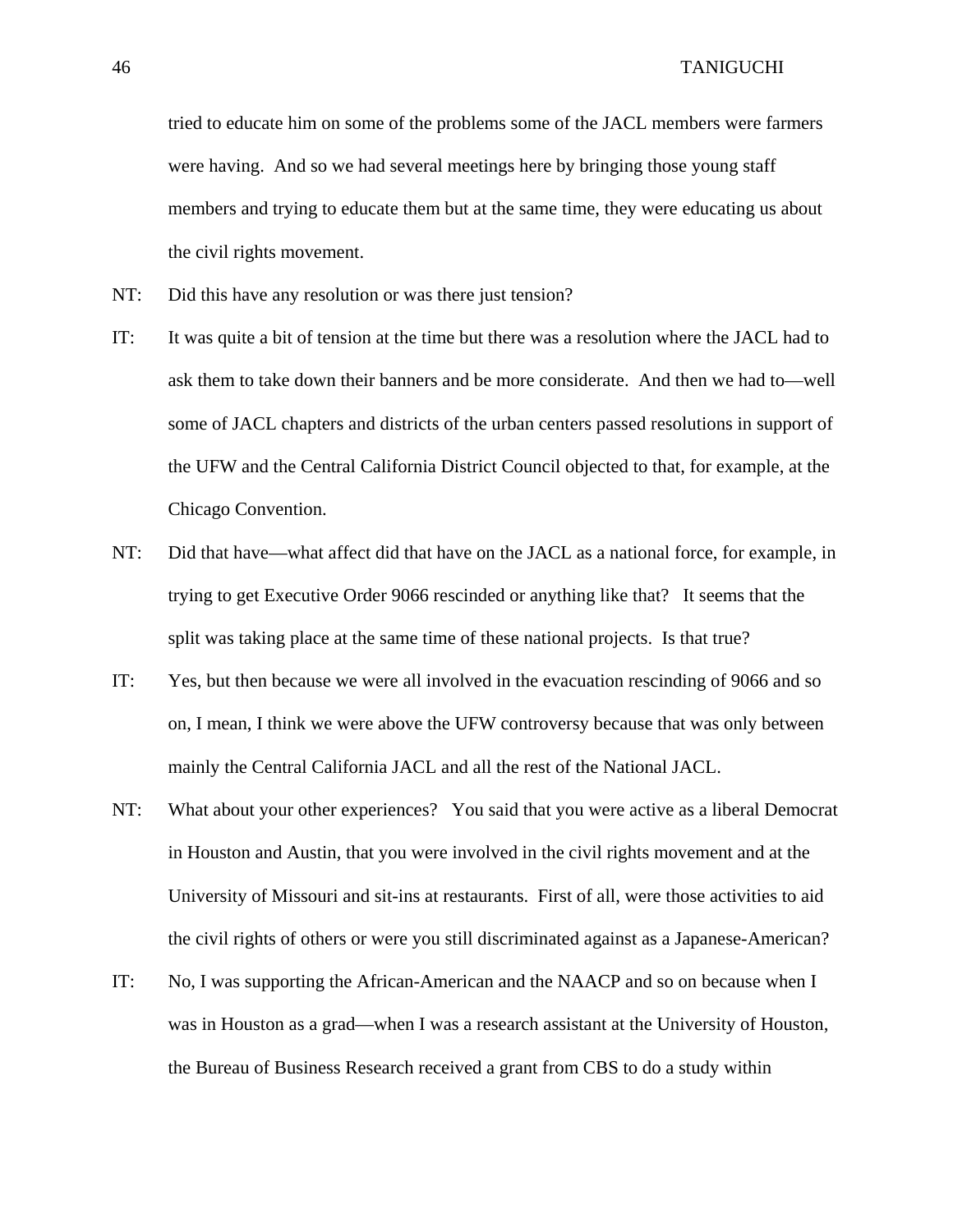tried to educate him on some of the problems some of the JACL members were farmers were having. And so we had several meetings here by bringing those young staff members and trying to educate them but at the same time, they were educating us about the civil rights movement.

- NT: Did this have any resolution or was there just tension?
- IT: It was quite a bit of tension at the time but there was a resolution where the JACL had to ask them to take down their banners and be more considerate. And then we had to—well some of JACL chapters and districts of the urban centers passed resolutions in support of the UFW and the Central California District Council objected to that, for example, at the Chicago Convention.
- NT: Did that have—what affect did that have on the JACL as a national force, for example, in trying to get Executive Order 9066 rescinded or anything like that? It seems that the split was taking place at the same time of these national projects. Is that true?
- IT: Yes, but then because we were all involved in the evacuation rescinding of 9066 and so on, I mean, I think we were above the UFW controversy because that was only between mainly the Central California JACL and all the rest of the National JACL.
- NT: What about your other experiences? You said that you were active as a liberal Democrat in Houston and Austin, that you were involved in the civil rights movement and at the University of Missouri and sit-ins at restaurants. First of all, were those activities to aid the civil rights of others or were you still discriminated against as a Japanese-American?
- IT: No, I was supporting the African-American and the NAACP and so on because when I was in Houston as a grad—when I was a research assistant at the University of Houston, the Bureau of Business Research received a grant from CBS to do a study within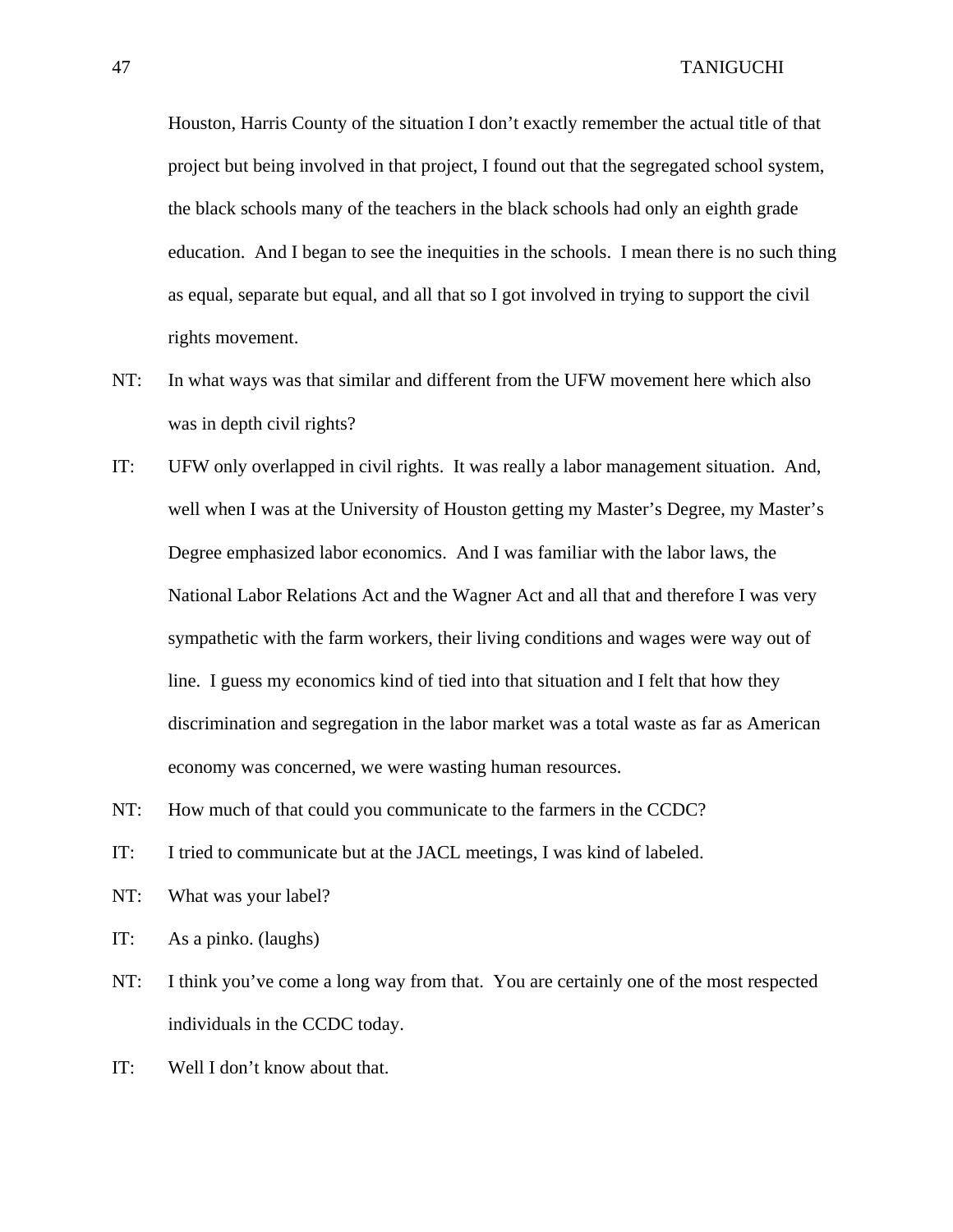Houston, Harris County of the situation I don't exactly remember the actual title of that project but being involved in that project, I found out that the segregated school system, the black schools many of the teachers in the black schools had only an eighth grade education. And I began to see the inequities in the schools. I mean there is no such thing as equal, separate but equal, and all that so I got involved in trying to support the civil rights movement.

- NT: In what ways was that similar and different from the UFW movement here which also was in depth civil rights?
- IT: UFW only overlapped in civil rights. It was really a labor management situation. And, well when I was at the University of Houston getting my Master's Degree, my Master's Degree emphasized labor economics. And I was familiar with the labor laws, the National Labor Relations Act and the Wagner Act and all that and therefore I was very sympathetic with the farm workers, their living conditions and wages were way out of line. I guess my economics kind of tied into that situation and I felt that how they discrimination and segregation in the labor market was a total waste as far as American economy was concerned, we were wasting human resources.
- NT: How much of that could you communicate to the farmers in the CCDC?
- IT: I tried to communicate but at the JACL meetings, I was kind of labeled.
- NT: What was your label?
- IT: As a pinko. (laughs)
- NT: I think you've come a long way from that. You are certainly one of the most respected individuals in the CCDC today.
- IT: Well I don't know about that.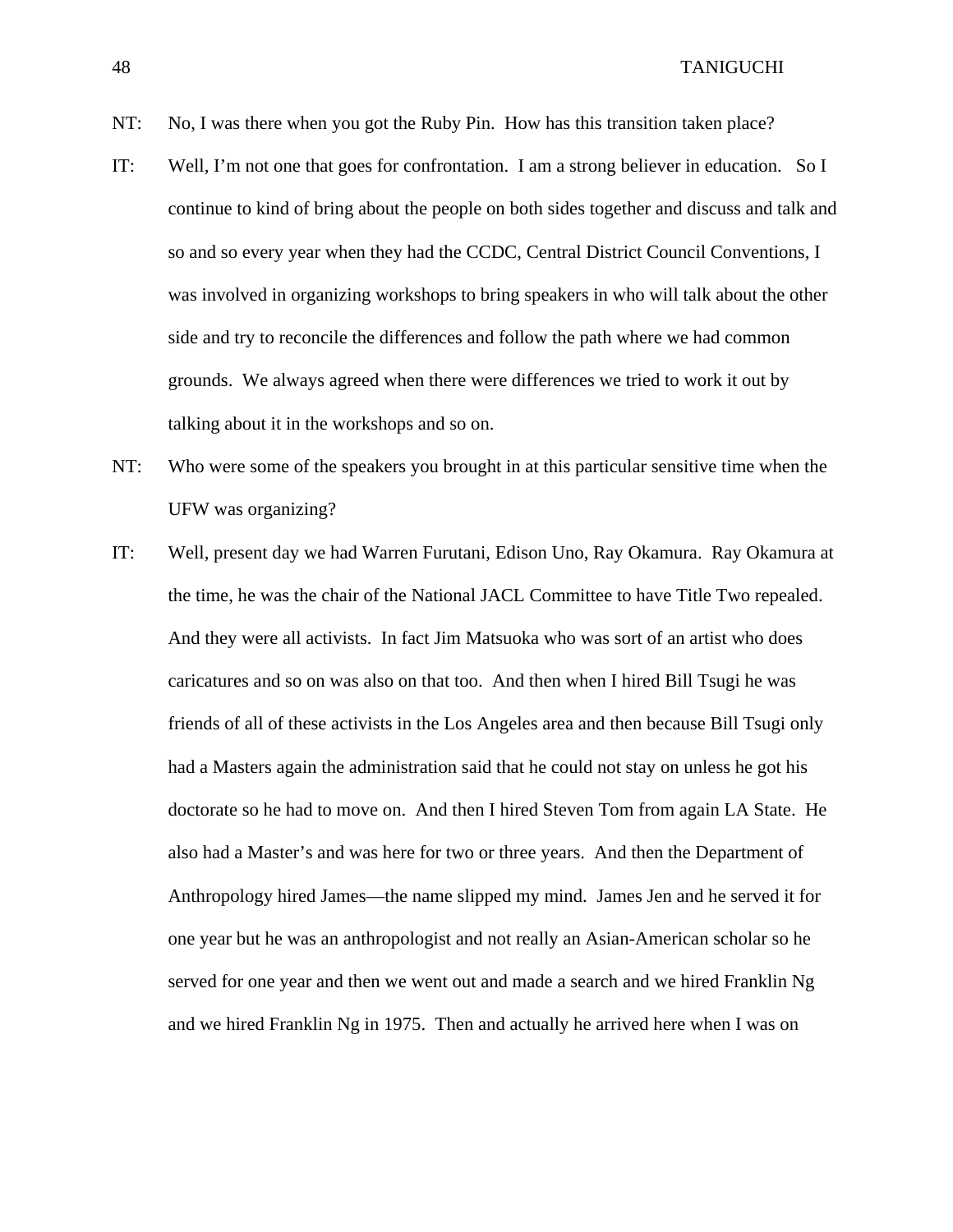- IT: Well, I'm not one that goes for confrontation. I am a strong believer in education. So I continue to kind of bring about the people on both sides together and discuss and talk and so and so every year when they had the CCDC, Central District Council Conventions, I was involved in organizing workshops to bring speakers in who will talk about the other side and try to reconcile the differences and follow the path where we had common grounds. We always agreed when there were differences we tried to work it out by talking about it in the workshops and so on.
- NT: Who were some of the speakers you brought in at this particular sensitive time when the UFW was organizing?
- IT: Well, present day we had Warren Furutani, Edison Uno, Ray Okamura. Ray Okamura at the time, he was the chair of the National JACL Committee to have Title Two repealed. And they were all activists. In fact Jim Matsuoka who was sort of an artist who does caricatures and so on was also on that too. And then when I hired Bill Tsugi he was friends of all of these activists in the Los Angeles area and then because Bill Tsugi only had a Masters again the administration said that he could not stay on unless he got his doctorate so he had to move on. And then I hired Steven Tom from again LA State. He also had a Master's and was here for two or three years. And then the Department of Anthropology hired James—the name slipped my mind. James Jen and he served it for one year but he was an anthropologist and not really an Asian-American scholar so he served for one year and then we went out and made a search and we hired Franklin Ng and we hired Franklin Ng in 1975. Then and actually he arrived here when I was on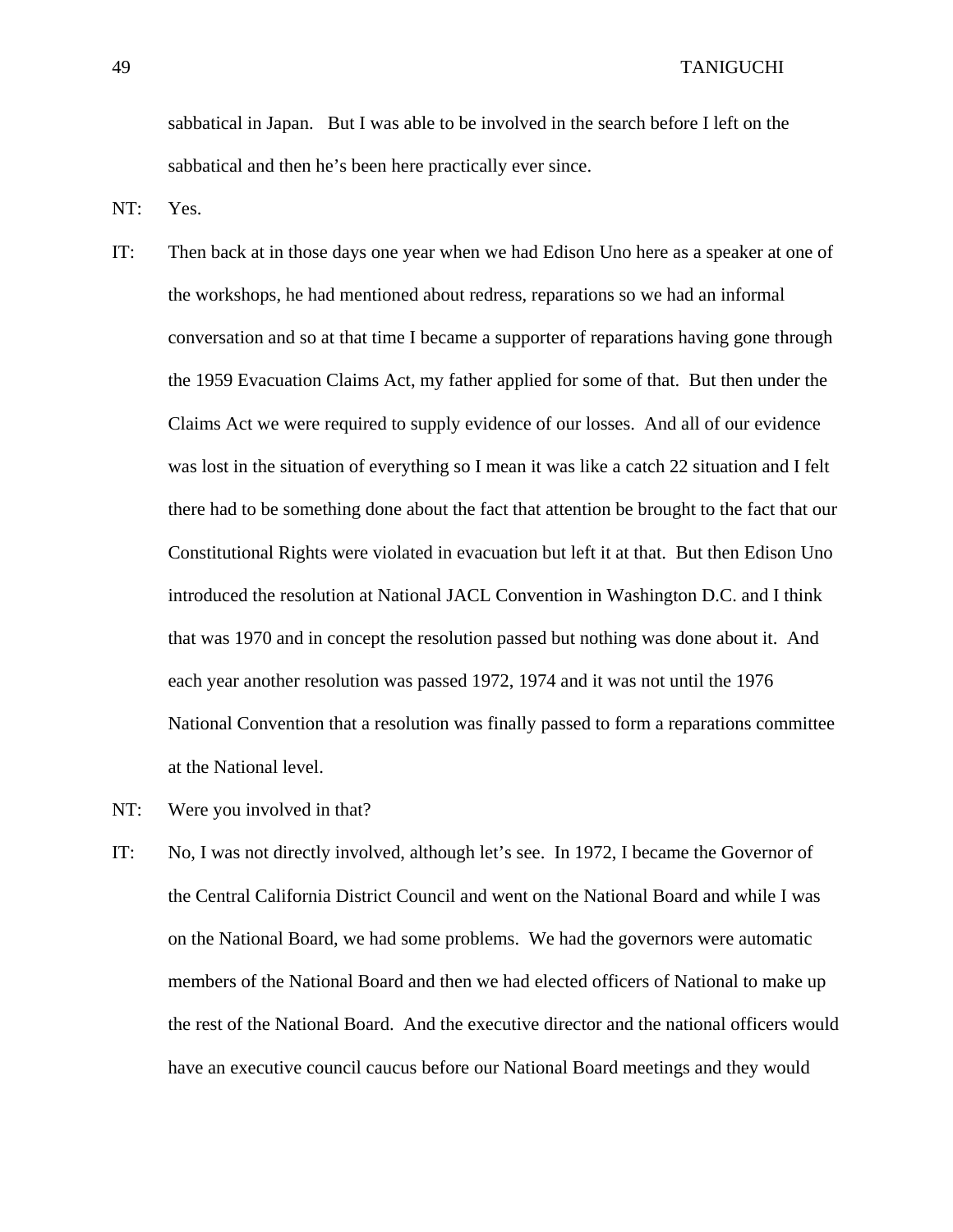sabbatical in Japan. But I was able to be involved in the search before I left on the sabbatical and then he's been here practically ever since.

NT: Yes.

- IT: Then back at in those days one year when we had Edison Uno here as a speaker at one of the workshops, he had mentioned about redress, reparations so we had an informal conversation and so at that time I became a supporter of reparations having gone through the 1959 Evacuation Claims Act, my father applied for some of that. But then under the Claims Act we were required to supply evidence of our losses. And all of our evidence was lost in the situation of everything so I mean it was like a catch 22 situation and I felt there had to be something done about the fact that attention be brought to the fact that our Constitutional Rights were violated in evacuation but left it at that. But then Edison Uno introduced the resolution at National JACL Convention in Washington D.C. and I think that was 1970 and in concept the resolution passed but nothing was done about it. And each year another resolution was passed 1972, 1974 and it was not until the 1976 National Convention that a resolution was finally passed to form a reparations committee at the National level.
- NT: Were you involved in that?
- IT: No, I was not directly involved, although let's see. In 1972, I became the Governor of the Central California District Council and went on the National Board and while I was on the National Board, we had some problems. We had the governors were automatic members of the National Board and then we had elected officers of National to make up the rest of the National Board. And the executive director and the national officers would have an executive council caucus before our National Board meetings and they would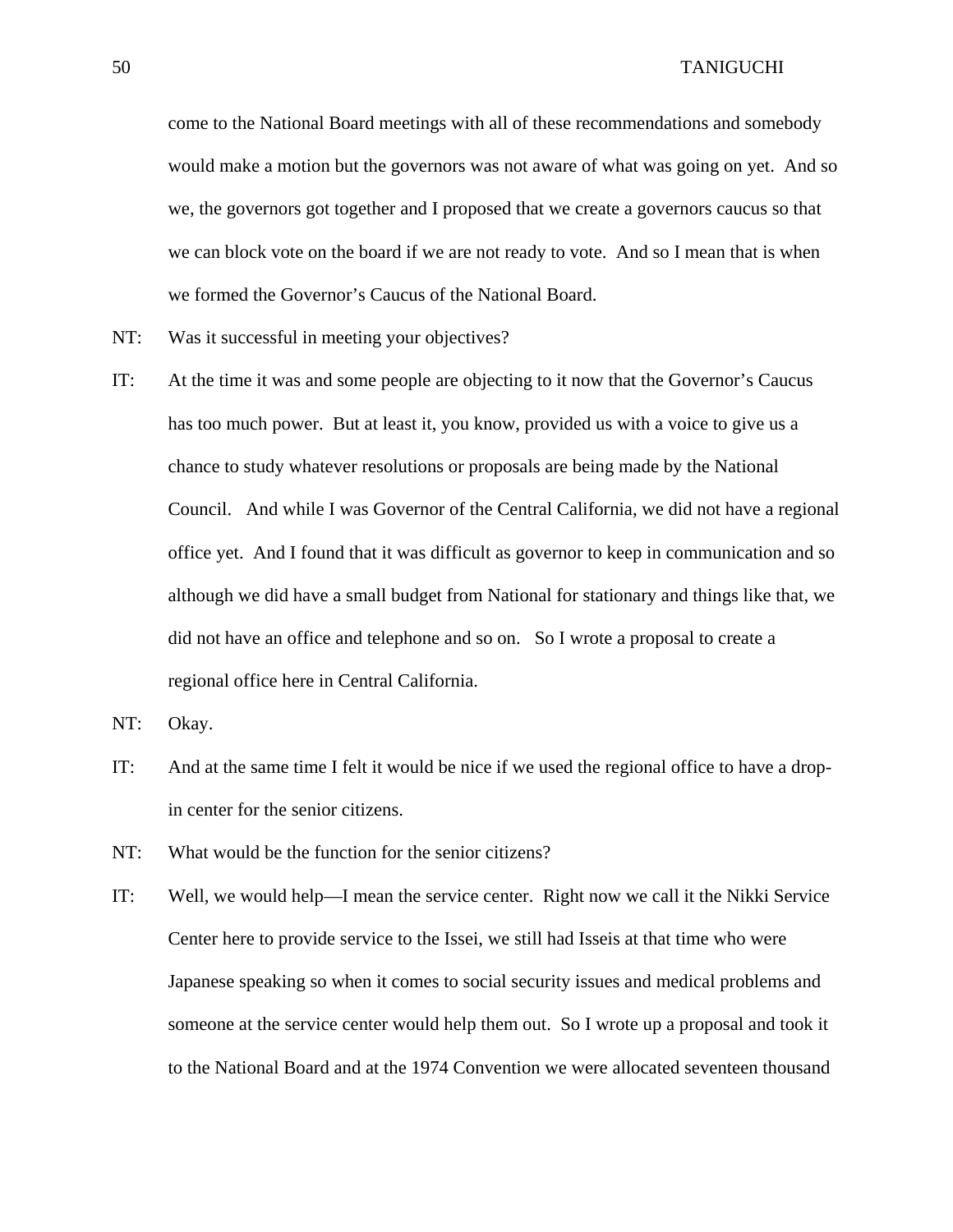come to the National Board meetings with all of these recommendations and somebody would make a motion but the governors was not aware of what was going on yet. And so we, the governors got together and I proposed that we create a governors caucus so that we can block vote on the board if we are not ready to vote. And so I mean that is when we formed the Governor's Caucus of the National Board.

- NT: Was it successful in meeting your objectives?
- IT: At the time it was and some people are objecting to it now that the Governor's Caucus has too much power. But at least it, you know, provided us with a voice to give us a chance to study whatever resolutions or proposals are being made by the National Council. And while I was Governor of the Central California, we did not have a regional office yet. And I found that it was difficult as governor to keep in communication and so although we did have a small budget from National for stationary and things like that, we did not have an office and telephone and so on. So I wrote a proposal to create a regional office here in Central California.
- NT: Okay.
- IT: And at the same time I felt it would be nice if we used the regional office to have a dropin center for the senior citizens.
- NT: What would be the function for the senior citizens?
- IT: Well, we would help—I mean the service center. Right now we call it the Nikki Service Center here to provide service to the Issei, we still had Isseis at that time who were Japanese speaking so when it comes to social security issues and medical problems and someone at the service center would help them out. So I wrote up a proposal and took it to the National Board and at the 1974 Convention we were allocated seventeen thousand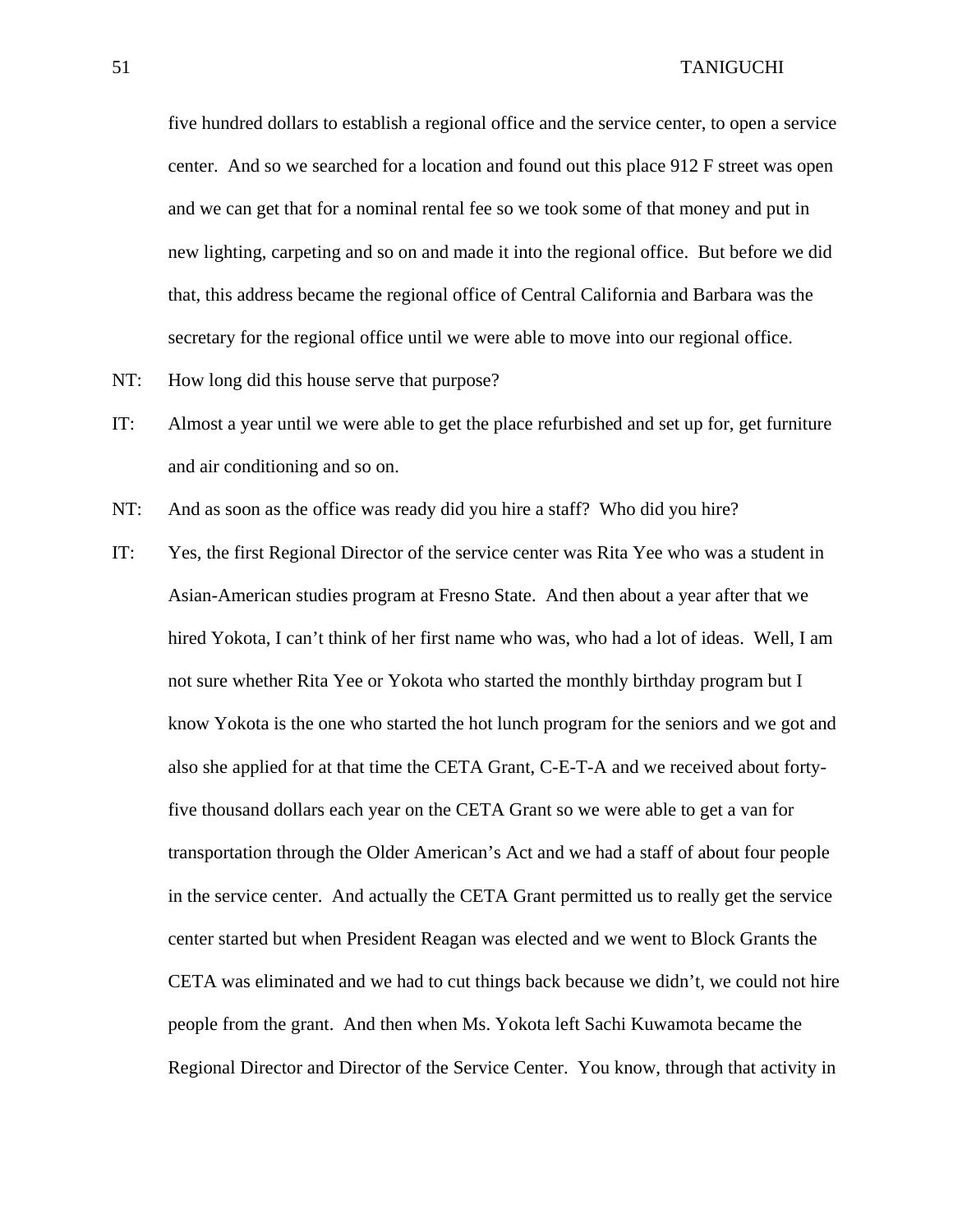five hundred dollars to establish a regional office and the service center, to open a service center. And so we searched for a location and found out this place 912 F street was open and we can get that for a nominal rental fee so we took some of that money and put in new lighting, carpeting and so on and made it into the regional office. But before we did that, this address became the regional office of Central California and Barbara was the secretary for the regional office until we were able to move into our regional office.

- NT: How long did this house serve that purpose?
- IT: Almost a year until we were able to get the place refurbished and set up for, get furniture and air conditioning and so on.
- NT: And as soon as the office was ready did you hire a staff? Who did you hire?
- IT: Yes, the first Regional Director of the service center was Rita Yee who was a student in Asian-American studies program at Fresno State. And then about a year after that we hired Yokota, I can't think of her first name who was, who had a lot of ideas. Well, I am not sure whether Rita Yee or Yokota who started the monthly birthday program but I know Yokota is the one who started the hot lunch program for the seniors and we got and also she applied for at that time the CETA Grant, C-E-T-A and we received about fortyfive thousand dollars each year on the CETA Grant so we were able to get a van for transportation through the Older American's Act and we had a staff of about four people in the service center. And actually the CETA Grant permitted us to really get the service center started but when President Reagan was elected and we went to Block Grants the CETA was eliminated and we had to cut things back because we didn't, we could not hire people from the grant. And then when Ms. Yokota left Sachi Kuwamota became the Regional Director and Director of the Service Center. You know, through that activity in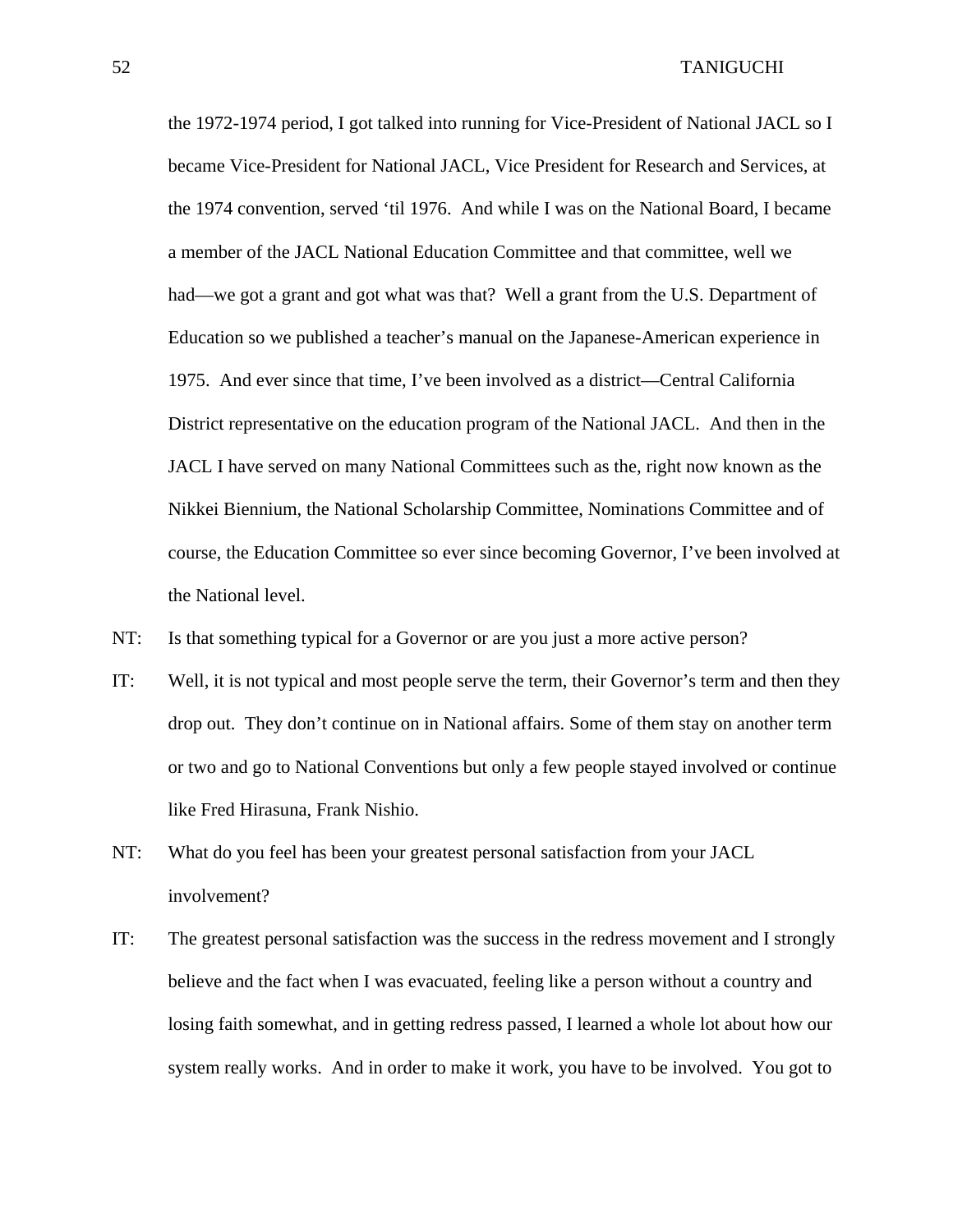the 1972-1974 period, I got talked into running for Vice-President of National JACL so I became Vice-President for National JACL, Vice President for Research and Services, at the 1974 convention, served 'til 1976. And while I was on the National Board, I became a member of the JACL National Education Committee and that committee, well we had—we got a grant and got what was that? Well a grant from the U.S. Department of Education so we published a teacher's manual on the Japanese-American experience in 1975. And ever since that time, I've been involved as a district—Central California District representative on the education program of the National JACL. And then in the JACL I have served on many National Committees such as the, right now known as the Nikkei Biennium, the National Scholarship Committee, Nominations Committee and of course, the Education Committee so ever since becoming Governor, I've been involved at the National level.

- NT: Is that something typical for a Governor or are you just a more active person?
- IT: Well, it is not typical and most people serve the term, their Governor's term and then they drop out. They don't continue on in National affairs. Some of them stay on another term or two and go to National Conventions but only a few people stayed involved or continue like Fred Hirasuna, Frank Nishio.
- NT: What do you feel has been your greatest personal satisfaction from your JACL involvement?
- IT: The greatest personal satisfaction was the success in the redress movement and I strongly believe and the fact when I was evacuated, feeling like a person without a country and losing faith somewhat, and in getting redress passed, I learned a whole lot about how our system really works. And in order to make it work, you have to be involved. You got to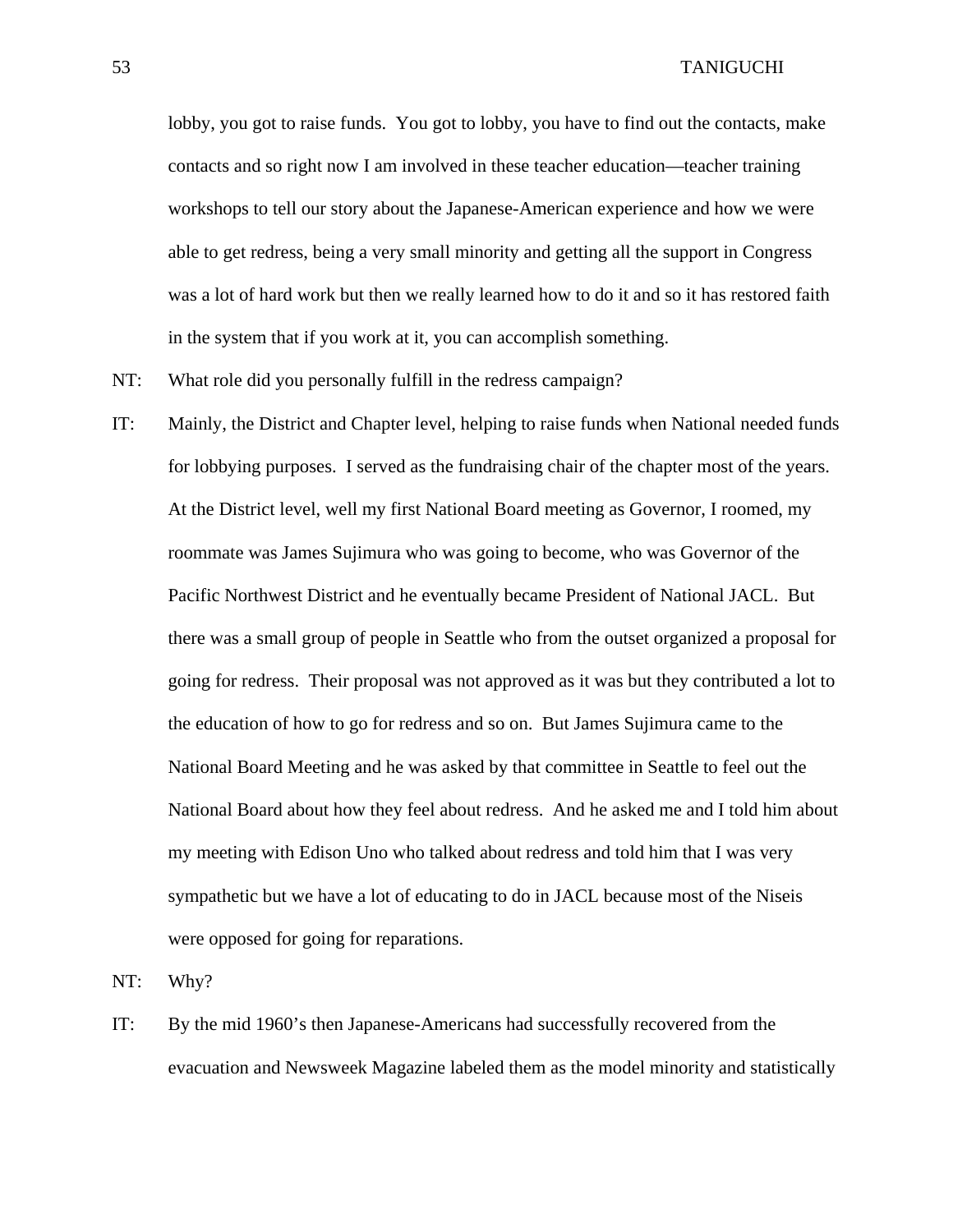lobby, you got to raise funds. You got to lobby, you have to find out the contacts, make contacts and so right now I am involved in these teacher education—teacher training workshops to tell our story about the Japanese-American experience and how we were able to get redress, being a very small minority and getting all the support in Congress was a lot of hard work but then we really learned how to do it and so it has restored faith in the system that if you work at it, you can accomplish something.

- NT: What role did you personally fulfill in the redress campaign?
- IT: Mainly, the District and Chapter level, helping to raise funds when National needed funds for lobbying purposes. I served as the fundraising chair of the chapter most of the years. At the District level, well my first National Board meeting as Governor, I roomed, my roommate was James Sujimura who was going to become, who was Governor of the Pacific Northwest District and he eventually became President of National JACL. But there was a small group of people in Seattle who from the outset organized a proposal for going for redress. Their proposal was not approved as it was but they contributed a lot to the education of how to go for redress and so on. But James Sujimura came to the National Board Meeting and he was asked by that committee in Seattle to feel out the National Board about how they feel about redress. And he asked me and I told him about my meeting with Edison Uno who talked about redress and told him that I was very sympathetic but we have a lot of educating to do in JACL because most of the Niseis were opposed for going for reparations.

NT: Why?

IT: By the mid 1960's then Japanese-Americans had successfully recovered from the evacuation and Newsweek Magazine labeled them as the model minority and statistically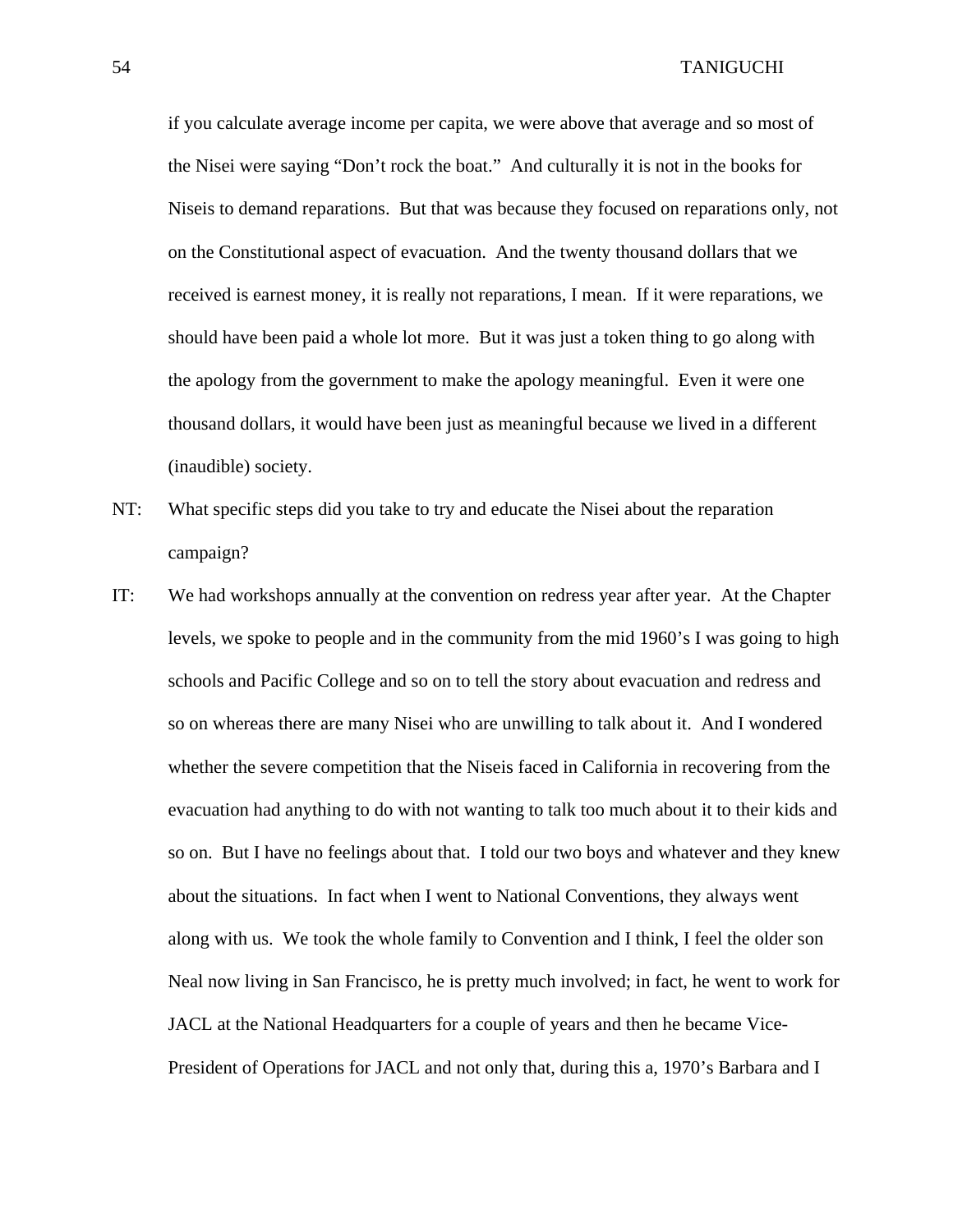if you calculate average income per capita, we were above that average and so most of the Nisei were saying "Don't rock the boat." And culturally it is not in the books for Niseis to demand reparations. But that was because they focused on reparations only, not on the Constitutional aspect of evacuation. And the twenty thousand dollars that we received is earnest money, it is really not reparations, I mean. If it were reparations, we should have been paid a whole lot more. But it was just a token thing to go along with the apology from the government to make the apology meaningful. Even it were one thousand dollars, it would have been just as meaningful because we lived in a different (inaudible) society.

- NT: What specific steps did you take to try and educate the Nisei about the reparation campaign?
- IT: We had workshops annually at the convention on redress year after year. At the Chapter levels, we spoke to people and in the community from the mid 1960's I was going to high schools and Pacific College and so on to tell the story about evacuation and redress and so on whereas there are many Nisei who are unwilling to talk about it. And I wondered whether the severe competition that the Niseis faced in California in recovering from the evacuation had anything to do with not wanting to talk too much about it to their kids and so on. But I have no feelings about that. I told our two boys and whatever and they knew about the situations. In fact when I went to National Conventions, they always went along with us. We took the whole family to Convention and I think, I feel the older son Neal now living in San Francisco, he is pretty much involved; in fact, he went to work for JACL at the National Headquarters for a couple of years and then he became Vice-President of Operations for JACL and not only that, during this a, 1970's Barbara and I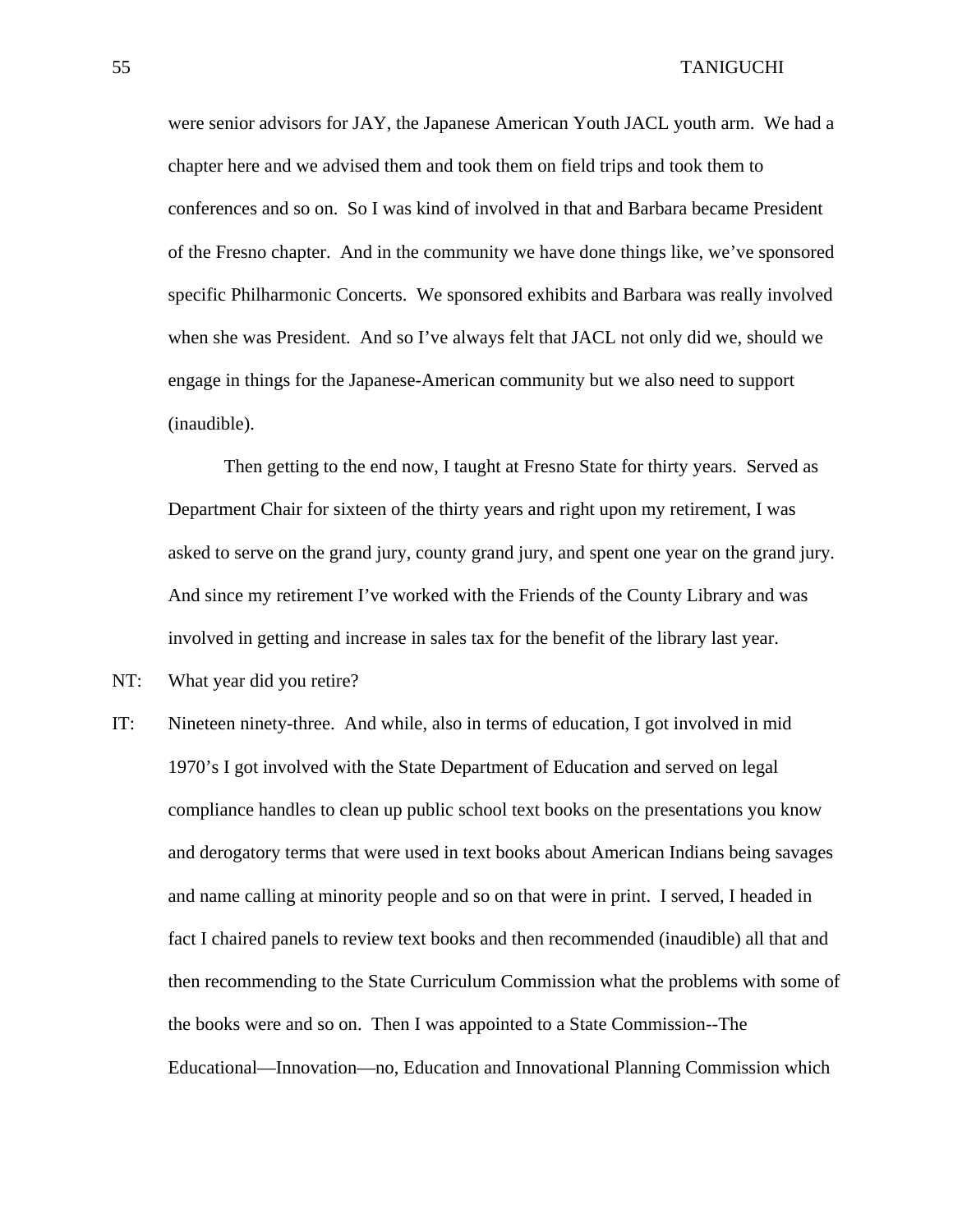were senior advisors for JAY, the Japanese American Youth JACL youth arm. We had a chapter here and we advised them and took them on field trips and took them to conferences and so on. So I was kind of involved in that and Barbara became President of the Fresno chapter. And in the community we have done things like, we've sponsored specific Philharmonic Concerts. We sponsored exhibits and Barbara was really involved when she was President. And so I've always felt that JACL not only did we, should we engage in things for the Japanese-American community but we also need to support (inaudible).

 Then getting to the end now, I taught at Fresno State for thirty years. Served as Department Chair for sixteen of the thirty years and right upon my retirement, I was asked to serve on the grand jury, county grand jury, and spent one year on the grand jury. And since my retirement I've worked with the Friends of the County Library and was involved in getting and increase in sales tax for the benefit of the library last year.

- NT: What year did you retire?
- IT: Nineteen ninety-three. And while, also in terms of education, I got involved in mid 1970's I got involved with the State Department of Education and served on legal compliance handles to clean up public school text books on the presentations you know and derogatory terms that were used in text books about American Indians being savages and name calling at minority people and so on that were in print. I served, I headed in fact I chaired panels to review text books and then recommended (inaudible) all that and then recommending to the State Curriculum Commission what the problems with some of the books were and so on. Then I was appointed to a State Commission--The Educational—Innovation—no, Education and Innovational Planning Commission which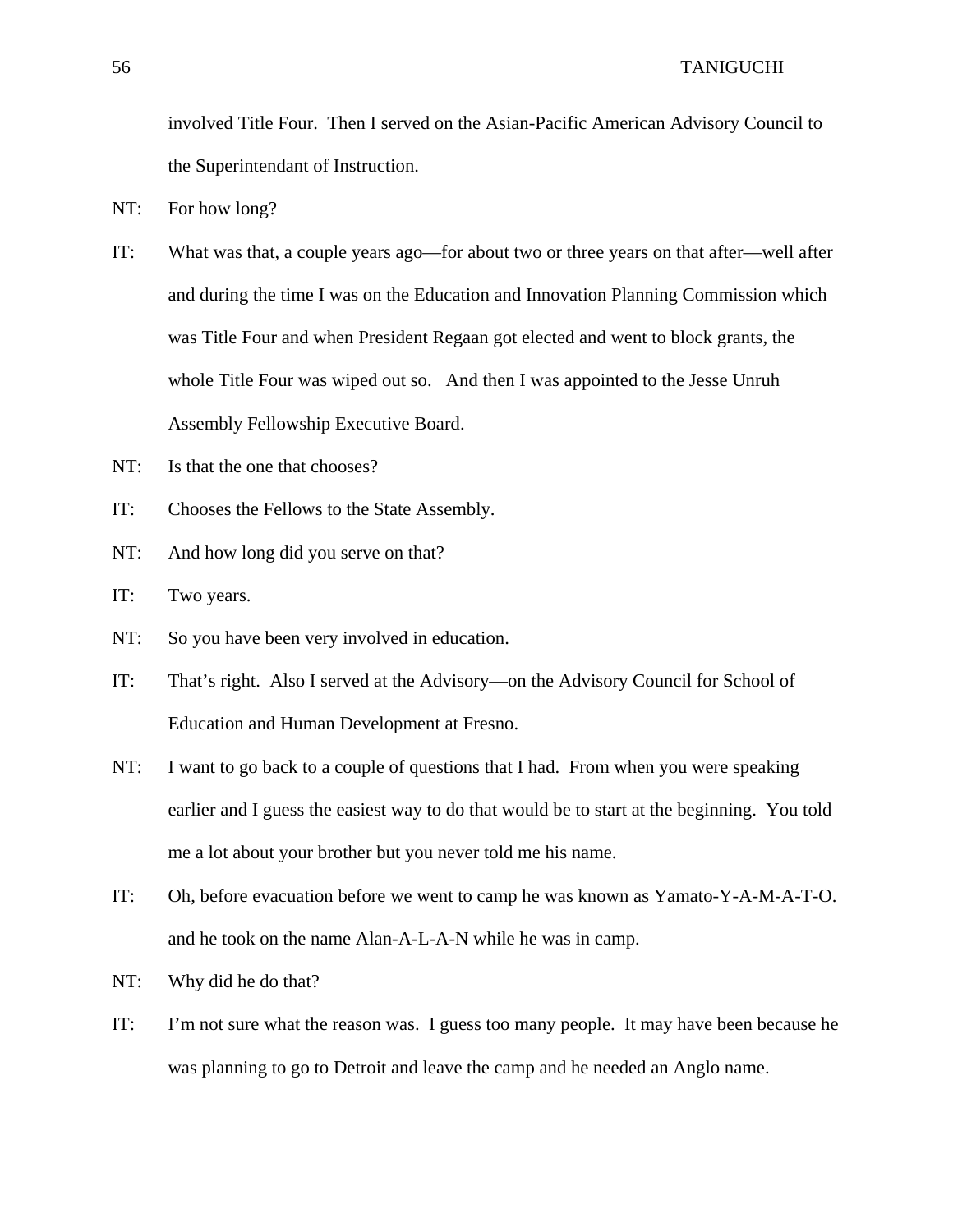involved Title Four. Then I served on the Asian-Pacific American Advisory Council to the Superintendant of Instruction.

- NT: For how long?
- IT: What was that, a couple years ago—for about two or three years on that after—well after and during the time I was on the Education and Innovation Planning Commission which was Title Four and when President Regaan got elected and went to block grants, the whole Title Four was wiped out so. And then I was appointed to the Jesse Unruh Assembly Fellowship Executive Board.
- NT: Is that the one that chooses?
- IT: Chooses the Fellows to the State Assembly.
- NT: And how long did you serve on that?
- IT: Two years.
- NT: So you have been very involved in education.
- IT: That's right. Also I served at the Advisory—on the Advisory Council for School of Education and Human Development at Fresno.
- NT: I want to go back to a couple of questions that I had. From when you were speaking earlier and I guess the easiest way to do that would be to start at the beginning. You told me a lot about your brother but you never told me his name.
- IT: Oh, before evacuation before we went to camp he was known as Yamato-Y-A-M-A-T-O. and he took on the name Alan-A-L-A-N while he was in camp.
- NT: Why did he do that?
- IT: I'm not sure what the reason was. I guess too many people. It may have been because he was planning to go to Detroit and leave the camp and he needed an Anglo name.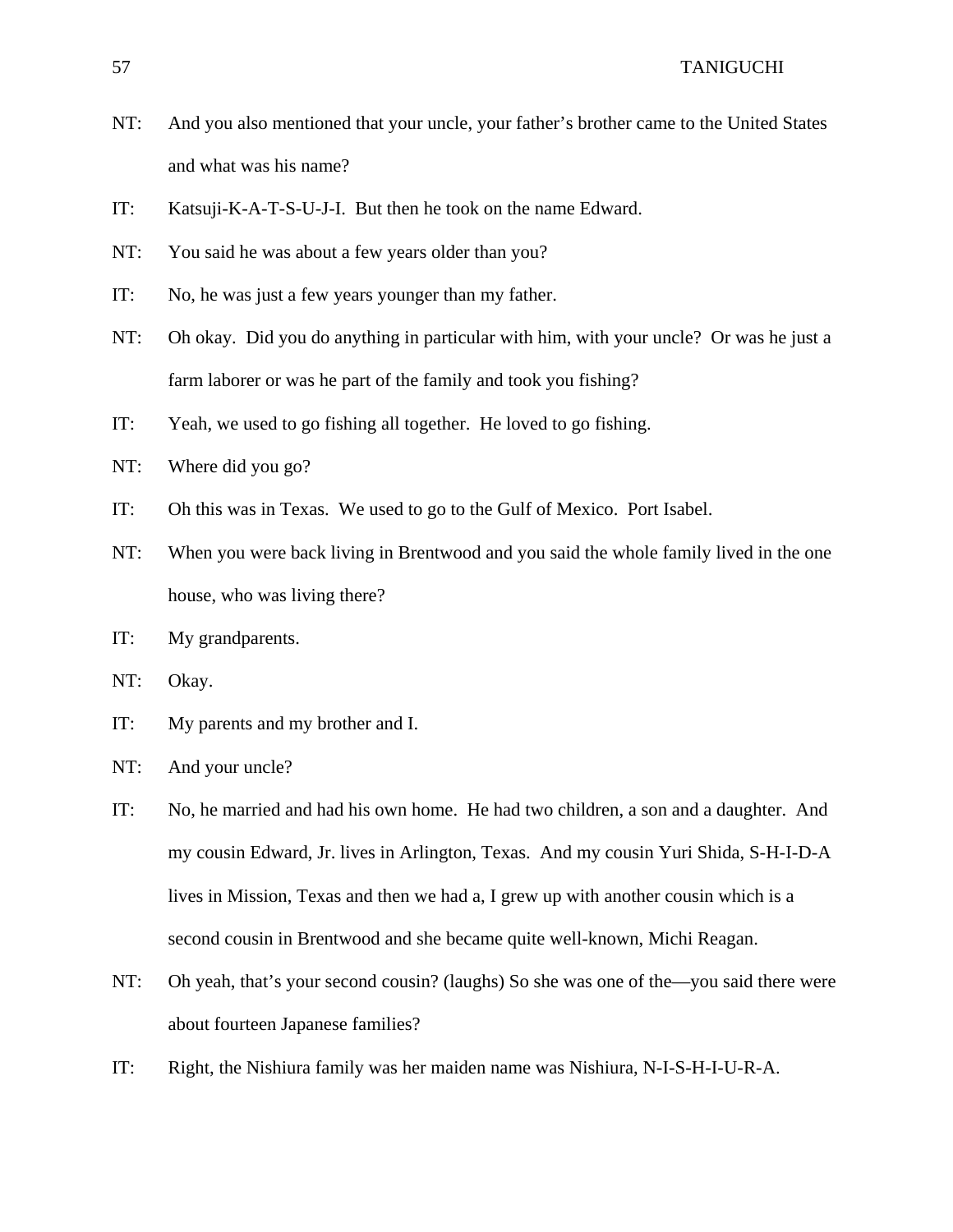- NT: And you also mentioned that your uncle, your father's brother came to the United States and what was his name?
- IT: Katsuji-K-A-T-S-U-J-I. But then he took on the name Edward.
- NT: You said he was about a few years older than you?
- IT: No, he was just a few years younger than my father.
- NT: Oh okay. Did you do anything in particular with him, with your uncle? Or was he just a farm laborer or was he part of the family and took you fishing?
- IT: Yeah, we used to go fishing all together. He loved to go fishing.
- NT: Where did you go?
- IT: Oh this was in Texas. We used to go to the Gulf of Mexico. Port Isabel.
- NT: When you were back living in Brentwood and you said the whole family lived in the one house, who was living there?
- IT: My grandparents.
- NT: Okay.
- IT: My parents and my brother and I.
- NT: And your uncle?
- IT: No, he married and had his own home. He had two children, a son and a daughter. And my cousin Edward, Jr. lives in Arlington, Texas. And my cousin Yuri Shida, S-H-I-D-A lives in Mission, Texas and then we had a, I grew up with another cousin which is a second cousin in Brentwood and she became quite well-known, Michi Reagan.
- NT: Oh yeah, that's your second cousin? (laughs) So she was one of the—you said there were about fourteen Japanese families?
- IT: Right, the Nishiura family was her maiden name was Nishiura, N-I-S-H-I-U-R-A.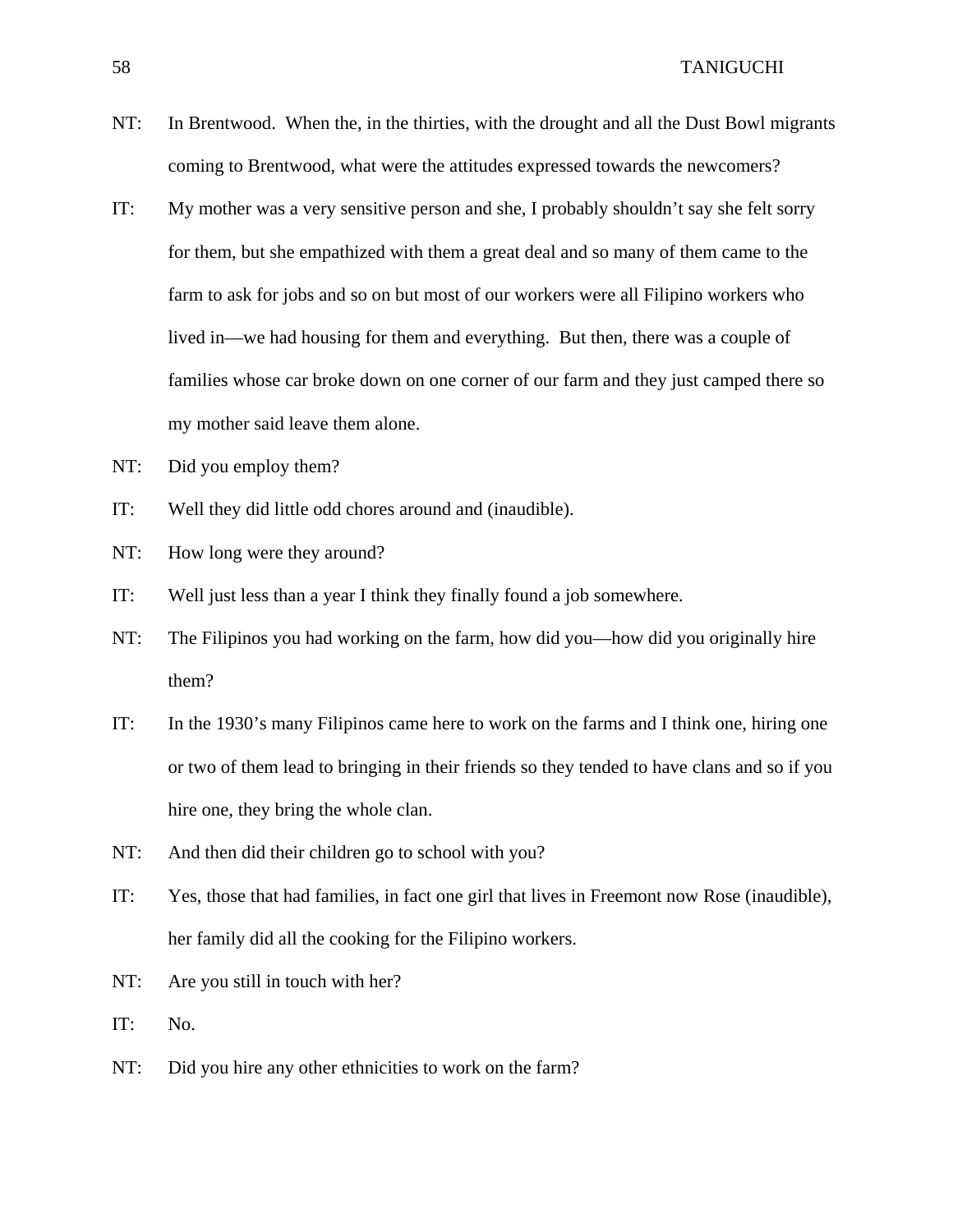- NT: In Brentwood. When the, in the thirties, with the drought and all the Dust Bowl migrants coming to Brentwood, what were the attitudes expressed towards the newcomers?
- IT: My mother was a very sensitive person and she, I probably shouldn't say she felt sorry for them, but she empathized with them a great deal and so many of them came to the farm to ask for jobs and so on but most of our workers were all Filipino workers who lived in—we had housing for them and everything. But then, there was a couple of families whose car broke down on one corner of our farm and they just camped there so my mother said leave them alone.
- NT: Did you employ them?
- IT: Well they did little odd chores around and (inaudible).
- NT: How long were they around?
- IT: Well just less than a year I think they finally found a job somewhere.
- NT: The Filipinos you had working on the farm, how did you—how did you originally hire them?
- IT: In the 1930's many Filipinos came here to work on the farms and I think one, hiring one or two of them lead to bringing in their friends so they tended to have clans and so if you hire one, they bring the whole clan.
- NT: And then did their children go to school with you?
- IT: Yes, those that had families, in fact one girl that lives in Freemont now Rose (inaudible), her family did all the cooking for the Filipino workers.
- NT: Are you still in touch with her?
- IT: No.
- NT: Did you hire any other ethnicities to work on the farm?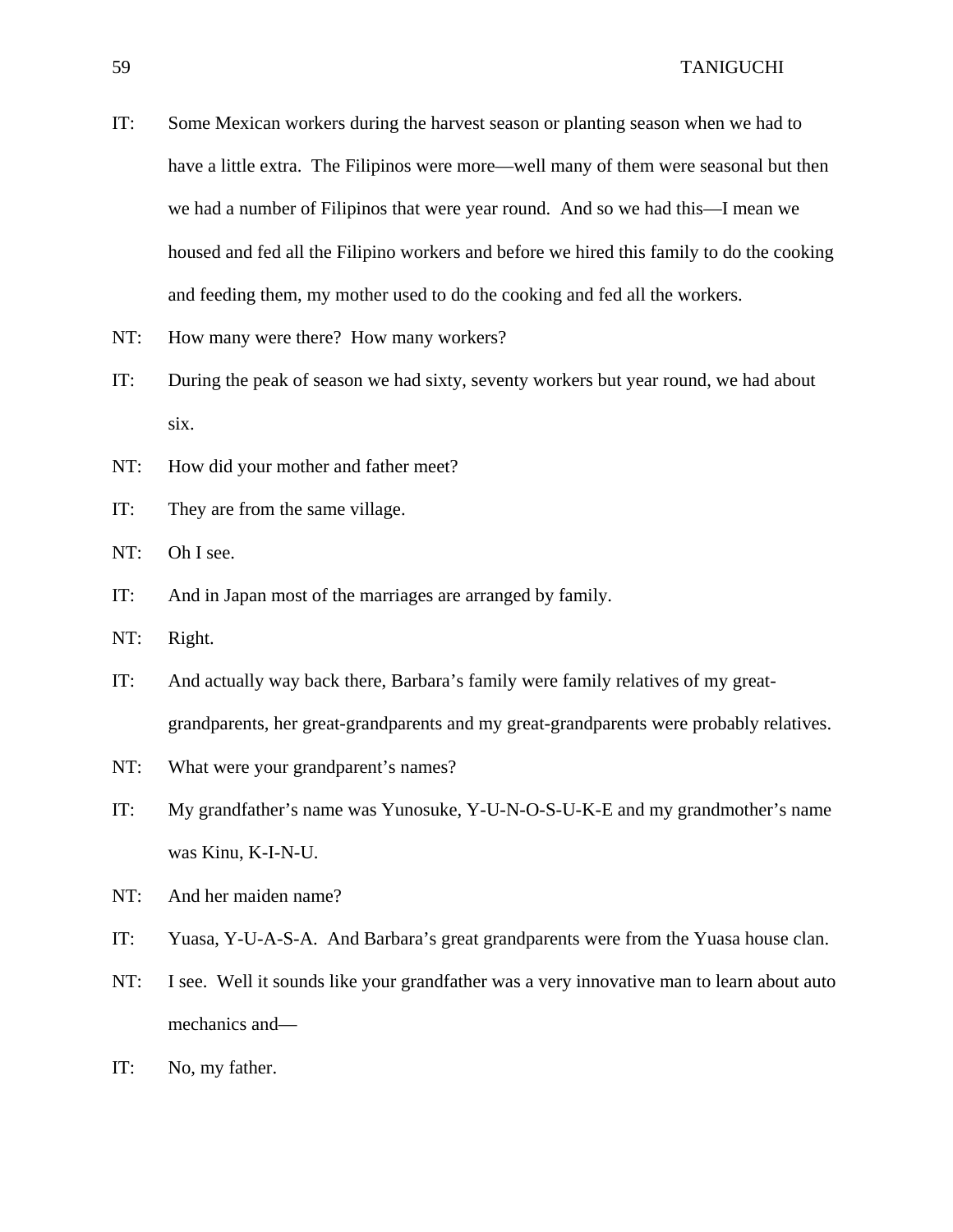- IT: Some Mexican workers during the harvest season or planting season when we had to have a little extra. The Filipinos were more—well many of them were seasonal but then we had a number of Filipinos that were year round. And so we had this—I mean we housed and fed all the Filipino workers and before we hired this family to do the cooking and feeding them, my mother used to do the cooking and fed all the workers.
- NT: How many were there? How many workers?
- IT: During the peak of season we had sixty, seventy workers but year round, we had about six.
- NT: How did your mother and father meet?
- IT: They are from the same village.
- NT: Oh I see.
- IT: And in Japan most of the marriages are arranged by family.
- NT: Right.
- IT: And actually way back there, Barbara's family were family relatives of my greatgrandparents, her great-grandparents and my great-grandparents were probably relatives.
- NT: What were your grandparent's names?
- IT: My grandfather's name was Yunosuke, Y-U-N-O-S-U-K-E and my grandmother's name was Kinu, K-I-N-U.
- NT: And her maiden name?
- IT: Yuasa, Y-U-A-S-A. And Barbara's great grandparents were from the Yuasa house clan.
- NT: I see. Well it sounds like your grandfather was a very innovative man to learn about auto mechanics and—
- IT: No, my father.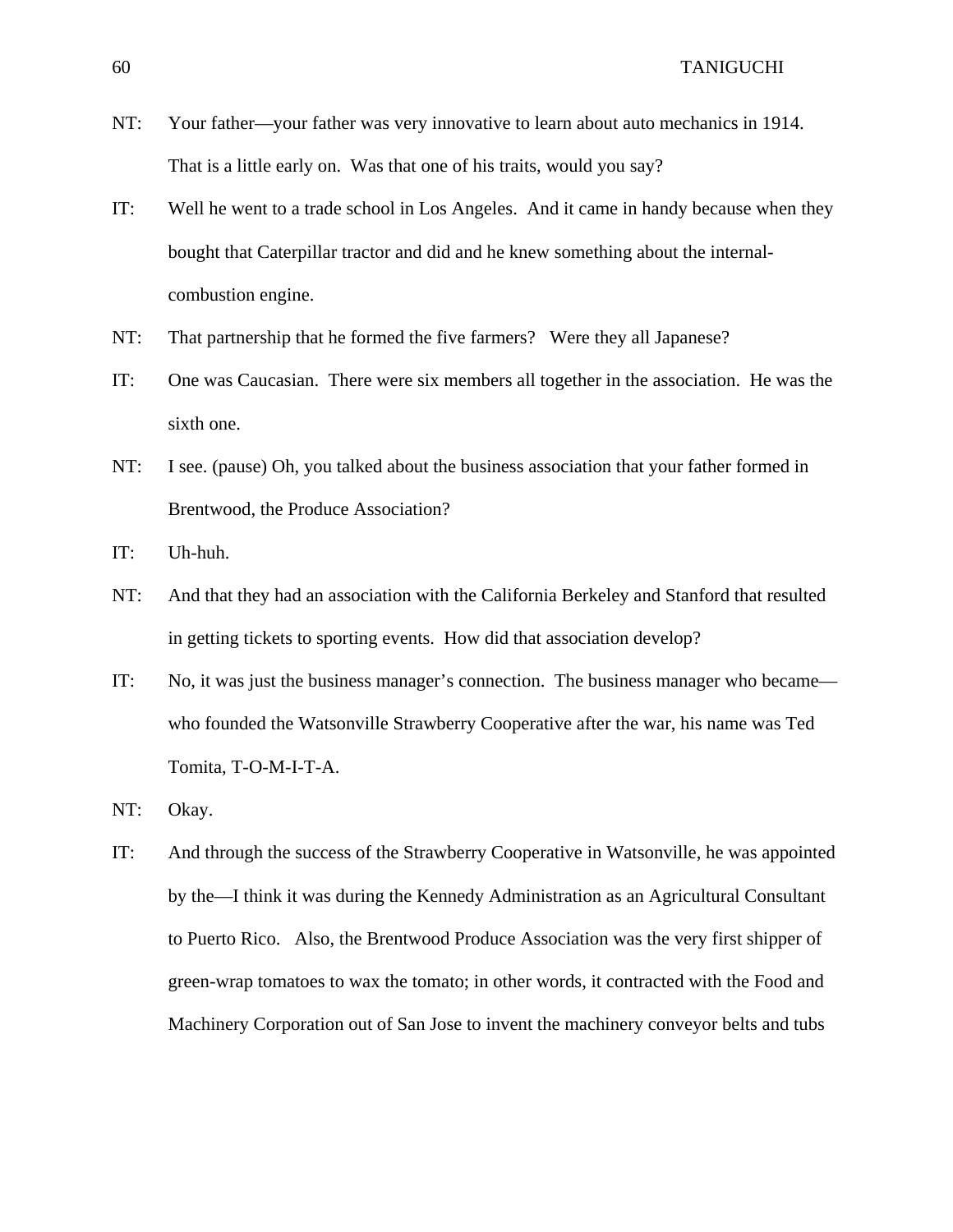- NT: Your father—your father was very innovative to learn about auto mechanics in 1914. That is a little early on. Was that one of his traits, would you say?
- IT: Well he went to a trade school in Los Angeles. And it came in handy because when they bought that Caterpillar tractor and did and he knew something about the internalcombustion engine.
- NT: That partnership that he formed the five farmers? Were they all Japanese?
- IT: One was Caucasian. There were six members all together in the association. He was the sixth one.
- NT: I see. (pause) Oh, you talked about the business association that your father formed in Brentwood, the Produce Association?
- IT: Uh-huh.
- NT: And that they had an association with the California Berkeley and Stanford that resulted in getting tickets to sporting events. How did that association develop?
- IT: No, it was just the business manager's connection. The business manager who became who founded the Watsonville Strawberry Cooperative after the war, his name was Ted Tomita, T-O-M-I-T-A.
- NT: Okay.
- IT: And through the success of the Strawberry Cooperative in Watsonville, he was appointed by the—I think it was during the Kennedy Administration as an Agricultural Consultant to Puerto Rico. Also, the Brentwood Produce Association was the very first shipper of green-wrap tomatoes to wax the tomato; in other words, it contracted with the Food and Machinery Corporation out of San Jose to invent the machinery conveyor belts and tubs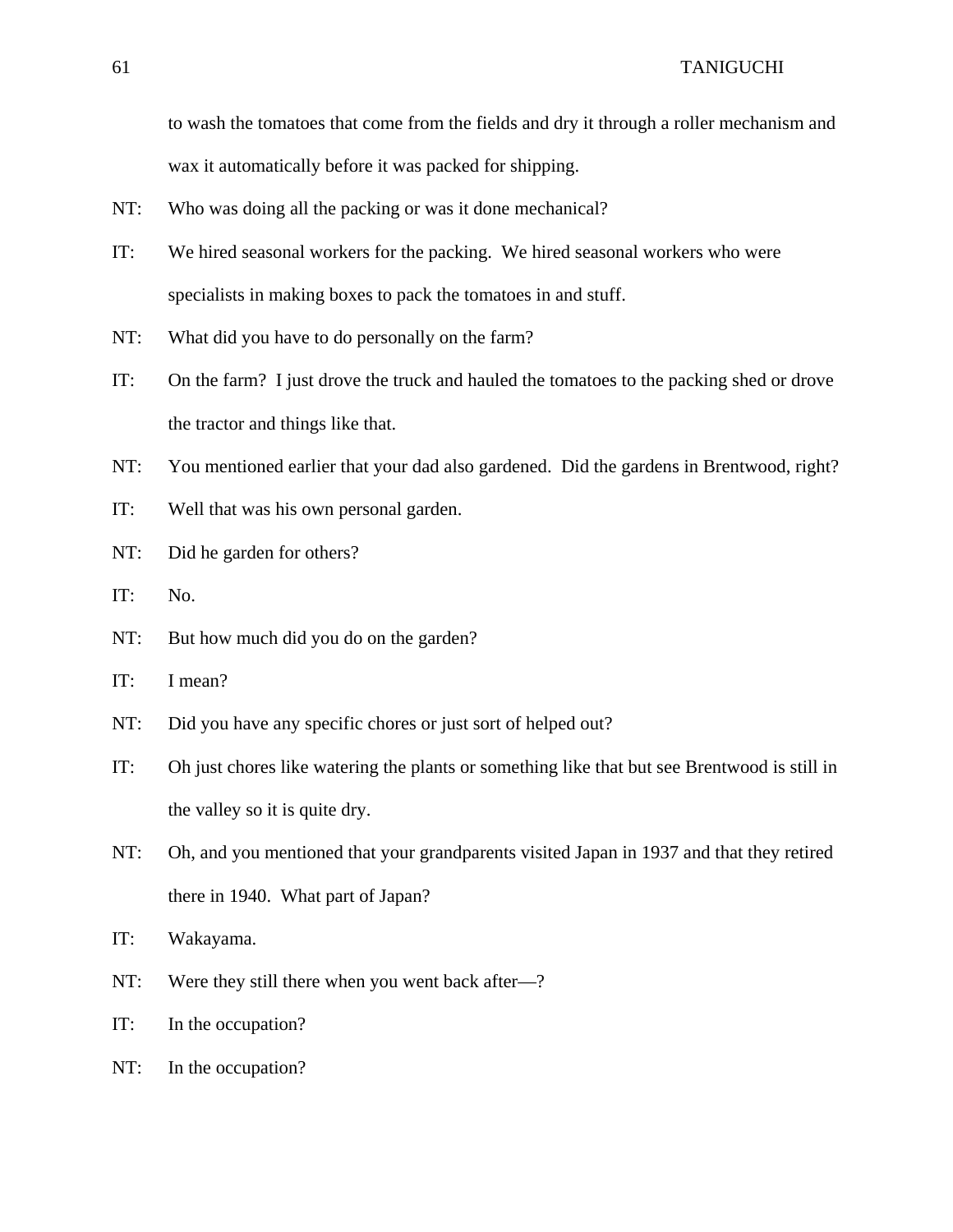to wash the tomatoes that come from the fields and dry it through a roller mechanism and wax it automatically before it was packed for shipping.

- NT: Who was doing all the packing or was it done mechanical?
- IT: We hired seasonal workers for the packing. We hired seasonal workers who were specialists in making boxes to pack the tomatoes in and stuff.
- NT: What did you have to do personally on the farm?
- IT: On the farm? I just drove the truck and hauled the tomatoes to the packing shed or drove the tractor and things like that.
- NT: You mentioned earlier that your dad also gardened. Did the gardens in Brentwood, right?
- IT: Well that was his own personal garden.
- NT: Did he garden for others?
- IT: No.
- NT: But how much did you do on the garden?
- IT: I mean?
- NT: Did you have any specific chores or just sort of helped out?
- IT: Oh just chores like watering the plants or something like that but see Brentwood is still in the valley so it is quite dry.
- NT: Oh, and you mentioned that your grandparents visited Japan in 1937 and that they retired there in 1940. What part of Japan?
- IT: Wakayama.
- NT: Were they still there when you went back after—?
- IT: In the occupation?
- NT: In the occupation?